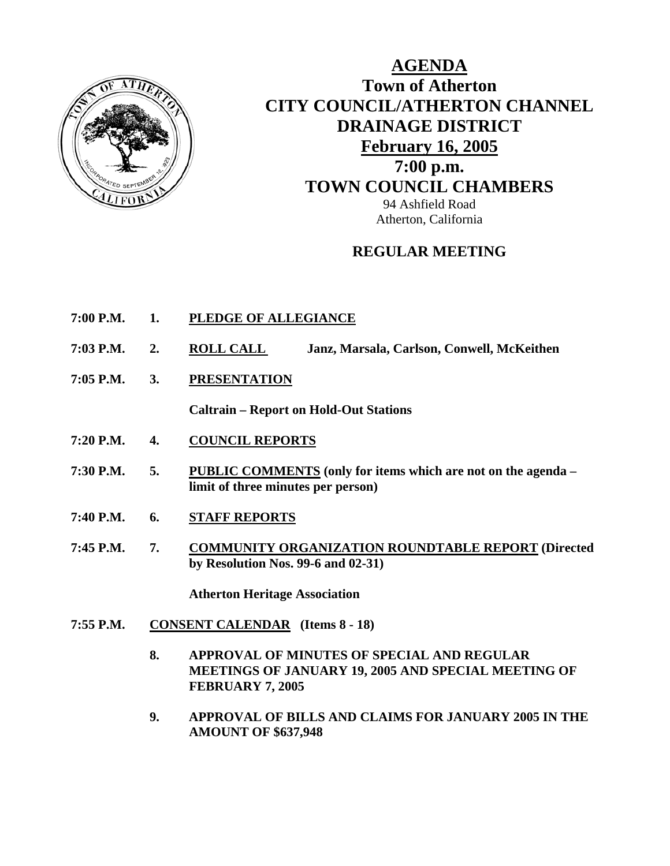

## **AGENDA Town of Atherton CITY COUNCIL/ATHERTON CHANNEL DRAINAGE DISTRICT February 16, 2005 7:00 p.m. TOWN COUNCIL CHAMBERS** 94 Ashfield Road Atherton, California

## **REGULAR MEETING**

- **7:00 P.M. 1. PLEDGE OF ALLEGIANCE**
- **7:03 P.M. 2. ROLL CALL Janz, Marsala, Carlson, Conwell, McKeithen**
- **7:05 P.M. 3. PRESENTATION**

**Caltrain – Report on Hold-Out Stations** 

- **7:20 P.M. 4. COUNCIL REPORTS**
- **7:30 P.M. 5. PUBLIC COMMENTS (only for items which are not on the agenda limit of three minutes per person)**
- **7:40 P.M. 6. STAFF REPORTS**
- **7:45 P.M. 7. COMMUNITY ORGANIZATION ROUNDTABLE REPORT (Directed by Resolution Nos. 99-6 and 02-31)**

 **Atherton Heritage Association** 

- **7:55 P.M. CONSENT CALENDAR (Items 8 18)** 
	- **8. APPROVAL OF MINUTES OF SPECIAL AND REGULAR MEETINGS OF JANUARY 19, 2005 AND SPECIAL MEETING OF FEBRUARY 7, 2005**
	- **9. APPROVAL OF BILLS AND CLAIMS FOR JANUARY 2005 IN THE AMOUNT OF \$637,948**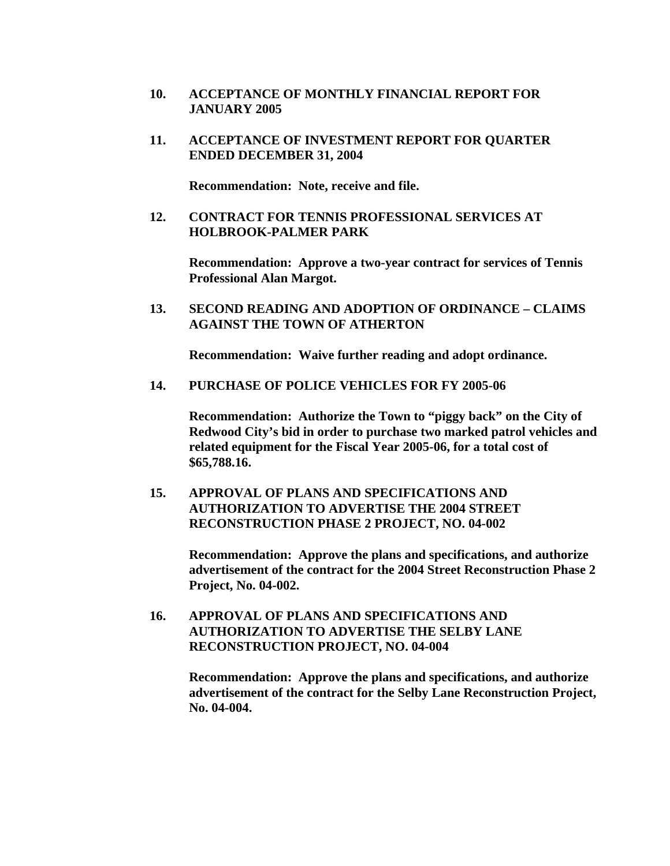- **10. ACCEPTANCE OF MONTHLY FINANCIAL REPORT FOR JANUARY 2005**
- **11. ACCEPTANCE OF INVESTMENT REPORT FOR QUARTER ENDED DECEMBER 31, 2004**

**Recommendation: Note, receive and file.** 

**12. CONTRACT FOR TENNIS PROFESSIONAL SERVICES AT HOLBROOK-PALMER PARK** 

**Recommendation: Approve a two-year contract for services of Tennis Professional Alan Margot.** 

**13. SECOND READING AND ADOPTION OF ORDINANCE – CLAIMS AGAINST THE TOWN OF ATHERTON** 

**Recommendation: Waive further reading and adopt ordinance.** 

**14. PURCHASE OF POLICE VEHICLES FOR FY 2005-06** 

**Recommendation: Authorize the Town to "piggy back" on the City of Redwood City's bid in order to purchase two marked patrol vehicles and related equipment for the Fiscal Year 2005-06, for a total cost of \$65,788.16.** 

**15. APPROVAL OF PLANS AND SPECIFICATIONS AND AUTHORIZATION TO ADVERTISE THE 2004 STREET RECONSTRUCTION PHASE 2 PROJECT, NO. 04-002** 

> **Recommendation: Approve the plans and specifications, and authorize advertisement of the contract for the 2004 Street Reconstruction Phase 2 Project, No. 04-002.**

**16. APPROVAL OF PLANS AND SPECIFICATIONS AND AUTHORIZATION TO ADVERTISE THE SELBY LANE RECONSTRUCTION PROJECT, NO. 04-004** 

> **Recommendation: Approve the plans and specifications, and authorize advertisement of the contract for the Selby Lane Reconstruction Project, No. 04-004.**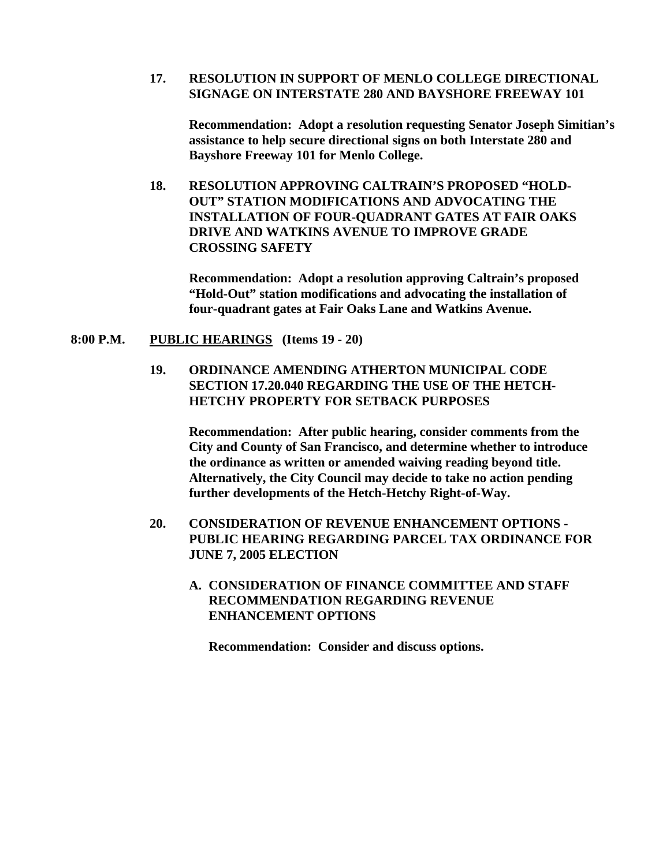#### **17. RESOLUTION IN SUPPORT OF MENLO COLLEGE DIRECTIONAL SIGNAGE ON INTERSTATE 280 AND BAYSHORE FREEWAY 101**

**Recommendation: Adopt a resolution requesting Senator Joseph Simitian's assistance to help secure directional signs on both Interstate 280 and Bayshore Freeway 101 for Menlo College.** 

**18. RESOLUTION APPROVING CALTRAIN'S PROPOSED "HOLD-OUT" STATION MODIFICATIONS AND ADVOCATING THE INSTALLATION OF FOUR-QUADRANT GATES AT FAIR OAKS DRIVE AND WATKINS AVENUE TO IMPROVE GRADE CROSSING SAFETY** 

**Recommendation: Adopt a resolution approving Caltrain's proposed "Hold-Out" station modifications and advocating the installation of four-quadrant gates at Fair Oaks Lane and Watkins Avenue.** 

**8:00 P.M. PUBLIC HEARINGS (Items 19 - 20)** 

**19. ORDINANCE AMENDING ATHERTON MUNICIPAL CODE SECTION 17.20.040 REGARDING THE USE OF THE HETCH-HETCHY PROPERTY FOR SETBACK PURPOSES** 

**Recommendation: After public hearing, consider comments from the City and County of San Francisco, and determine whether to introduce the ordinance as written or amended waiving reading beyond title. Alternatively, the City Council may decide to take no action pending further developments of the Hetch-Hetchy Right-of-Way.** 

- **20. CONSIDERATION OF REVENUE ENHANCEMENT OPTIONS PUBLIC HEARING REGARDING PARCEL TAX ORDINANCE FOR JUNE 7, 2005 ELECTION** 
	- **A. CONSIDERATION OF FINANCE COMMITTEE AND STAFF RECOMMENDATION REGARDING REVENUE ENHANCEMENT OPTIONS**

 **Recommendation: Consider and discuss options.**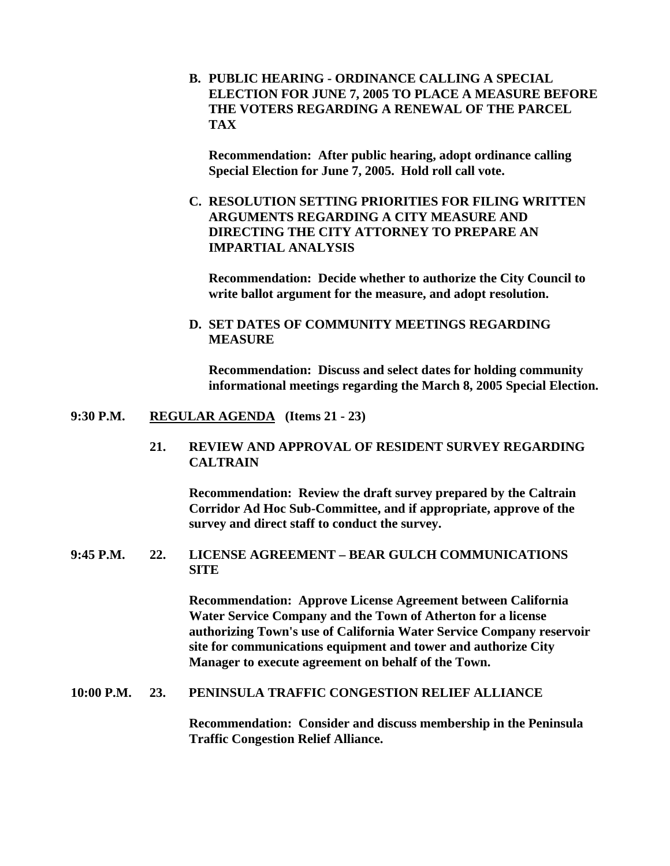**B. PUBLIC HEARING - ORDINANCE CALLING A SPECIAL ELECTION FOR JUNE 7, 2005 TO PLACE A MEASURE BEFORE THE VOTERS REGARDING A RENEWAL OF THE PARCEL TAX** 

 **Recommendation: After public hearing, adopt ordinance calling Special Election for June 7, 2005. Hold roll call vote.** 

**C. RESOLUTION SETTING PRIORITIES FOR FILING WRITTEN ARGUMENTS REGARDING A CITY MEASURE AND DIRECTING THE CITY ATTORNEY TO PREPARE AN IMPARTIAL ANALYSIS** 

 **Recommendation: Decide whether to authorize the City Council to write ballot argument for the measure, and adopt resolution.** 

**D. SET DATES OF COMMUNITY MEETINGS REGARDING MEASURE** 

**Recommendation: Discuss and select dates for holding community informational meetings regarding the March 8, 2005 Special Election.** 

#### **9:30 P.M. REGULAR AGENDA (Items 21 - 23)**

**21. REVIEW AND APPROVAL OF RESIDENT SURVEY REGARDING CALTRAIN** 

**Recommendation: Review the draft survey prepared by the Caltrain Corridor Ad Hoc Sub-Committee, and if appropriate, approve of the survey and direct staff to conduct the survey.** 

**9:45 P.M. 22. LICENSE AGREEMENT – BEAR GULCH COMMUNICATIONS SITE** 

> **Recommendation: Approve License Agreement between California Water Service Company and the Town of Atherton for a license authorizing Town's use of California Water Service Company reservoir site for communications equipment and tower and authorize City Manager to execute agreement on behalf of the Town.**

#### **10:00 P.M. 23. PENINSULA TRAFFIC CONGESTION RELIEF ALLIANCE**

**Recommendation: Consider and discuss membership in the Peninsula Traffic Congestion Relief Alliance.**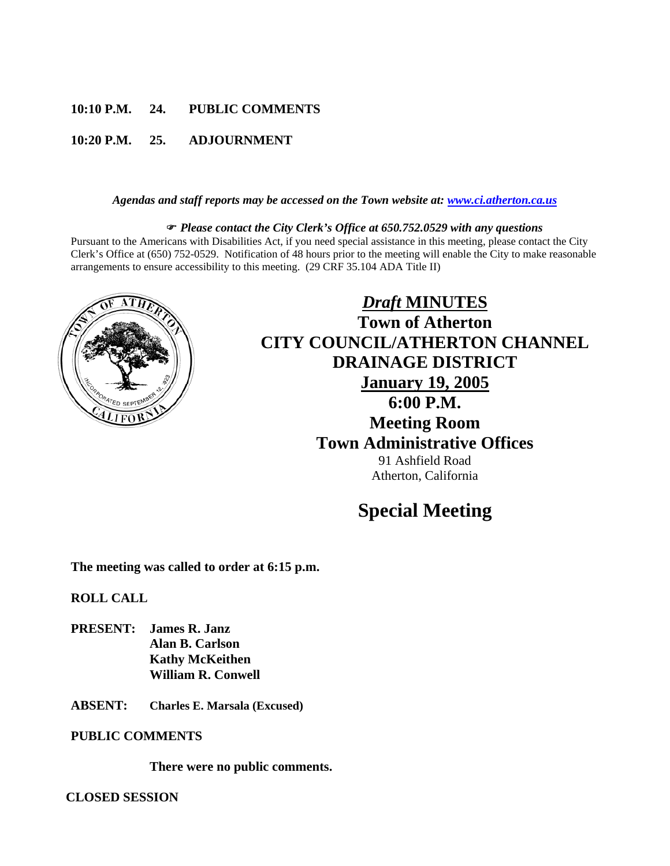### **10:10 P.M. 24. PUBLIC COMMENTS**

#### **10:20 P.M. 25. ADJOURNMENT**

#### *Agendas and staff reports may be accessed on the Town website at: [www.ci.atherton.ca.us](http://www.ci.atherton.ca.us/)*

#### ) *Please contact the City Clerk's Office at 650.752.0529 with any questions*

Pursuant to the Americans with Disabilities Act, if you need special assistance in this meeting, please contact the City Clerk's Office at (650) 752-0529. Notification of 48 hours prior to the meeting will enable the City to make reasonable arrangements to ensure accessibility to this meeting. (29 CRF 35.104 ADA Title II)



## *Draft* **MINUTES Town of Atherton CITY COUNCIL/ATHERTON CHANNEL DRAINAGE DISTRICT January 19, 2005 6:00 P.M. Meeting Room Town Administrative Offices**  91 Ashfield Road Atherton, California

## **Special Meeting**

**The meeting was called to order at 6:15 p.m.** 

**ROLL CALL** 

- **PRESENT: James R. Janz Alan B. Carlson Kathy McKeithen William R. Conwell**
- **ABSENT: Charles E. Marsala (Excused)**

#### **PUBLIC COMMENTS**

**There were no public comments.** 

**CLOSED SESSION**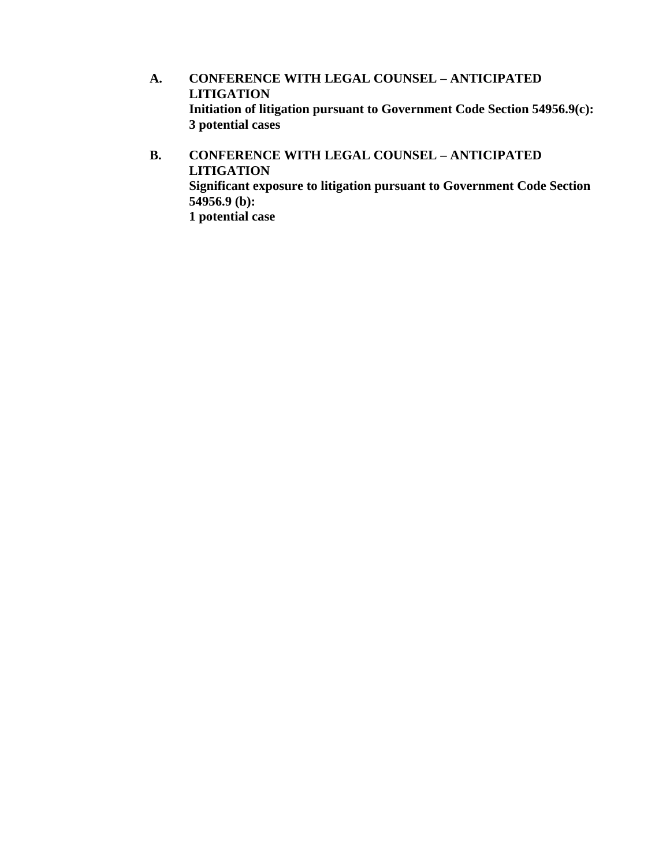- **A. CONFERENCE WITH LEGAL COUNSEL ANTICIPATED LITIGATION Initiation of litigation pursuant to Government Code Section 54956.9(c): 3 potential cases**
- **B. CONFERENCE WITH LEGAL COUNSEL ANTICIPATED LITIGATION Significant exposure to litigation pursuant to Government Code Section 54956.9 (b): 1 potential case**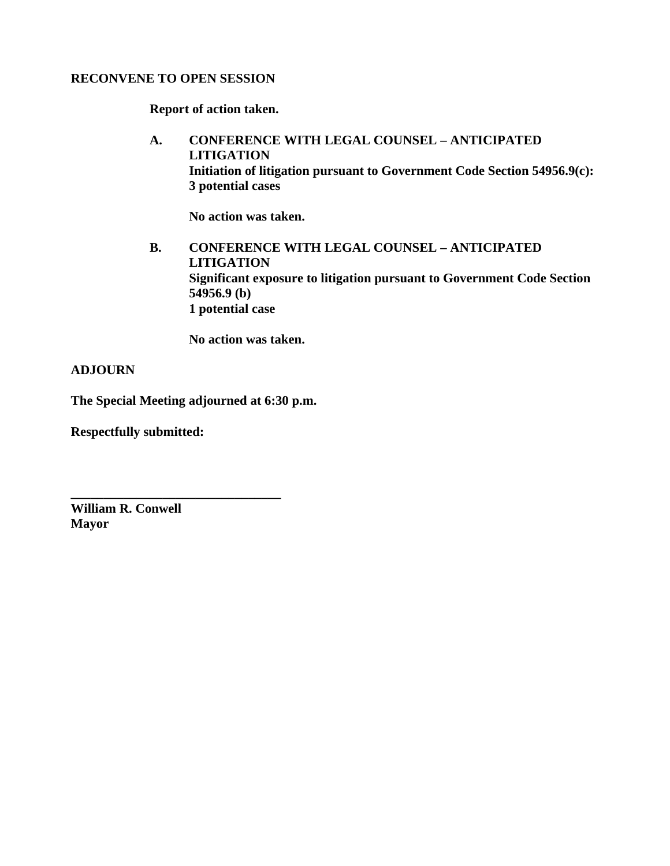#### **RECONVENE TO OPEN SESSION**

**Report of action taken.** 

**A. CONFERENCE WITH LEGAL COUNSEL – ANTICIPATED LITIGATION Initiation of litigation pursuant to Government Code Section 54956.9(c): 3 potential cases** 

 **No action was taken.** 

**B. CONFERENCE WITH LEGAL COUNSEL – ANTICIPATED LITIGATION Significant exposure to litigation pursuant to Government Code Section 54956.9 (b) 1 potential case** 

 **No action was taken.** 

**ADJOURN** 

**The Special Meeting adjourned at 6:30 p.m.** 

**\_\_\_\_\_\_\_\_\_\_\_\_\_\_\_\_\_\_\_\_\_\_\_\_\_\_\_\_\_\_\_\_**

**Respectfully submitted:** 

**William R. Conwell Mayor**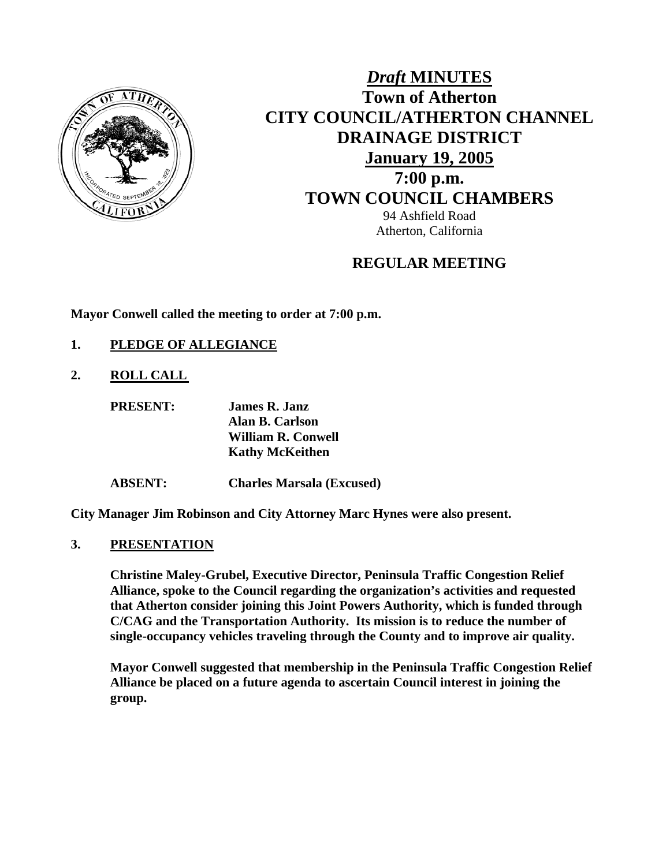

## *Draft* **MINUTES Town of Atherton CITY COUNCIL/ATHERTON CHANNEL DRAINAGE DISTRICT January 19, 2005 7:00 p.m. TOWN COUNCIL CHAMBERS** 94 Ashfield Road Atherton, California

## **REGULAR MEETING**

**Mayor Conwell called the meeting to order at 7:00 p.m.** 

- **1. PLEDGE OF ALLEGIANCE**
- **2. ROLL CALL**

| <b>PRESENT:</b> | <b>James R. Janz</b>      |
|-----------------|---------------------------|
|                 | Alan B. Carlson           |
|                 | <b>William R. Conwell</b> |
|                 | <b>Kathy McKeithen</b>    |
|                 |                           |

**ABSENT: Charles Marsala (Excused)** 

**City Manager Jim Robinson and City Attorney Marc Hynes were also present.** 

**3. PRESENTATION**

**Christine Maley-Grubel, Executive Director, Peninsula Traffic Congestion Relief Alliance, spoke to the Council regarding the organization's activities and requested that Atherton consider joining this Joint Powers Authority, which is funded through C/CAG and the Transportation Authority. Its mission is to reduce the number of single-occupancy vehicles traveling through the County and to improve air quality.** 

**Mayor Conwell suggested that membership in the Peninsula Traffic Congestion Relief Alliance be placed on a future agenda to ascertain Council interest in joining the group.**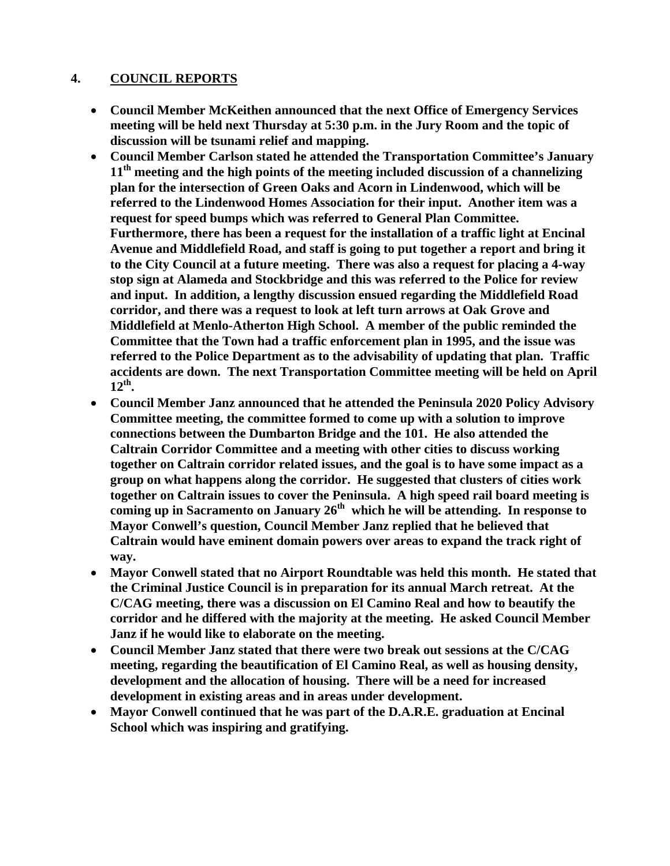#### **4. COUNCIL REPORTS**

- **Council Member McKeithen announced that the next Office of Emergency Services meeting will be held next Thursday at 5:30 p.m. in the Jury Room and the topic of discussion will be tsunami relief and mapping.**
- **Council Member Carlson stated he attended the Transportation Committee's January 11th meeting and the high points of the meeting included discussion of a channelizing plan for the intersection of Green Oaks and Acorn in Lindenwood, which will be referred to the Lindenwood Homes Association for their input. Another item was a request for speed bumps which was referred to General Plan Committee. Furthermore, there has been a request for the installation of a traffic light at Encinal Avenue and Middlefield Road, and staff is going to put together a report and bring it to the City Council at a future meeting. There was also a request for placing a 4-way stop sign at Alameda and Stockbridge and this was referred to the Police for review and input. In addition, a lengthy discussion ensued regarding the Middlefield Road corridor, and there was a request to look at left turn arrows at Oak Grove and Middlefield at Menlo-Atherton High School. A member of the public reminded the Committee that the Town had a traffic enforcement plan in 1995, and the issue was referred to the Police Department as to the advisability of updating that plan. Traffic accidents are down. The next Transportation Committee meeting will be held on April 12th.**
- **Council Member Janz announced that he attended the Peninsula 2020 Policy Advisory Committee meeting, the committee formed to come up with a solution to improve connections between the Dumbarton Bridge and the 101. He also attended the Caltrain Corridor Committee and a meeting with other cities to discuss working together on Caltrain corridor related issues, and the goal is to have some impact as a group on what happens along the corridor. He suggested that clusters of cities work together on Caltrain issues to cover the Peninsula. A high speed rail board meeting is coming up in Sacramento on January 26th which he will be attending. In response to Mayor Conwell's question, Council Member Janz replied that he believed that Caltrain would have eminent domain powers over areas to expand the track right of way.**
- **Mayor Conwell stated that no Airport Roundtable was held this month. He stated that the Criminal Justice Council is in preparation for its annual March retreat. At the C/CAG meeting, there was a discussion on El Camino Real and how to beautify the corridor and he differed with the majority at the meeting. He asked Council Member Janz if he would like to elaborate on the meeting.**
- **Council Member Janz stated that there were two break out sessions at the C/CAG meeting, regarding the beautification of El Camino Real, as well as housing density, development and the allocation of housing. There will be a need for increased development in existing areas and in areas under development.**
- **Mayor Conwell continued that he was part of the D.A.R.E. graduation at Encinal School which was inspiring and gratifying.**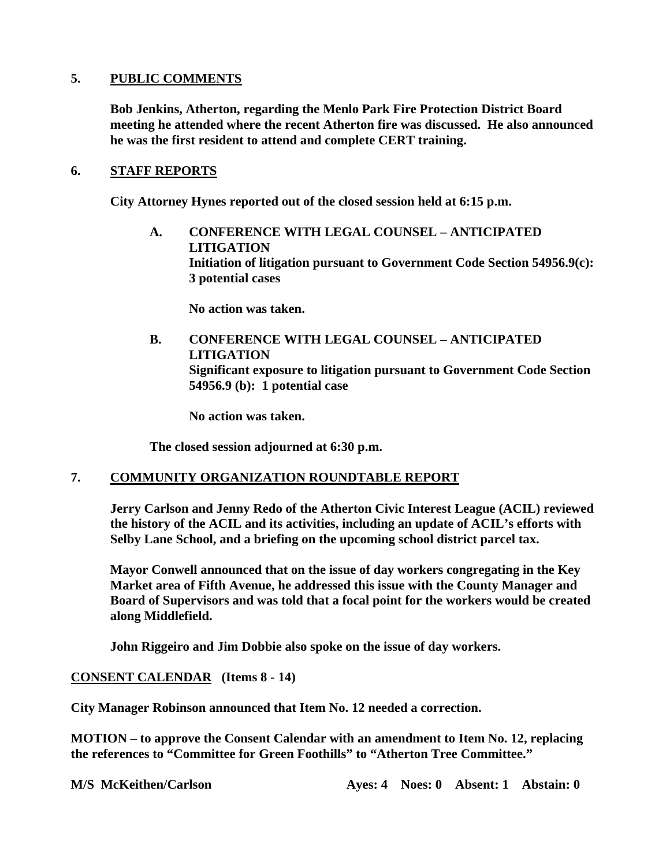#### **5. PUBLIC COMMENTS**

**Bob Jenkins, Atherton, regarding the Menlo Park Fire Protection District Board meeting he attended where the recent Atherton fire was discussed. He also announced he was the first resident to attend and complete CERT training.** 

#### **6. STAFF REPORTS**

 **City Attorney Hynes reported out of the closed session held at 6:15 p.m.** 

**A. CONFERENCE WITH LEGAL COUNSEL – ANTICIPATED LITIGATION Initiation of litigation pursuant to Government Code Section 54956.9(c): 3 potential cases** 

**No action was taken.** 

**B. CONFERENCE WITH LEGAL COUNSEL – ANTICIPATED LITIGATION Significant exposure to litigation pursuant to Government Code Section 54956.9 (b): 1 potential case** 

 **No action was taken.** 

**The closed session adjourned at 6:30 p.m.** 

#### **7. COMMUNITY ORGANIZATION ROUNDTABLE REPORT**

**Jerry Carlson and Jenny Redo of the Atherton Civic Interest League (ACIL) reviewed the history of the ACIL and its activities, including an update of ACIL's efforts with Selby Lane School, and a briefing on the upcoming school district parcel tax.** 

**Mayor Conwell announced that on the issue of day workers congregating in the Key Market area of Fifth Avenue, he addressed this issue with the County Manager and Board of Supervisors and was told that a focal point for the workers would be created along Middlefield.** 

**John Riggeiro and Jim Dobbie also spoke on the issue of day workers.** 

#### **CONSENT CALENDAR (Items 8 - 14)**

**City Manager Robinson announced that Item No. 12 needed a correction.** 

**MOTION – to approve the Consent Calendar with an amendment to Item No. 12, replacing the references to "Committee for Green Foothills" to "Atherton Tree Committee."**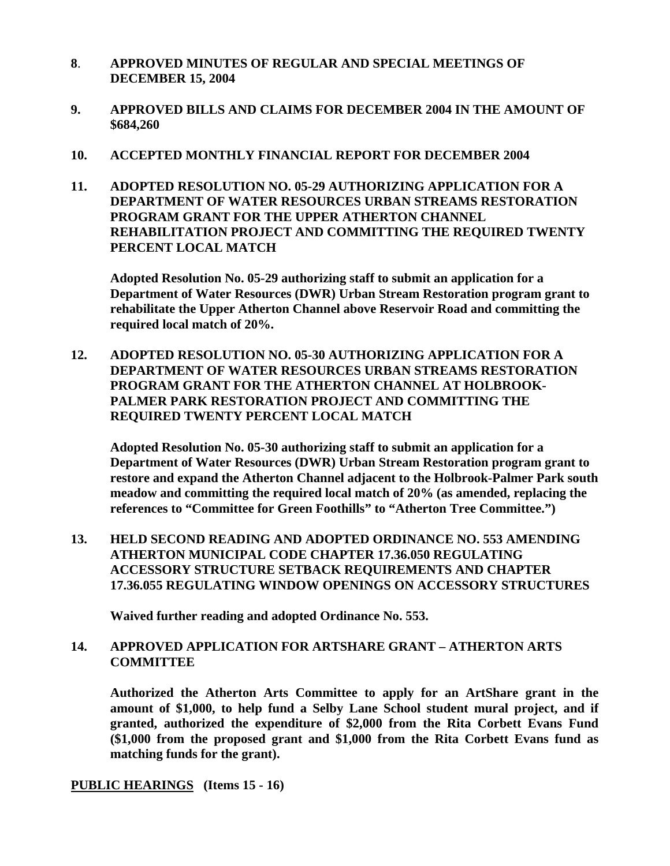- **8**. **APPROVED MINUTES OF REGULAR AND SPECIAL MEETINGS OF DECEMBER 15, 2004**
- **9. APPROVED BILLS AND CLAIMS FOR DECEMBER 2004 IN THE AMOUNT OF \$684,260**
- **10. ACCEPTED MONTHLY FINANCIAL REPORT FOR DECEMBER 2004**
- **11. ADOPTED RESOLUTION NO. 05-29 AUTHORIZING APPLICATION FOR A DEPARTMENT OF WATER RESOURCES URBAN STREAMS RESTORATION PROGRAM GRANT FOR THE UPPER ATHERTON CHANNEL REHABILITATION PROJECT AND COMMITTING THE REQUIRED TWENTY PERCENT LOCAL MATCH**

**Adopted Resolution No. 05-29 authorizing staff to submit an application for a Department of Water Resources (DWR) Urban Stream Restoration program grant to rehabilitate the Upper Atherton Channel above Reservoir Road and committing the required local match of 20%.** 

**12. ADOPTED RESOLUTION NO. 05-30 AUTHORIZING APPLICATION FOR A DEPARTMENT OF WATER RESOURCES URBAN STREAMS RESTORATION PROGRAM GRANT FOR THE ATHERTON CHANNEL AT HOLBROOK-PALMER PARK RESTORATION PROJECT AND COMMITTING THE REQUIRED TWENTY PERCENT LOCAL MATCH** 

**Adopted Resolution No. 05-30 authorizing staff to submit an application for a Department of Water Resources (DWR) Urban Stream Restoration program grant to restore and expand the Atherton Channel adjacent to the Holbrook-Palmer Park south meadow and committing the required local match of 20% (as amended, replacing the references to "Committee for Green Foothills" to "Atherton Tree Committee.")** 

**13. HELD SECOND READING AND ADOPTED ORDINANCE NO. 553 AMENDING ATHERTON MUNICIPAL CODE CHAPTER 17.36.050 REGULATING ACCESSORY STRUCTURE SETBACK REQUIREMENTS AND CHAPTER 17.36.055 REGULATING WINDOW OPENINGS ON ACCESSORY STRUCTURES** 

**Waived further reading and adopted Ordinance No. 553.** 

#### **14. APPROVED APPLICATION FOR ARTSHARE GRANT – ATHERTON ARTS COMMITTEE**

**Authorized the Atherton Arts Committee to apply for an ArtShare grant in the amount of \$1,000, to help fund a Selby Lane School student mural project, and if granted, authorized the expenditure of \$2,000 from the Rita Corbett Evans Fund (\$1,000 from the proposed grant and \$1,000 from the Rita Corbett Evans fund as matching funds for the grant).** 

#### **PUBLIC HEARINGS (Items 15 - 16)**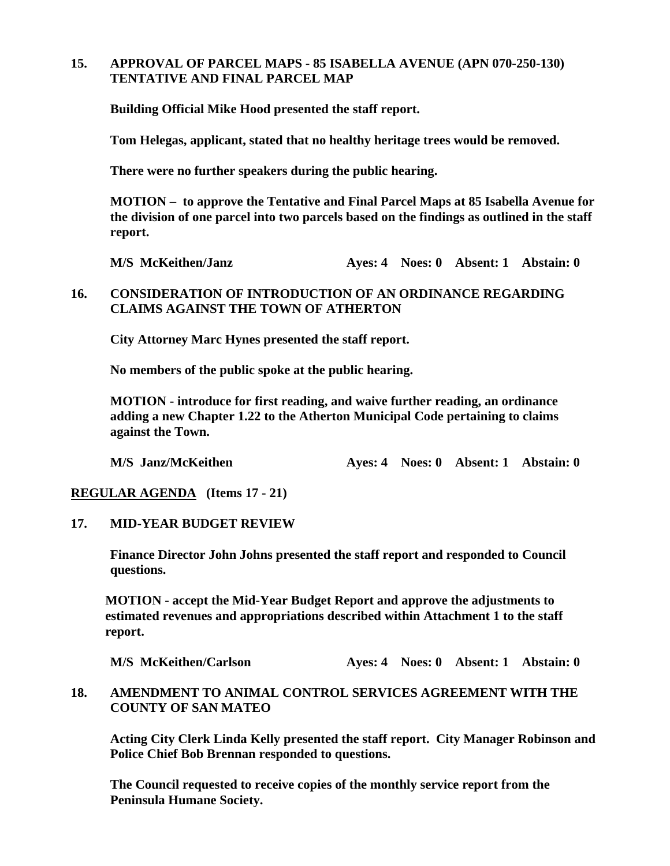#### **15. APPROVAL OF PARCEL MAPS - 85 ISABELLA AVENUE (APN 070-250-130) TENTATIVE AND FINAL PARCEL MAP**

**Building Official Mike Hood presented the staff report.** 

**Tom Helegas, applicant, stated that no healthy heritage trees would be removed.** 

**There were no further speakers during the public hearing.** 

**MOTION – to approve the Tentative and Final Parcel Maps at 85 Isabella Avenue for the division of one parcel into two parcels based on the findings as outlined in the staff report.** 

**M/S McKeithen/Janz Ayes: 4 Noes: 0 Absent: 1 Abstain: 0** 

#### **16. CONSIDERATION OF INTRODUCTION OF AN ORDINANCE REGARDING CLAIMS AGAINST THE TOWN OF ATHERTON**

**City Attorney Marc Hynes presented the staff report.** 

**No members of the public spoke at the public hearing.** 

**MOTION - introduce for first reading, and waive further reading, an ordinance adding a new Chapter 1.22 to the Atherton Municipal Code pertaining to claims against the Town.** 

**M/S Janz/McKeithen Ayes: 4 Noes: 0 Absent: 1 Abstain: 0** 

**REGULAR AGENDA (Items 17 - 21)** 

**17. MID-YEAR BUDGET REVIEW** 

**Finance Director John Johns presented the staff report and responded to Council questions.** 

**MOTION - accept the Mid-Year Budget Report and approve the adjustments to estimated revenues and appropriations described within Attachment 1 to the staff report.** 

**M/S McKeithen/Carlson Ayes: 4 Noes: 0 Absent: 1 Abstain: 0** 

#### **18. AMENDMENT TO ANIMAL CONTROL SERVICES AGREEMENT WITH THE COUNTY OF SAN MATEO**

**Acting City Clerk Linda Kelly presented the staff report. City Manager Robinson and Police Chief Bob Brennan responded to questions.** 

**The Council requested to receive copies of the monthly service report from the Peninsula Humane Society.**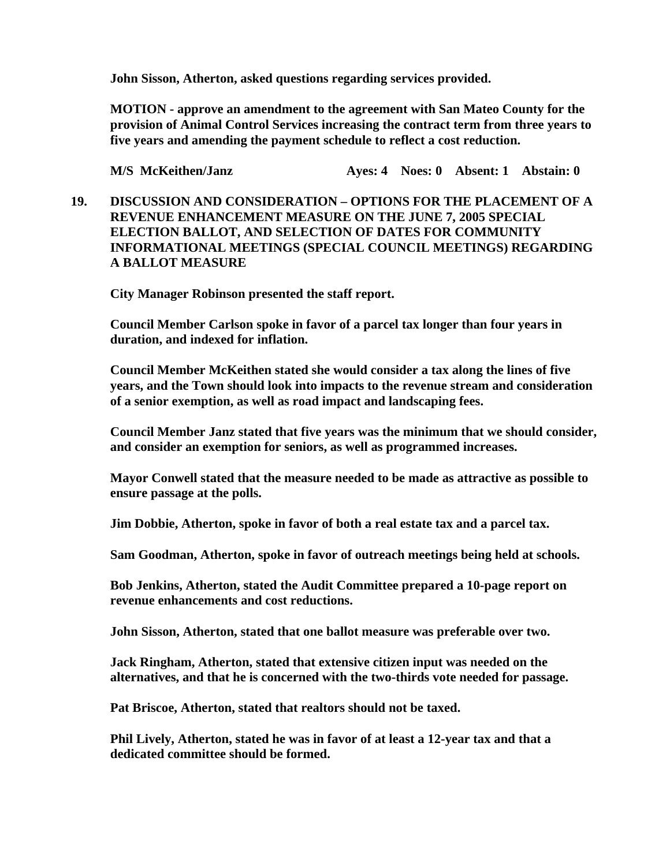**John Sisson, Atherton, asked questions regarding services provided.** 

**MOTION - approve an amendment to the agreement with San Mateo County for the provision of Animal Control Services increasing the contract term from three years to five years and amending the payment schedule to reflect a cost reduction.** 

**M/S McKeithen/Janz Ayes: 4 Noes: 0 Absent: 1 Abstain: 0** 

**19. DISCUSSION AND CONSIDERATION – OPTIONS FOR THE PLACEMENT OF A REVENUE ENHANCEMENT MEASURE ON THE JUNE 7, 2005 SPECIAL ELECTION BALLOT, AND SELECTION OF DATES FOR COMMUNITY INFORMATIONAL MEETINGS (SPECIAL COUNCIL MEETINGS) REGARDING A BALLOT MEASURE** 

**City Manager Robinson presented the staff report.** 

**Council Member Carlson spoke in favor of a parcel tax longer than four years in duration, and indexed for inflation.** 

**Council Member McKeithen stated she would consider a tax along the lines of five years, and the Town should look into impacts to the revenue stream and consideration of a senior exemption, as well as road impact and landscaping fees.** 

**Council Member Janz stated that five years was the minimum that we should consider, and consider an exemption for seniors, as well as programmed increases.** 

**Mayor Conwell stated that the measure needed to be made as attractive as possible to ensure passage at the polls.** 

**Jim Dobbie, Atherton, spoke in favor of both a real estate tax and a parcel tax.** 

**Sam Goodman, Atherton, spoke in favor of outreach meetings being held at schools.** 

**Bob Jenkins, Atherton, stated the Audit Committee prepared a 10-page report on revenue enhancements and cost reductions.** 

**John Sisson, Atherton, stated that one ballot measure was preferable over two.** 

**Jack Ringham, Atherton, stated that extensive citizen input was needed on the alternatives, and that he is concerned with the two-thirds vote needed for passage.** 

**Pat Briscoe, Atherton, stated that realtors should not be taxed.** 

**Phil Lively, Atherton, stated he was in favor of at least a 12-year tax and that a dedicated committee should be formed.**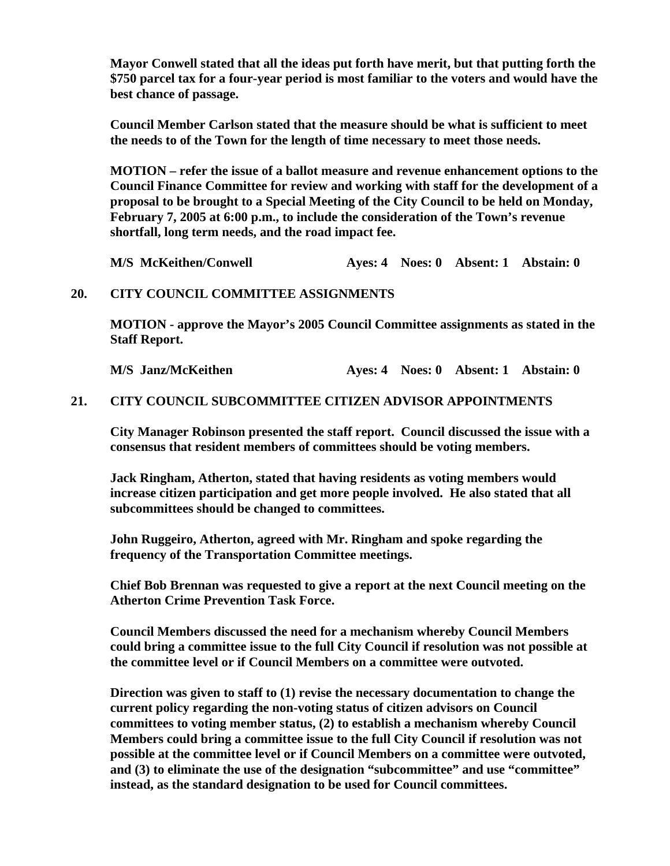**Mayor Conwell stated that all the ideas put forth have merit, but that putting forth the \$750 parcel tax for a four-year period is most familiar to the voters and would have the best chance of passage.** 

**Council Member Carlson stated that the measure should be what is sufficient to meet the needs to of the Town for the length of time necessary to meet those needs.** 

**MOTION – refer the issue of a ballot measure and revenue enhancement options to the Council Finance Committee for review and working with staff for the development of a proposal to be brought to a Special Meeting of the City Council to be held on Monday, February 7, 2005 at 6:00 p.m., to include the consideration of the Town's revenue shortfall, long term needs, and the road impact fee.** 

**M/S McKeithen/Conwell Ayes: 4 Noes: 0 Absent: 1 Abstain: 0** 

#### **20. CITY COUNCIL COMMITTEE ASSIGNMENTS**

**MOTION - approve the Mayor's 2005 Council Committee assignments as stated in the Staff Report.** 

**M/S Janz/McKeithen Ayes: 4 Noes: 0 Absent: 1 Abstain: 0** 

#### **21. CITY COUNCIL SUBCOMMITTEE CITIZEN ADVISOR APPOINTMENTS**

**City Manager Robinson presented the staff report. Council discussed the issue with a consensus that resident members of committees should be voting members.** 

**Jack Ringham, Atherton, stated that having residents as voting members would increase citizen participation and get more people involved. He also stated that all subcommittees should be changed to committees.** 

**John Ruggeiro, Atherton, agreed with Mr. Ringham and spoke regarding the frequency of the Transportation Committee meetings.** 

**Chief Bob Brennan was requested to give a report at the next Council meeting on the Atherton Crime Prevention Task Force.** 

**Council Members discussed the need for a mechanism whereby Council Members could bring a committee issue to the full City Council if resolution was not possible at the committee level or if Council Members on a committee were outvoted.** 

**Direction was given to staff to (1) revise the necessary documentation to change the current policy regarding the non-voting status of citizen advisors on Council committees to voting member status, (2) to establish a mechanism whereby Council Members could bring a committee issue to the full City Council if resolution was not possible at the committee level or if Council Members on a committee were outvoted, and (3) to eliminate the use of the designation "subcommittee" and use "committee" instead, as the standard designation to be used for Council committees.**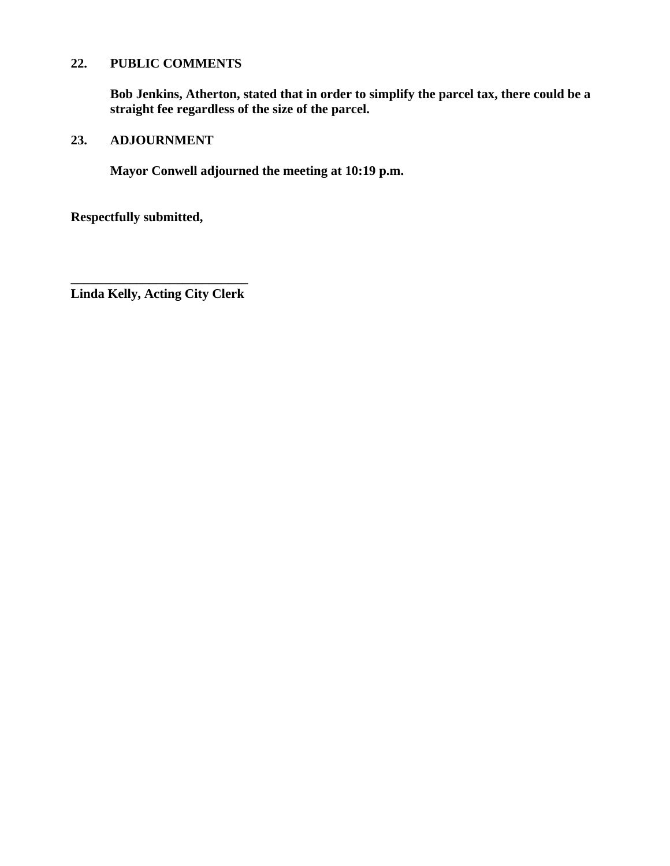## **22. PUBLIC COMMENTS**

**Bob Jenkins, Atherton, stated that in order to simplify the parcel tax, there could be a straight fee regardless of the size of the parcel.** 

## **23. ADJOURNMENT**

**Mayor Conwell adjourned the meeting at 10:19 p.m.** 

**Respectfully submitted,** 

**\_\_\_\_\_\_\_\_\_\_\_\_\_\_\_\_\_\_\_\_\_\_\_\_\_\_\_ Linda Kelly, Acting City Clerk**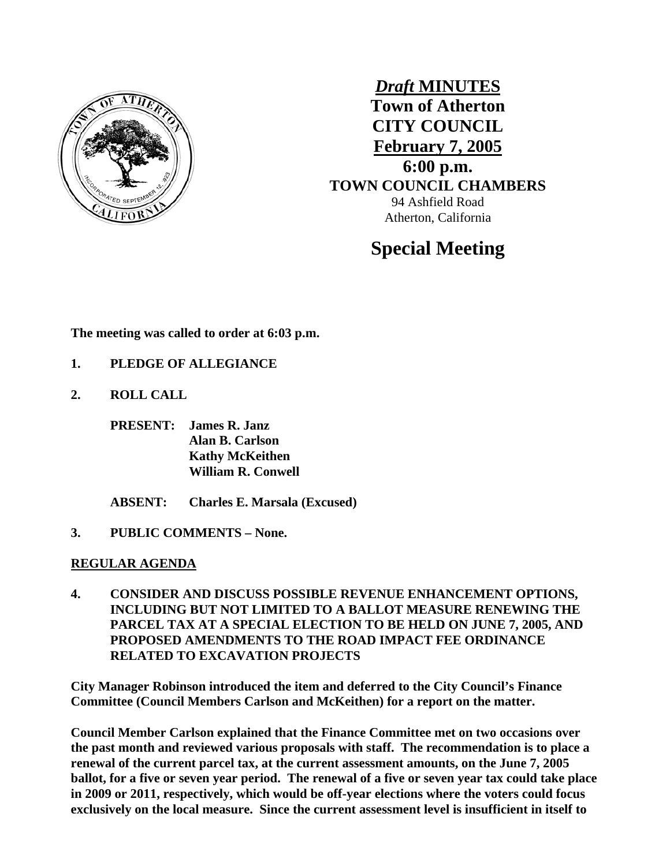

*Draft* **MINUTES Town of Atherton CITY COUNCIL February 7, 2005 6:00 p.m. TOWN COUNCIL CHAMBERS** 94 Ashfield Road Atherton, California

# **Special Meeting**

**The meeting was called to order at 6:03 p.m.** 

- **1. PLEDGE OF ALLEGIANCE**
- **2. ROLL CALL** 
	- **PRESENT: James R. Janz Alan B. Carlson Kathy McKeithen William R. Conwell**
	- **ABSENT: Charles E. Marsala (Excused)**
- **3. PUBLIC COMMENTS None.**

#### **REGULAR AGENDA**

**4. CONSIDER AND DISCUSS POSSIBLE REVENUE ENHANCEMENT OPTIONS, INCLUDING BUT NOT LIMITED TO A BALLOT MEASURE RENEWING THE PARCEL TAX AT A SPECIAL ELECTION TO BE HELD ON JUNE 7, 2005, AND PROPOSED AMENDMENTS TO THE ROAD IMPACT FEE ORDINANCE RELATED TO EXCAVATION PROJECTS** 

**City Manager Robinson introduced the item and deferred to the City Council's Finance Committee (Council Members Carlson and McKeithen) for a report on the matter.** 

**Council Member Carlson explained that the Finance Committee met on two occasions over the past month and reviewed various proposals with staff. The recommendation is to place a renewal of the current parcel tax, at the current assessment amounts, on the June 7, 2005 ballot, for a five or seven year period. The renewal of a five or seven year tax could take place in 2009 or 2011, respectively, which would be off-year elections where the voters could focus exclusively on the local measure. Since the current assessment level is insufficient in itself to**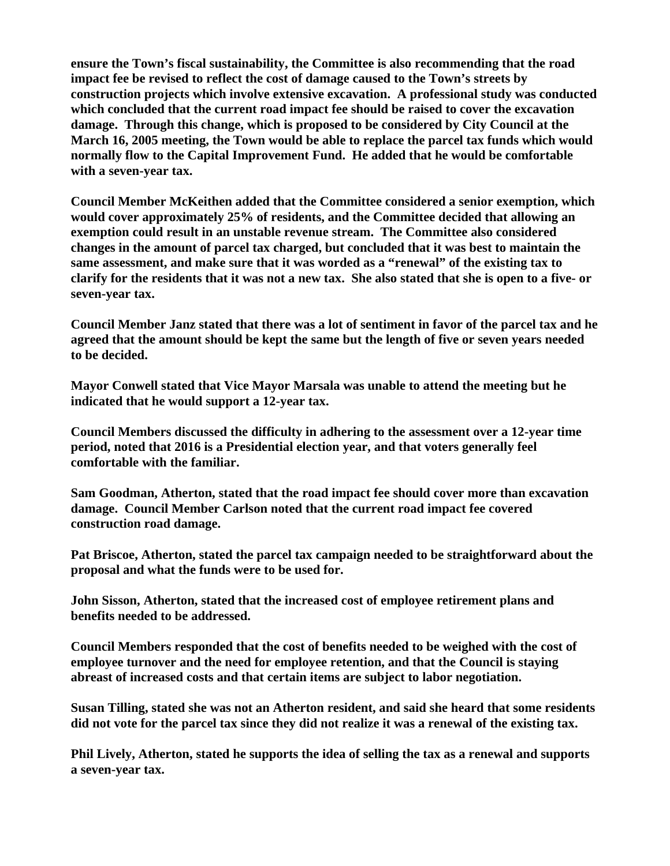**ensure the Town's fiscal sustainability, the Committee is also recommending that the road impact fee be revised to reflect the cost of damage caused to the Town's streets by construction projects which involve extensive excavation. A professional study was conducted which concluded that the current road impact fee should be raised to cover the excavation damage. Through this change, which is proposed to be considered by City Council at the March 16, 2005 meeting, the Town would be able to replace the parcel tax funds which would normally flow to the Capital Improvement Fund. He added that he would be comfortable with a seven-year tax.** 

**Council Member McKeithen added that the Committee considered a senior exemption, which would cover approximately 25% of residents, and the Committee decided that allowing an exemption could result in an unstable revenue stream. The Committee also considered changes in the amount of parcel tax charged, but concluded that it was best to maintain the same assessment, and make sure that it was worded as a "renewal" of the existing tax to clarify for the residents that it was not a new tax. She also stated that she is open to a five- or seven-year tax.** 

**Council Member Janz stated that there was a lot of sentiment in favor of the parcel tax and he agreed that the amount should be kept the same but the length of five or seven years needed to be decided.** 

**Mayor Conwell stated that Vice Mayor Marsala was unable to attend the meeting but he indicated that he would support a 12-year tax.** 

**Council Members discussed the difficulty in adhering to the assessment over a 12-year time period, noted that 2016 is a Presidential election year, and that voters generally feel comfortable with the familiar.** 

**Sam Goodman, Atherton, stated that the road impact fee should cover more than excavation damage. Council Member Carlson noted that the current road impact fee covered construction road damage.** 

**Pat Briscoe, Atherton, stated the parcel tax campaign needed to be straightforward about the proposal and what the funds were to be used for.** 

**John Sisson, Atherton, stated that the increased cost of employee retirement plans and benefits needed to be addressed.** 

**Council Members responded that the cost of benefits needed to be weighed with the cost of employee turnover and the need for employee retention, and that the Council is staying abreast of increased costs and that certain items are subject to labor negotiation.** 

**Susan Tilling, stated she was not an Atherton resident, and said she heard that some residents did not vote for the parcel tax since they did not realize it was a renewal of the existing tax.** 

**Phil Lively, Atherton, stated he supports the idea of selling the tax as a renewal and supports a seven-year tax.**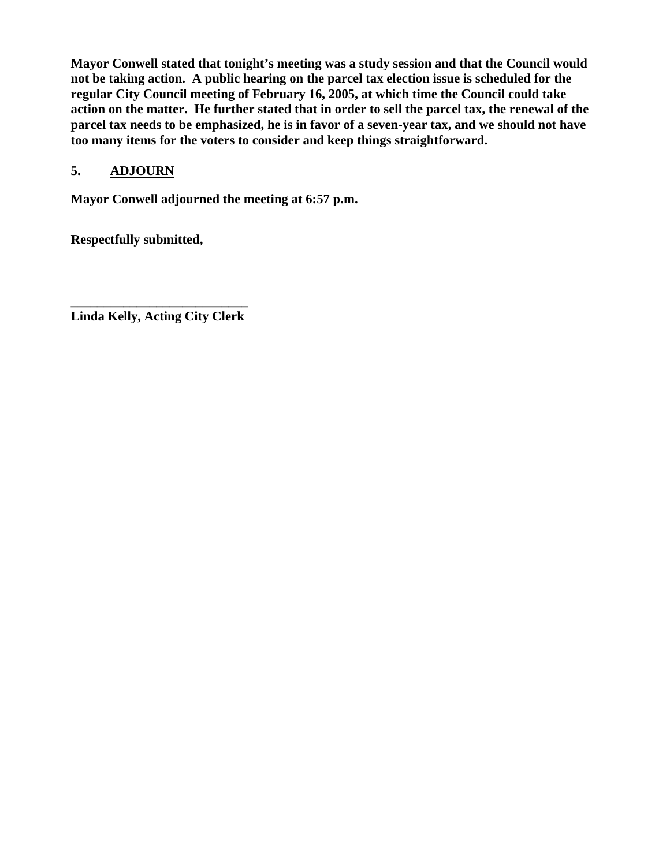**Mayor Conwell stated that tonight's meeting was a study session and that the Council would not be taking action. A public hearing on the parcel tax election issue is scheduled for the regular City Council meeting of February 16, 2005, at which time the Council could take action on the matter. He further stated that in order to sell the parcel tax, the renewal of the parcel tax needs to be emphasized, he is in favor of a seven-year tax, and we should not have too many items for the voters to consider and keep things straightforward.** 

## **5. ADJOURN**

**Mayor Conwell adjourned the meeting at 6:57 p.m.** 

**Respectfully submitted,** 

**\_\_\_\_\_\_\_\_\_\_\_\_\_\_\_\_\_\_\_\_\_\_\_\_\_\_\_ Linda Kelly, Acting City Clerk**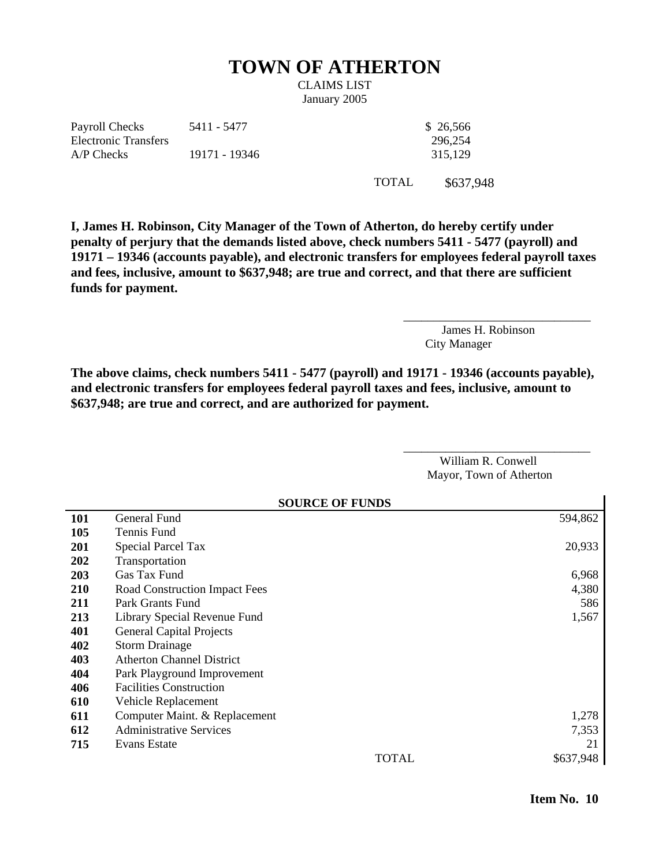## **TOWN OF ATHERTON**

CLAIMS LIST January 2005

Payroll Checks Electronic Transfers 5411 - 5477 \$ 26,566 A/P Checks 19171 - 19346 315,129

296,254

TOTAL \$637,948

**I, James H. Robinson, City Manager of the Town of Atherton, do hereby certify under penalty of perjury that the demands listed above, check numbers 5411 - 5477 (payroll) and 19171 – 19346 (accounts payable), and electronic transfers for employees federal payroll taxes and fees, inclusive, amount to \$637,948; are true and correct, and that there are sufficient funds for payment.** 

> James H. Robinson City Manager

\_\_\_\_\_\_\_\_\_\_\_\_\_\_\_\_\_\_\_\_\_\_\_\_\_\_\_\_\_\_\_

**The above claims, check numbers 5411 - 5477 (payroll) and 19171 - 19346 (accounts payable), and electronic transfers for employees federal payroll taxes and fees, inclusive, amount to \$637,948; are true and correct, and are authorized for payment.** 

**SOURCE OF FUNDS** 

William R. Conwell Mayor, Town of Atherton

\_\_\_\_\_\_\_\_\_\_\_\_\_\_\_\_\_\_\_\_\_\_\_\_\_\_\_\_\_\_\_

|            | SOURCE OF FUNDS                  |       |           |  |
|------------|----------------------------------|-------|-----------|--|
| <b>101</b> | General Fund                     |       | 594,862   |  |
| 105        | Tennis Fund                      |       |           |  |
| <b>201</b> | <b>Special Parcel Tax</b>        |       | 20,933    |  |
| 202        | Transportation                   |       |           |  |
| <b>203</b> | Gas Tax Fund                     |       | 6,968     |  |
| 210        | Road Construction Impact Fees    |       | 4,380     |  |
| 211        | Park Grants Fund                 |       | 586       |  |
| 213        | Library Special Revenue Fund     |       | 1,567     |  |
| 401        | <b>General Capital Projects</b>  |       |           |  |
| 402        | <b>Storm Drainage</b>            |       |           |  |
| 403        | <b>Atherton Channel District</b> |       |           |  |
| 404        | Park Playground Improvement      |       |           |  |
| 406        | <b>Facilities Construction</b>   |       |           |  |
| 610        | Vehicle Replacement              |       |           |  |
| 611        | Computer Maint. & Replacement    |       | 1,278     |  |
| 612        | <b>Administrative Services</b>   |       | 7,353     |  |
| 715        | Evans Estate                     |       | 21        |  |
|            |                                  | TOTAL | \$637,948 |  |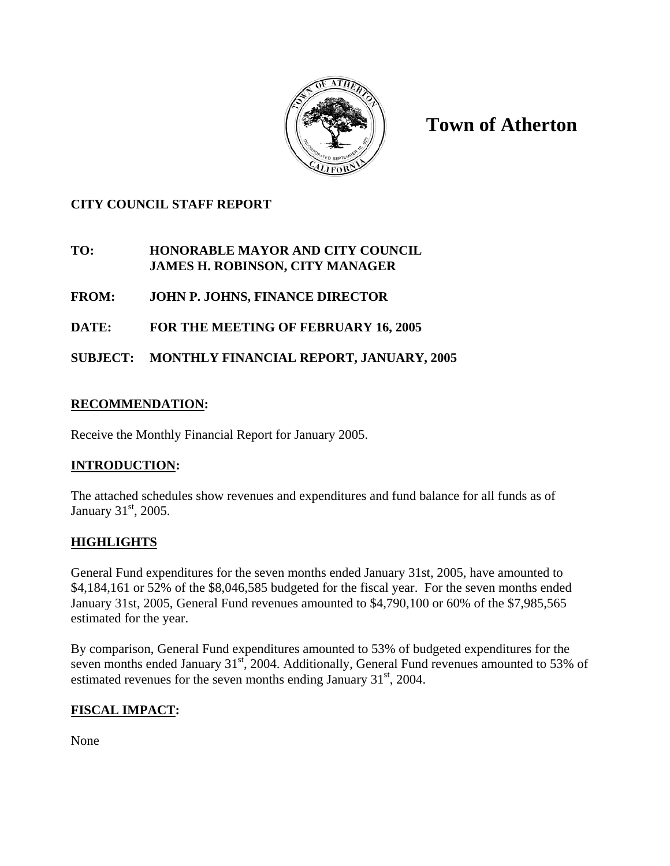

**Town of Atherton** 

## **CITY COUNCIL STAFF REPORT**

### **TO: HONORABLE MAYOR AND CITY COUNCIL JAMES H. ROBINSON, CITY MANAGER**

- **FROM: JOHN P. JOHNS, FINANCE DIRECTOR**
- **DATE: FOR THE MEETING OF FEBRUARY 16, 2005**

## **SUBJECT: MONTHLY FINANCIAL REPORT, JANUARY, 2005**

## **RECOMMENDATION:**

Receive the Monthly Financial Report for January 2005.

## **INTRODUCTION:**

The attached schedules show revenues and expenditures and fund balance for all funds as of January 31<sup>st</sup>, 2005.

## **HIGHLIGHTS**

General Fund expenditures for the seven months ended January 31st, 2005, have amounted to \$4,184,161 or 52% of the \$8,046,585 budgeted for the fiscal year. For the seven months ended January 31st, 2005, General Fund revenues amounted to \$4,790,100 or 60% of the \$7,985,565 estimated for the year.

By comparison, General Fund expenditures amounted to 53% of budgeted expenditures for the seven months ended January 31<sup>st</sup>, 2004. Additionally, General Fund revenues amounted to 53% of estimated revenues for the seven months ending January  $31<sup>st</sup>$ , 2004.

## **FISCAL IMPACT:**

None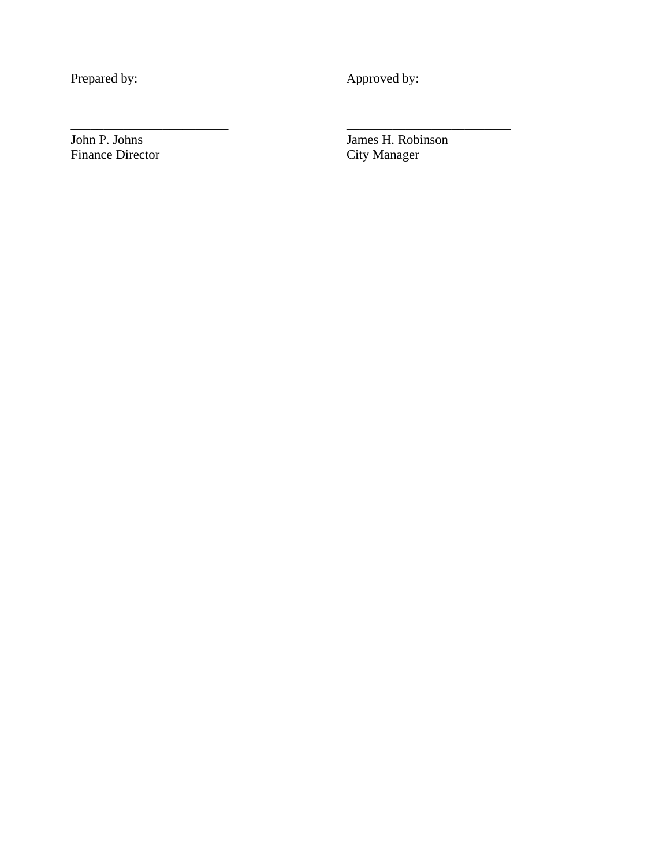Prepared by: Approved by:

\_\_\_\_\_\_\_\_\_\_\_\_\_\_\_\_\_\_\_\_\_\_\_\_ \_\_\_\_\_\_\_\_\_\_\_\_\_\_\_\_\_\_\_\_\_\_\_\_\_

Finance Director

John P. Johns James H. Robinson<br>Finance Director City Manager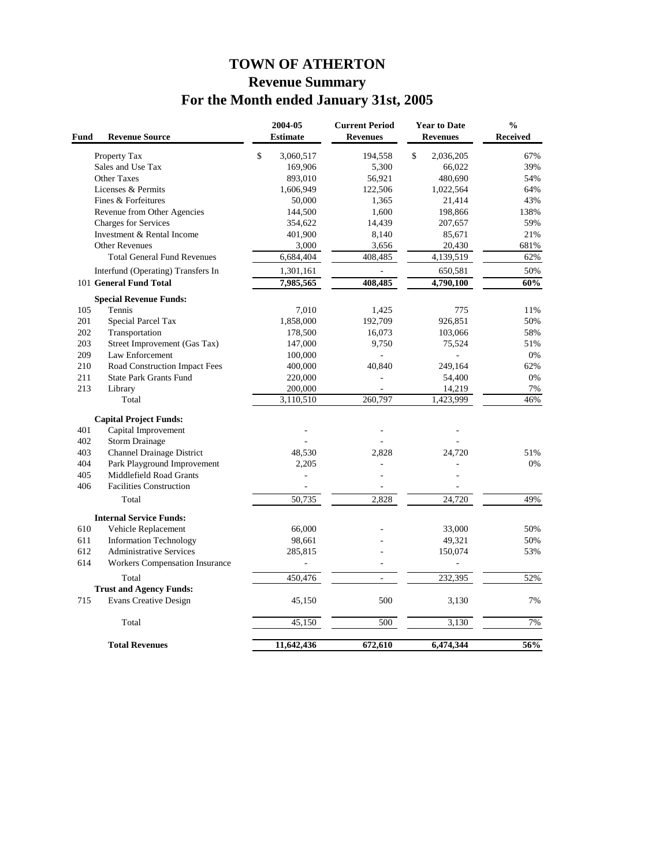## **TOWN OF ATHERTON Revenue Summary For the Month ended January 31st, 2005**

| Fund       | <b>Revenue Source</b>                           |      | 2004-05<br><b>Estimate</b> | <b>Current Period</b><br><b>Revenues</b> |              | <b>Year to Date</b><br><b>Revenues</b> | $\frac{0}{0}$<br><b>Received</b> |
|------------|-------------------------------------------------|------|----------------------------|------------------------------------------|--------------|----------------------------------------|----------------------------------|
|            | Property Tax                                    | $\$$ | 3,060,517                  | 194,558                                  | $\mathbb{S}$ | 2,036,205                              | 67%                              |
|            | Sales and Use Tax                               |      | 169,906                    | 5,300                                    |              | 66,022                                 | 39%                              |
|            | <b>Other Taxes</b>                              |      | 893,010                    | 56,921                                   |              | 480,690                                | 54%                              |
|            | Licenses & Permits                              |      | 1,606,949                  | 122,506                                  |              | 1,022,564                              | 64%                              |
|            | Fines & Forfeitures                             |      | 50,000                     | 1,365                                    |              | 21,414                                 | 43%                              |
|            | Revenue from Other Agencies                     |      | 144,500                    | 1,600                                    |              | 198,866                                | 138%                             |
|            | Charges for Services                            |      | 354,622                    | 14,439                                   |              | 207,657                                | 59%                              |
|            | Investment & Rental Income                      |      | 401,900                    | 8,140                                    |              | 85,671                                 | 21%                              |
|            | <b>Other Revenues</b>                           |      | 3,000                      | 3,656                                    |              | 20,430                                 | 681%                             |
|            | <b>Total General Fund Revenues</b>              |      | 6,684,404                  | 408,485                                  |              | 4,139,519                              | 62%                              |
|            | Interfund (Operating) Transfers In              |      | 1,301,161                  | ÷.                                       |              | 650,581                                | 50%                              |
|            | 101 General Fund Total                          |      | 7,985,565                  | 408,485                                  |              | 4,790,100                              | 60%                              |
|            | <b>Special Revenue Funds:</b>                   |      |                            |                                          |              |                                        |                                  |
| 105        | Tennis                                          |      | 7,010                      | 1,425                                    |              | 775                                    | 11%                              |
| 201        | Special Parcel Tax                              |      | 1,858,000                  | 192,709                                  |              | 926,851                                | 50%                              |
| 202        | Transportation                                  |      | 178,500                    | 16,073                                   |              | 103,066                                | 58%                              |
| 203<br>209 | Street Improvement (Gas Tax)<br>Law Enforcement |      | 147,000                    | 9,750                                    |              | 75,524<br>L.                           | 51%<br>0%                        |
| 210        | Road Construction Impact Fees                   |      | 100,000<br>400,000         | 40,840                                   |              | 249,164                                | 62%                              |
| 211        | <b>State Park Grants Fund</b>                   |      | 220,000                    |                                          |              | 54,400                                 | 0%                               |
| 213        | Library                                         |      | 200,000                    |                                          |              | 14,219                                 | 7%                               |
|            | Total                                           |      | 3,110,510                  | 260,797                                  |              | 1,423,999                              | 46%                              |
|            | <b>Capital Project Funds:</b>                   |      |                            |                                          |              |                                        |                                  |
| 401        | Capital Improvement                             |      |                            |                                          |              |                                        |                                  |
| 402        | <b>Storm Drainage</b>                           |      |                            |                                          |              |                                        |                                  |
| 403        | Channel Drainage District                       |      | 48,530                     | 2,828                                    |              | 24,720                                 | 51%                              |
| 404        | Park Playground Improvement                     |      | 2,205                      |                                          |              |                                        | 0%                               |
| 405        | Middlefield Road Grants                         |      | L,                         |                                          |              |                                        |                                  |
| 406        | <b>Facilities Construction</b>                  |      |                            |                                          |              |                                        |                                  |
|            | Total                                           |      | 50,735                     | 2,828                                    |              | 24,720                                 | 49%                              |
|            | <b>Internal Service Funds:</b>                  |      |                            |                                          |              |                                        |                                  |
| 610        | Vehicle Replacement                             |      | 66,000                     |                                          |              | 33,000                                 | 50%                              |
| 611        | <b>Information Technology</b>                   |      | 98,661                     |                                          |              | 49,321                                 | 50%                              |
| 612        | <b>Administrative Services</b>                  |      | 285,815                    |                                          |              | 150,074                                | 53%                              |
| 614        | <b>Workers Compensation Insurance</b>           |      | i,                         | ÷,                                       |              | $\overline{\phantom{a}}$               |                                  |
|            | Total                                           |      | 450,476                    | ÷.                                       |              | 232,395                                | 52%                              |
|            | <b>Trust and Agency Funds:</b>                  |      |                            |                                          |              |                                        |                                  |
| 715        | <b>Evans Creative Design</b>                    |      | 45,150                     | 500                                      |              | 3,130                                  | 7%                               |
|            | Total                                           |      | 45,150                     | 500                                      |              | 3,130                                  | 7%                               |
|            | <b>Total Revenues</b>                           |      | 11,642,436                 | 672,610                                  |              | 6,474,344                              | 56%                              |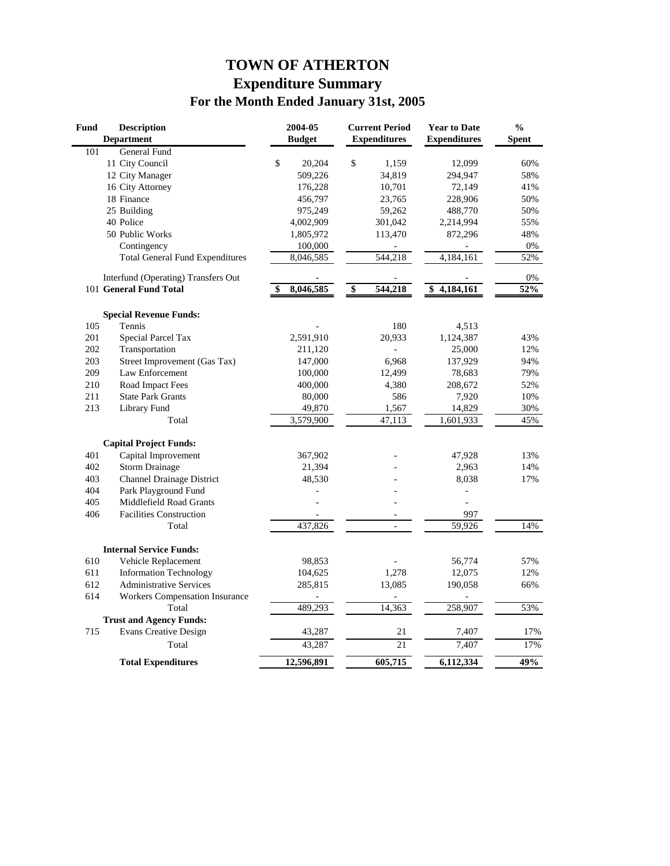## **TOWN OF ATHERTON Expenditure Summary For the Month Ended January 31st, 2005**

| <b>Fund</b> | <b>Description</b>                     | 2004-05       | <b>Current Period</b> | <b>Year to Date</b> | $\frac{0}{0}$ |
|-------------|----------------------------------------|---------------|-----------------------|---------------------|---------------|
|             | <b>Department</b>                      | <b>Budget</b> | <b>Expenditures</b>   | <b>Expenditures</b> | <b>Spent</b>  |
| 101         | <b>General Fund</b>                    |               |                       |                     |               |
|             | 11 City Council                        | \$<br>20,204  | \$<br>1,159           | 12,099              | 60%           |
|             | 12 City Manager                        | 509,226       | 34,819                | 294,947             | 58%           |
|             | 16 City Attorney                       | 176,228       | 10,701                | 72,149              | 41%           |
|             | 18 Finance                             | 456,797       | 23,765                | 228,906             | 50%           |
|             | 25 Building                            | 975,249       | 59,262                | 488,770             | 50%           |
|             | 40 Police                              | 4,002,909     | 301,042               | 2,214,994           | 55%           |
|             | 50 Public Works                        | 1,805,972     | 113,470               | 872,296             | 48%           |
|             | Contingency                            | 100,000       |                       |                     | 0%            |
|             | <b>Total General Fund Expenditures</b> | 8,046,585     | 544,218               | 4,184,161           | 52%           |
|             | Interfund (Operating) Transfers Out    |               |                       |                     | 0%            |
|             | 101 General Fund Total                 | 8,046,585     | \$<br>544,218         | 4,184,161<br>\$     | 52%           |
|             | <b>Special Revenue Funds:</b>          |               |                       |                     |               |
| 105         | Tennis                                 |               | 180                   | 4,513               |               |
| 201         | <b>Special Parcel Tax</b>              | 2,591,910     | 20,933                | 1,124,387           | 43%           |
| 202         | Transportation                         | 211,120       |                       | 25,000              | 12%           |
| 203         | Street Improvement (Gas Tax)           | 147,000       | 6,968                 | 137,929             | 94%           |
| 209         | Law Enforcement                        | 100,000       | 12,499                | 78,683              | 79%           |
| 210         | Road Impact Fees                       | 400,000       | 4,380                 | 208,672             | 52%           |
| 211         | <b>State Park Grants</b>               | 80,000        | 586                   | 7,920               | 10%           |
| 213         | Library Fund                           | 49,870        | 1,567                 | 14,829              | 30%           |
|             | Total                                  | 3,579,900     | 47,113                | 1,601,933           | 45%           |
|             | <b>Capital Project Funds:</b>          |               |                       |                     |               |
| 401         | Capital Improvement                    | 367,902       |                       | 47,928              | 13%           |
| 402         | <b>Storm Drainage</b>                  | 21,394        |                       | 2,963               | 14%           |
| 403         | <b>Channel Drainage District</b>       | 48,530        |                       | 8,038               | 17%           |
| 404         | Park Playground Fund                   |               |                       | Ξ                   |               |
| 405         | Middlefield Road Grants                |               | L.                    | ÷.                  |               |
| 406         | <b>Facilities Construction</b>         |               |                       | 997                 |               |
|             | Total                                  | 437,826       | $\overline{a}$        | 59,926              | 14%           |
|             | <b>Internal Service Funds:</b>         |               |                       |                     |               |
| 610         | Vehicle Replacement                    | 98,853        |                       | 56,774              | 57%           |
| 611         | <b>Information Technology</b>          | 104,625       | 1,278                 | 12,075              | 12%           |
| 612         | <b>Administrative Services</b>         | 285,815       | 13,085                | 190,058             | 66%           |
| 614         | <b>Workers Compensation Insurance</b>  |               |                       |                     |               |
|             | Total                                  | 489,293       | 14,363                | 258,907             | 53%           |
|             | <b>Trust and Agency Funds:</b>         |               |                       |                     |               |
| 715         | <b>Evans Creative Design</b>           | 43,287        |                       | 21<br>7,407         | 17%           |
|             | Total                                  | 43,287        |                       | 21<br>7,407         | 17%           |
|             | <b>Total Expenditures</b>              | 12,596,891    | 605,715               | 6,112,334           | 49%           |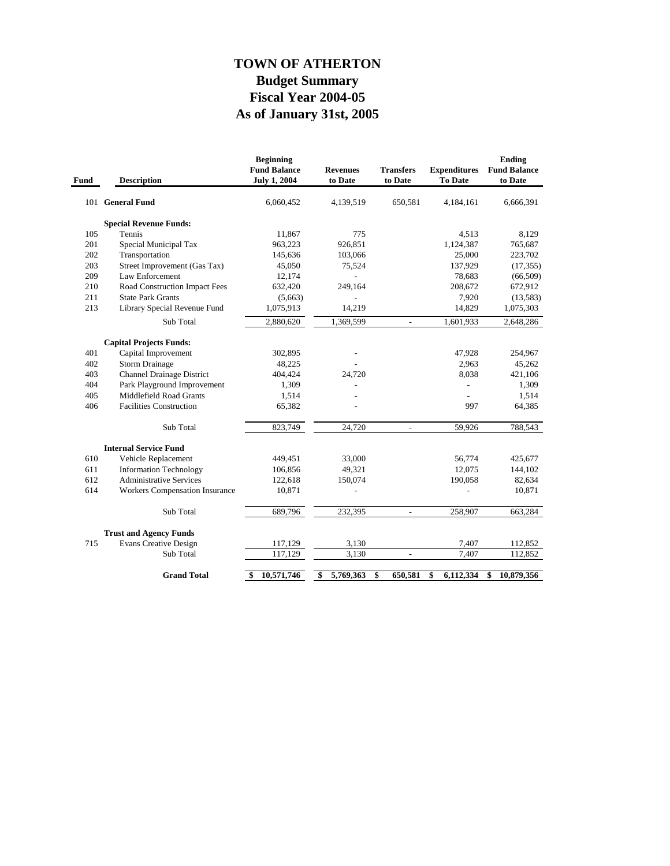## **As of January 31st, 2005 Fiscal Year 2004-05 Budget Summary TOWN OF ATHERTON**

| Fund | <b>Description</b>               | <b>Beginning</b><br><b>Fund Balance</b><br><b>July 1, 2004</b> | <b>Revenues</b><br>to Date | <b>Transfers</b><br>to Date | <b>Expenditures</b><br><b>To Date</b> | Ending<br><b>Fund Balance</b><br>to Date |
|------|----------------------------------|----------------------------------------------------------------|----------------------------|-----------------------------|---------------------------------------|------------------------------------------|
|      | 101 General Fund                 | 6,060,452                                                      | 4,139,519                  | 650,581                     | 4,184,161                             | 6,666,391                                |
|      | <b>Special Revenue Funds:</b>    |                                                                |                            |                             |                                       |                                          |
| 105  | Tennis                           | 11,867                                                         | 775                        |                             | 4,513                                 | 8,129                                    |
| 201  | Special Municipal Tax            | 963,223                                                        | 926,851                    |                             | 1,124,387                             | 765,687                                  |
| 202  | Transportation                   | 145,636                                                        | 103,066                    |                             | 25,000                                | 223,702                                  |
| 203  | Street Improvement (Gas Tax)     | 45,050                                                         | 75,524                     |                             | 137,929                               | (17, 355)                                |
| 209  | Law Enforcement                  | 12,174                                                         |                            |                             | 78,683                                | (66, 509)                                |
| 210  | Road Construction Impact Fees    | 632,420                                                        | 249,164                    |                             | 208,672                               | 672,912                                  |
| 211  | <b>State Park Grants</b>         | (5,663)                                                        |                            |                             | 7,920                                 | (13, 583)                                |
| 213  | Library Special Revenue Fund     | 1,075,913                                                      | 14,219                     |                             | 14,829                                | 1,075,303                                |
|      | Sub Total                        | 2,880,620                                                      | 1,369,599                  | $\overline{\phantom{a}}$    | 1,601,933                             | 2,648,286                                |
|      | <b>Capital Projects Funds:</b>   |                                                                |                            |                             |                                       |                                          |
| 401  | Capital Improvement              | 302,895                                                        |                            |                             | 47,928                                | 254,967                                  |
| 402  | <b>Storm Drainage</b>            | 48,225                                                         |                            |                             | 2,963                                 | 45,262                                   |
| 403  | <b>Channel Drainage District</b> | 404,424                                                        | 24,720                     |                             | 8,038                                 | 421,106                                  |
| 404  | Park Playground Improvement      | 1,309                                                          |                            |                             | $\overline{a}$                        | 1,309                                    |
| 405  | Middlefield Road Grants          | 1,514                                                          |                            |                             | $\overline{a}$                        | 1,514                                    |
| 406  | <b>Facilities Construction</b>   | 65,382                                                         |                            |                             | 997                                   | 64,385                                   |
|      | Sub Total                        | 823,749                                                        | 24,720                     | $\overline{a}$              | 59,926                                | 788,543                                  |
|      | <b>Internal Service Fund</b>     |                                                                |                            |                             |                                       |                                          |
| 610  | Vehicle Replacement              | 449,451                                                        | 33,000                     |                             | 56,774                                | 425,677                                  |
| 611  | <b>Information Technology</b>    | 106,856                                                        | 49,321                     |                             | 12,075                                | 144,102                                  |
| 612  | <b>Administrative Services</b>   | 122,618                                                        | 150,074                    |                             | 190,058                               | 82,634                                   |
| 614  | Workers Compensation Insurance   | 10,871                                                         |                            |                             |                                       | 10,871                                   |
|      | Sub Total                        | 689,796                                                        | 232,395                    | $\overline{a}$              | 258,907                               | 663,284                                  |
|      |                                  |                                                                |                            |                             |                                       |                                          |
|      | <b>Trust and Agency Funds</b>    |                                                                |                            |                             |                                       |                                          |
| 715  | <b>Evans Creative Design</b>     | 117,129                                                        | 3,130                      |                             | 7,407                                 | 112,852                                  |
|      | Sub Total                        | 117,129                                                        | 3,130                      | $\overline{\phantom{a}}$    | 7,407                                 | 112,852                                  |
|      | <b>Grand Total</b>               | 10,571,746<br>\$                                               | 5,769,363<br>\$            | \$<br>650,581               | 6,112,334<br>\$                       | 10,879,356<br>\$                         |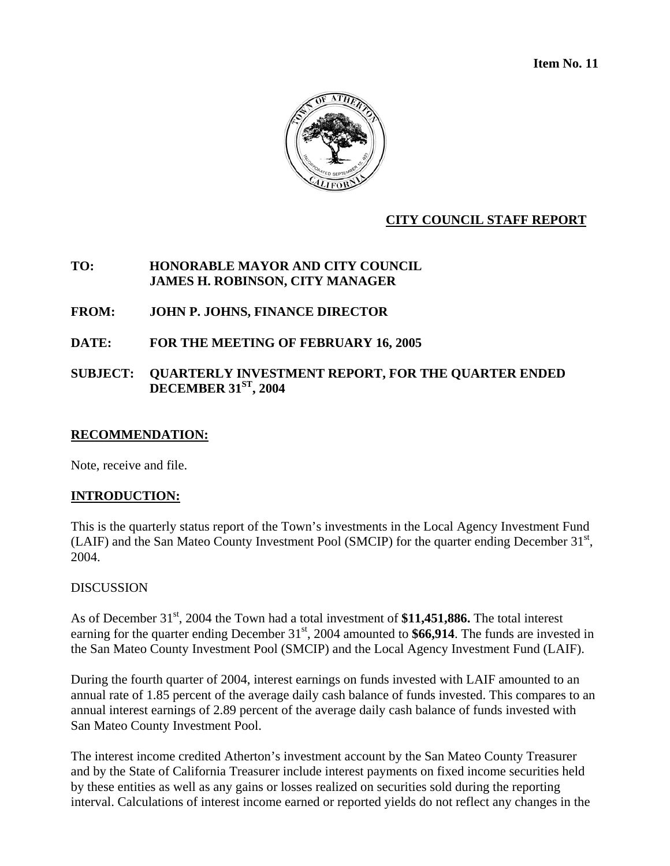**Item No. 11** 



#### **CITY COUNCIL STAFF REPORT**

#### **TO: HONORABLE MAYOR AND CITY COUNCIL JAMES H. ROBINSON, CITY MANAGER**

#### **FROM: JOHN P. JOHNS, FINANCE DIRECTOR**

#### **DATE: FOR THE MEETING OF FEBRUARY 16, 2005**

#### **SUBJECT: QUARTERLY INVESTMENT REPORT, FOR THE QUARTER ENDED DECEMBER 31ST, 2004**

#### **RECOMMENDATION:**

Note, receive and file.

#### **INTRODUCTION:**

This is the quarterly status report of the Town's investments in the Local Agency Investment Fund (LAIF) and the San Mateo County Investment Pool (SMCIP) for the quarter ending December 31<sup>st</sup>, 2004.

#### DISCUSSION

As of December 31<sup>st</sup>, 2004 the Town had a total investment of \$11,451,886. The total interest earning for the quarter ending December  $31<sup>st</sup>$ , 2004 amounted to **\$66,914**. The funds are invested in the San Mateo County Investment Pool (SMCIP) and the Local Agency Investment Fund (LAIF).

During the fourth quarter of 2004, interest earnings on funds invested with LAIF amounted to an annual rate of 1.85 percent of the average daily cash balance of funds invested. This compares to an annual interest earnings of 2.89 percent of the average daily cash balance of funds invested with San Mateo County Investment Pool.

The interest income credited Atherton's investment account by the San Mateo County Treasurer and by the State of California Treasurer include interest payments on fixed income securities held by these entities as well as any gains or losses realized on securities sold during the reporting interval. Calculations of interest income earned or reported yields do not reflect any changes in the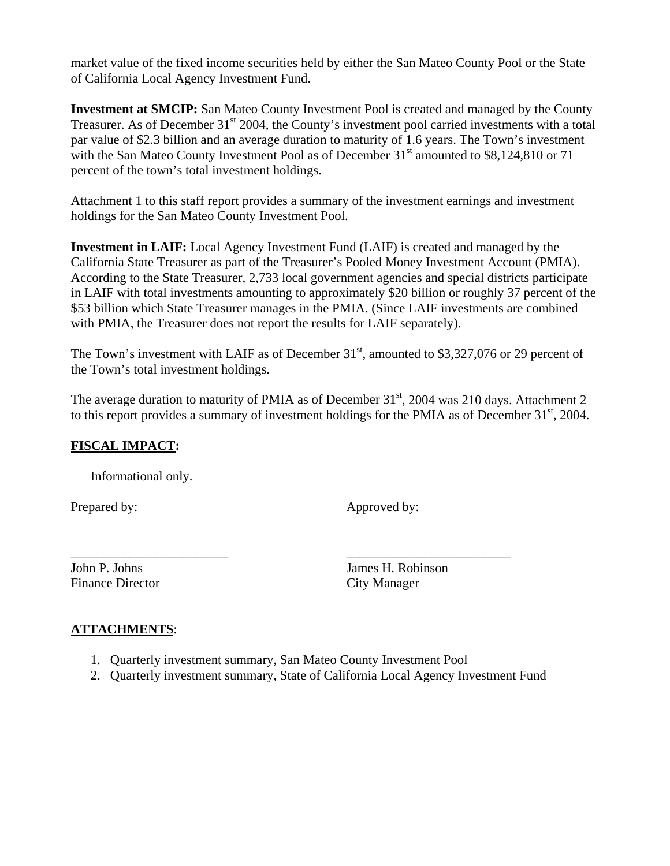market value of the fixed income securities held by either the San Mateo County Pool or the State of California Local Agency Investment Fund.

**Investment at SMCIP:** San Mateo County Investment Pool is created and managed by the County Treasurer. As of December 31<sup>st</sup> 2004, the County's investment pool carried investments with a total par value of \$2.3 billion and an average duration to maturity of 1.6 years. The Town's investment with the San Mateo County Investment Pool as of December  $31<sup>st</sup>$  amounted to \$8,124,810 or 71 percent of the town's total investment holdings.

Attachment 1 to this staff report provides a summary of the investment earnings and investment holdings for the San Mateo County Investment Pool.

**Investment in LAIF:** Local Agency Investment Fund (LAIF) is created and managed by the California State Treasurer as part of the Treasurer's Pooled Money Investment Account (PMIA). According to the State Treasurer, 2,733 local government agencies and special districts participate in LAIF with total investments amounting to approximately \$20 billion or roughly 37 percent of the \$53 billion which State Treasurer manages in the PMIA. (Since LAIF investments are combined with PMIA, the Treasurer does not report the results for LAIF separately).

The Town's investment with LAIF as of December  $31<sup>st</sup>$ , amounted to \$3,327,076 or 29 percent of the Town's total investment holdings.

The average duration to maturity of PMIA as of December  $31<sup>st</sup>$ , 2004 was 210 days. Attachment 2 to this report provides a summary of investment holdings for the PMIA as of December  $31<sup>st</sup>$ , 2004.

## **FISCAL IMPACT:**

Informational only.

Prepared by: Approved by:

Finance Director City Manager

John P. Johns James H. Robinson

#### **ATTACHMENTS**:

1. Quarterly investment summary, San Mateo County Investment Pool

\_\_\_\_\_\_\_\_\_\_\_\_\_\_\_\_\_\_\_\_\_\_\_\_ \_\_\_\_\_\_\_\_\_\_\_\_\_\_\_\_\_\_\_\_\_\_\_\_\_

2. Quarterly investment summary, State of California Local Agency Investment Fund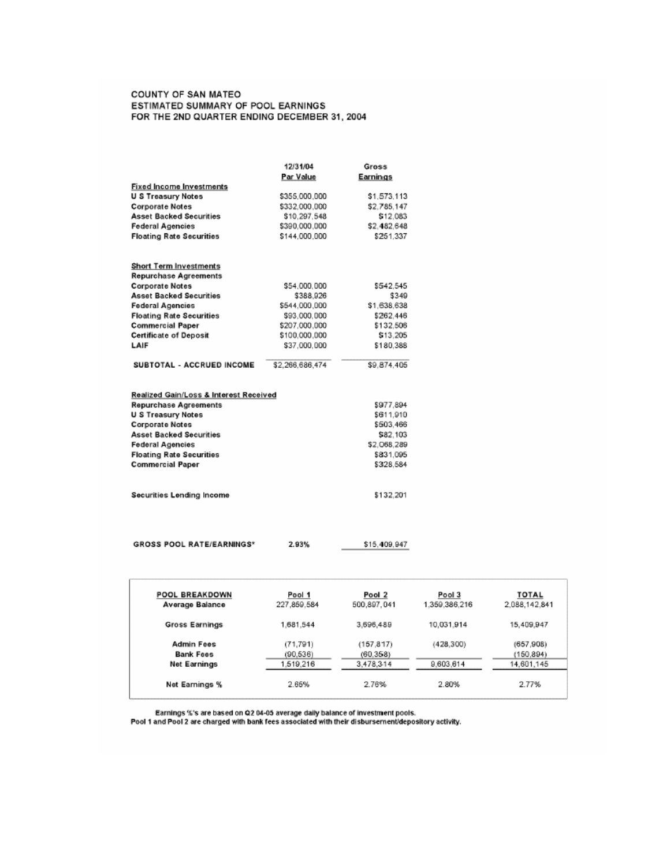#### COUNTY OF SAN MATEO ESTIMATED SUMMARY OF POOL EARNINGS FOR THE 2ND QUARTER ENDING DECEMBER 31, 2004

|                                        | 12/31/04        | Gross       |
|----------------------------------------|-----------------|-------------|
|                                        | Par Value       | Earnings    |
| <b>Fixed Income Investments</b>        |                 |             |
| U S Treasury Notes                     | \$355,000,000   | \$1.573.113 |
| <b>Corporate Notes</b>                 | \$332,000.000   | \$2.785.147 |
| <b>Asset Backed Securities</b>         | \$10.297.548    | \$12,083    |
| <b>Federal Agencies</b>                | \$390,000,000   | \$2,482,648 |
| <b>Floating Rate Securities</b>        | \$144.000.000   | \$251.337   |
| <b>Short Term Investments</b>          |                 |             |
| <b>Repurchase Agreements</b>           |                 |             |
| <b>Corporate Notes</b>                 | \$54,000,000    | \$542.545   |
| <b>Asset Backed Securities</b>         | \$388,926       | \$349       |
| <b>Federal Agencies</b>                | \$544.000,000   | \$1,638,638 |
| <b>Floating Rate Securities</b>        | \$93,000,000    | \$262.446   |
| <b>Commercial Paper</b>                | \$207.000.000   | \$132,506   |
| <b>Certificate of Deposit</b>          | \$100,000,000   | \$13,205    |
| LAIF                                   | \$37.000.000    | \$180.388   |
| SUBTOTAL - ACCRUED INCOME              | \$2.266,686,474 | \$9.874.405 |
| Realized Gain/Loss & Interest Received |                 |             |
| <b>Repurchase Agreements</b>           |                 | \$977.894   |
| <b>U S Treasury Notes</b>              |                 | \$611.910   |
| Corporate Notes                        |                 | \$503.466   |
| <b>Asset Backed Securities</b>         |                 | \$82,103    |
| <b>Federal Agencies</b>                |                 | \$2,068,289 |
| <b>Floating Rate Securities</b>        |                 | \$831,095   |
| <b>Commercial Paper</b>                |                 | \$328.584   |
| Securities Lending Income              |                 | \$132,201   |
|                                        |                 |             |

**GROSS POOL RATE/EARNINGS\*** 

\$15,409,947

| POOL BREAKDOWN<br>Average Balance | Pool 1<br>227,859.584 | Pool 2<br>500.897.041 | Pool 3<br>1.359.386.216 | <b>TOTAL</b><br>2.088.142.841 |
|-----------------------------------|-----------------------|-----------------------|-------------------------|-------------------------------|
| <b>Gross Earnings</b>             | 1,681,544             | 3,696,489             | 10,031.914              | 15,409,947                    |
| Admin Fees<br>Bank Fees           | (71, 791)<br>(90.536) | (157.817)<br>(60.358) | (428,300)               | (657, 908)<br>(150.894)       |
| Net Earnings                      | 1,519,216             | 3,478,314             | 9.603.614               | 14.601.145                    |
| Net Earnings %                    | 2.65%                 | 2.76%                 | 2.80%                   | 2.77%                         |

Earnings %'s are based on Q2 04-05 average daily balance of investment pools.<br>Pool 1 and Pool 2 are charged with bank fees associated with their disbursement/depository activity.

2.93%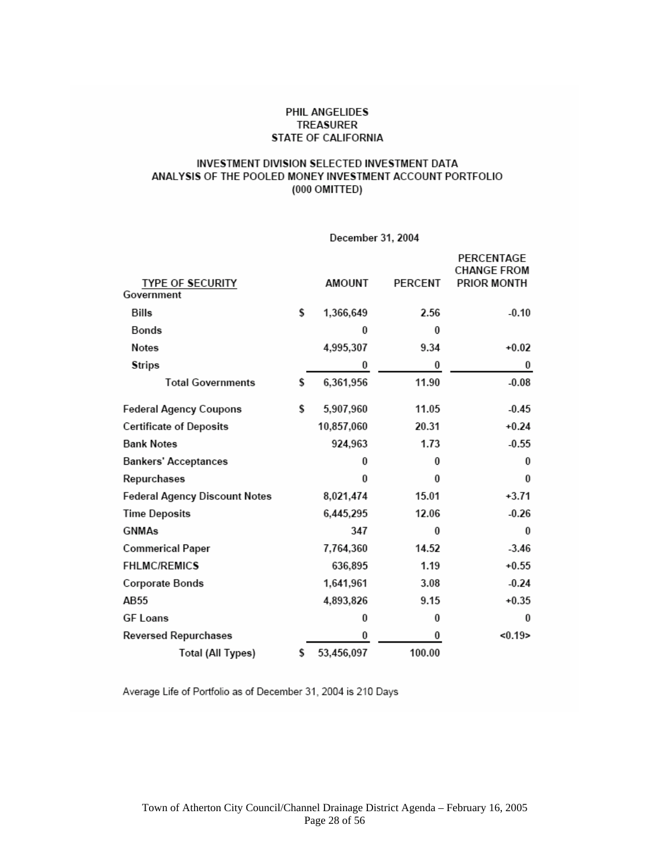#### PHIL ANGELIDES **TREASURER** STATE OF CALIFORNIA

#### INVESTMENT DIVISION SELECTED INVESTMENT DATA ANALYSIS OF THE POOLED MONEY INVESTMENT ACCOUNT PORTFOLIO (000 OMITTED)

#### December 31, 2004

|                                |    |               |         | PERCENTAGE<br><b>CHANGE FROM</b> |
|--------------------------------|----|---------------|---------|----------------------------------|
| <b>TYPE OF SECURITY</b>        |    | <b>AMOUNT</b> | PERCENT | PRIOR MONTH                      |
| Government                     |    |               |         |                                  |
| Bills                          | \$ | 1,366,649     | 2.56    | $-0.10$                          |
| Bonds                          |    | $\bf{0}$      | 0       |                                  |
| <b>Notes</b>                   |    | 4,995,307     | 9.34    | $+0.02$                          |
| <b>Strips</b>                  |    | 0             | 0       | 0                                |
| <b>Total Governments</b>       | \$ | 6,361,956     | 11.90   | $-0.08$                          |
| <b>Federal Agency Coupons</b>  | \$ | 5,907,960     | 11.05   | $-0.45$                          |
| <b>Certificate of Deposits</b> |    | 10,857,060    | 20.31   | $+0.24$                          |
| <b>Bank Notes</b>              |    | 924,963       | 1.73    | $-0.55$                          |
| <b>Bankers' Acceptances</b>    |    | 0             | 0       | $\bf{0}$                         |
| Repurchases                    |    | $\Omega$      | 0       | $\bf{0}$                         |
| Federal Agency Discount Notes  |    | 8,021,474     | 15.01   | $+3.71$                          |
| <b>Time Deposits</b>           |    | 6,445,295     | 12.06   | $-0.26$                          |
| <b>GNMAs</b>                   |    | 347           | 0       | 0                                |
| <b>Commerical Paper</b>        |    | 7,764,360     | 14.52   | $-3.46$                          |
| <b>FHLMC/REMICS</b>            |    | 636,895       | 1.19    | $+0.55$                          |
| Corporate Bonds                |    | 1,641,961     | 3.08    | $-0.24$                          |
| AB55                           |    | 4,893,826     | 9.15    | $+0.35$                          |
| <b>GF Loans</b>                |    | $\bf{0}$      | 0       | $\bf{0}$                         |
| <b>Reversed Repurchases</b>    |    | 0             | 0       | < 0.19                           |
| <b>Total (All Types)</b>       | s  | 53,456,097    | 100.00  |                                  |

Average Life of Portfolio as of December 31, 2004 is 210 Days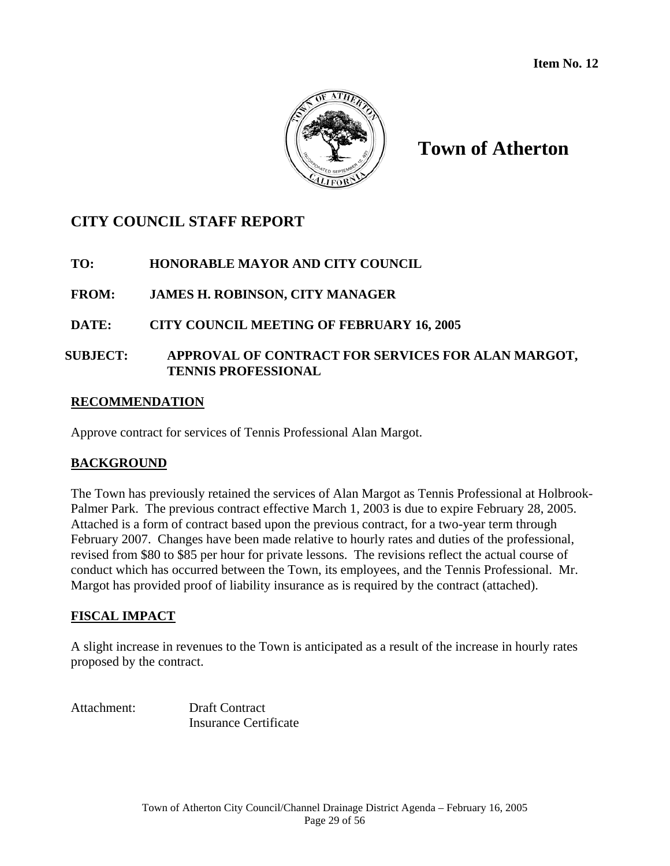

## **Town of Atherton**

## **CITY COUNCIL STAFF REPORT**

## **TO: HONORABLE MAYOR AND CITY COUNCIL**

## **FROM: JAMES H. ROBINSON, CITY MANAGER**

## **DATE: CITY COUNCIL MEETING OF FEBRUARY 16, 2005**

### **SUBJECT: APPROVAL OF CONTRACT FOR SERVICES FOR ALAN MARGOT, TENNIS PROFESSIONAL**

#### **RECOMMENDATION**

Approve contract for services of Tennis Professional Alan Margot.

## **BACKGROUND**

The Town has previously retained the services of Alan Margot as Tennis Professional at Holbrook-Palmer Park. The previous contract effective March 1, 2003 is due to expire February 28, 2005. Attached is a form of contract based upon the previous contract, for a two-year term through February 2007. Changes have been made relative to hourly rates and duties of the professional, revised from \$80 to \$85 per hour for private lessons. The revisions reflect the actual course of conduct which has occurred between the Town, its employees, and the Tennis Professional. Mr. Margot has provided proof of liability insurance as is required by the contract (attached).

## **FISCAL IMPACT**

A slight increase in revenues to the Town is anticipated as a result of the increase in hourly rates proposed by the contract.

Attachment: Draft Contract Insurance Certificate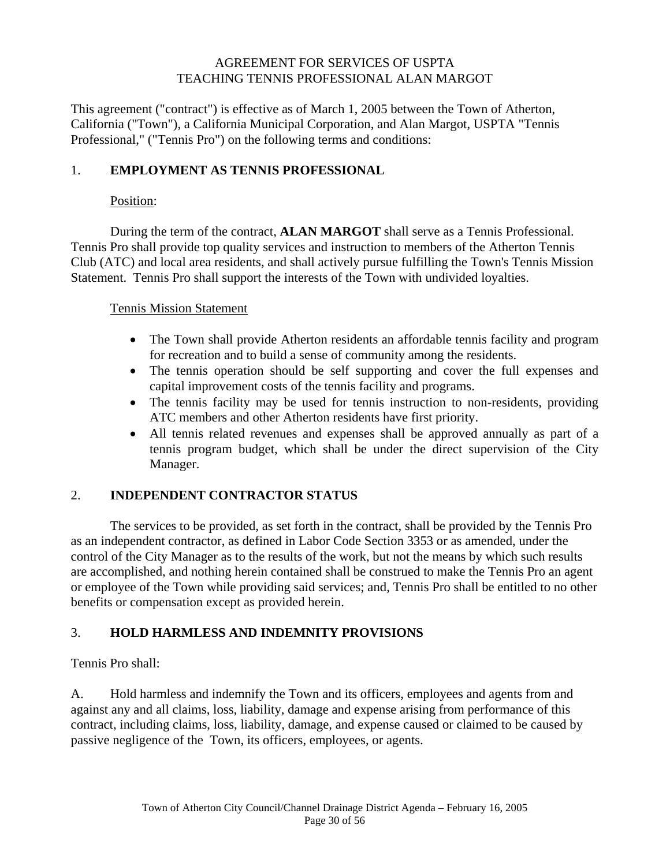#### AGREEMENT FOR SERVICES OF USPTA TEACHING TENNIS PROFESSIONAL ALAN MARGOT

This agreement ("contract") is effective as of March 1, 2005 between the Town of Atherton, California ("Town"), a California Municipal Corporation, and Alan Margot, USPTA "Tennis Professional," ("Tennis Pro") on the following terms and conditions:

### 1. **EMPLOYMENT AS TENNIS PROFESSIONAL**

#### Position:

 During the term of the contract, **ALAN MARGOT** shall serve as a Tennis Professional. Tennis Pro shall provide top quality services and instruction to members of the Atherton Tennis Club (ATC) and local area residents, and shall actively pursue fulfilling the Town's Tennis Mission Statement. Tennis Pro shall support the interests of the Town with undivided loyalties.

#### Tennis Mission Statement

- The Town shall provide Atherton residents an affordable tennis facility and program for recreation and to build a sense of community among the residents.
- The tennis operation should be self supporting and cover the full expenses and capital improvement costs of the tennis facility and programs.
- The tennis facility may be used for tennis instruction to non-residents, providing ATC members and other Atherton residents have first priority.
- All tennis related revenues and expenses shall be approved annually as part of a tennis program budget, which shall be under the direct supervision of the City Manager.

## 2. **INDEPENDENT CONTRACTOR STATUS**

The services to be provided, as set forth in the contract, shall be provided by the Tennis Pro as an independent contractor, as defined in Labor Code Section 3353 or as amended, under the control of the City Manager as to the results of the work, but not the means by which such results are accomplished, and nothing herein contained shall be construed to make the Tennis Pro an agent or employee of the Town while providing said services; and, Tennis Pro shall be entitled to no other benefits or compensation except as provided herein.

## 3. **HOLD HARMLESS AND INDEMNITY PROVISIONS**

Tennis Pro shall:

A. Hold harmless and indemnify the Town and its officers, employees and agents from and against any and all claims, loss, liability, damage and expense arising from performance of this contract, including claims, loss, liability, damage, and expense caused or claimed to be caused by passive negligence of the Town, its officers, employees, or agents.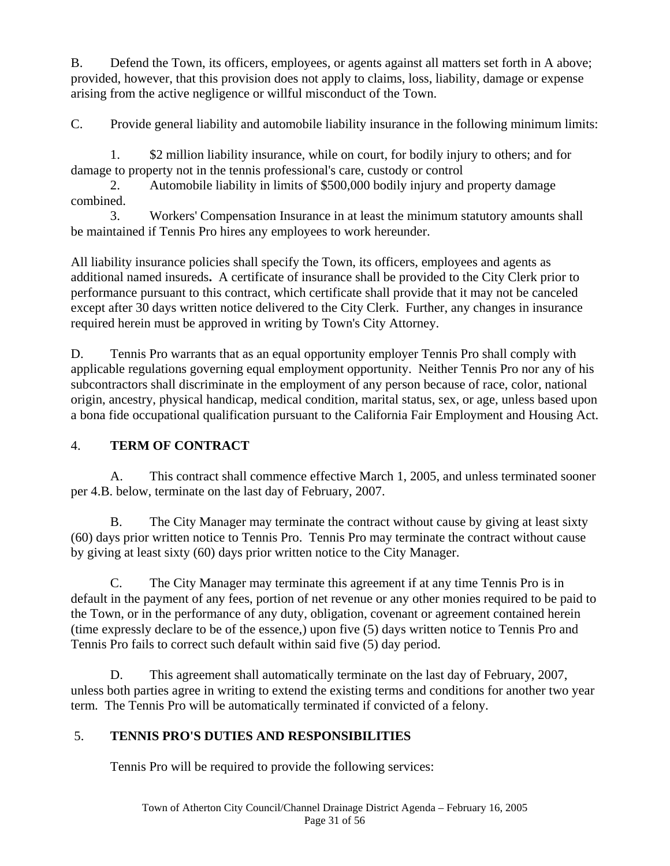B. Defend the Town, its officers, employees, or agents against all matters set forth in A above; provided, however, that this provision does not apply to claims, loss, liability, damage or expense arising from the active negligence or willful misconduct of the Town.

C. Provide general liability and automobile liability insurance in the following minimum limits:

 1. \$2 million liability insurance, while on court, for bodily injury to others; and for damage to property not in the tennis professional's care, custody or control

 2. Automobile liability in limits of \$500,000 bodily injury and property damage combined.

 3. Workers' Compensation Insurance in at least the minimum statutory amounts shall be maintained if Tennis Pro hires any employees to work hereunder.

All liability insurance policies shall specify the Town, its officers, employees and agents as additional named insureds**.** A certificate of insurance shall be provided to the City Clerk prior to performance pursuant to this contract, which certificate shall provide that it may not be canceled except after 30 days written notice delivered to the City Clerk. Further, any changes in insurance required herein must be approved in writing by Town's City Attorney.

D. Tennis Pro warrants that as an equal opportunity employer Tennis Pro shall comply with applicable regulations governing equal employment opportunity. Neither Tennis Pro nor any of his subcontractors shall discriminate in the employment of any person because of race, color, national origin, ancestry, physical handicap, medical condition, marital status, sex, or age, unless based upon a bona fide occupational qualification pursuant to the California Fair Employment and Housing Act.

## 4. **TERM OF CONTRACT**

 A. This contract shall commence effective March 1, 2005, and unless terminated sooner per 4.B. below, terminate on the last day of February, 2007.

 B. The City Manager may terminate the contract without cause by giving at least sixty (60) days prior written notice to Tennis Pro. Tennis Pro may terminate the contract without cause by giving at least sixty (60) days prior written notice to the City Manager.

C. The City Manager may terminate this agreement if at any time Tennis Pro is in default in the payment of any fees, portion of net revenue or any other monies required to be paid to the Town, or in the performance of any duty, obligation, covenant or agreement contained herein (time expressly declare to be of the essence,) upon five (5) days written notice to Tennis Pro and Tennis Pro fails to correct such default within said five (5) day period.

D. This agreement shall automatically terminate on the last day of February, 2007, unless both parties agree in writing to extend the existing terms and conditions for another two year term. The Tennis Pro will be automatically terminated if convicted of a felony.

## 5. **TENNIS PRO'S DUTIES AND RESPONSIBILITIES**

Tennis Pro will be required to provide the following services: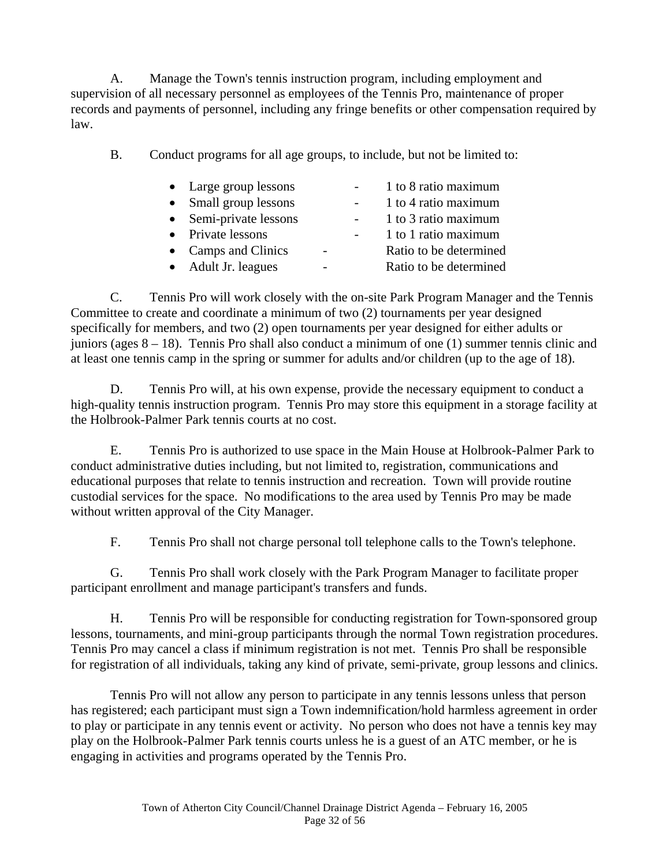A. Manage the Town's tennis instruction program, including employment and supervision of all necessary personnel as employees of the Tennis Pro, maintenance of proper records and payments of personnel, including any fringe benefits or other compensation required by law.

B. Conduct programs for all age groups, to include, but not be limited to:

|           | • Large group lessons  |  | 1 to 8 ratio maximum   |
|-----------|------------------------|--|------------------------|
| $\bullet$ | Small group lessons    |  | 1 to 4 ratio maximum   |
|           | • Semi-private lessons |  | 1 to 3 ratio maximum   |
|           | • Private lessons      |  | 1 to 1 ratio maximum   |
|           | • Camps and Clinics    |  | Ratio to be determined |
|           | • Adult Jr. leagues    |  | Ratio to be determined |
|           |                        |  |                        |

C. Tennis Pro will work closely with the on-site Park Program Manager and the Tennis Committee to create and coordinate a minimum of two (2) tournaments per year designed specifically for members, and two (2) open tournaments per year designed for either adults or juniors (ages 8 – 18). Tennis Pro shall also conduct a minimum of one (1) summer tennis clinic and at least one tennis camp in the spring or summer for adults and/or children (up to the age of 18).

 D. Tennis Pro will, at his own expense, provide the necessary equipment to conduct a high-quality tennis instruction program. Tennis Pro may store this equipment in a storage facility at the Holbrook-Palmer Park tennis courts at no cost.

 E. Tennis Pro is authorized to use space in the Main House at Holbrook-Palmer Park to conduct administrative duties including, but not limited to, registration, communications and educational purposes that relate to tennis instruction and recreation. Town will provide routine custodial services for the space. No modifications to the area used by Tennis Pro may be made without written approval of the City Manager.

F. Tennis Pro shall not charge personal toll telephone calls to the Town's telephone.

 G. Tennis Pro shall work closely with the Park Program Manager to facilitate proper participant enrollment and manage participant's transfers and funds.

 H. Tennis Pro will be responsible for conducting registration for Town-sponsored group lessons, tournaments, and mini-group participants through the normal Town registration procedures. Tennis Pro may cancel a class if minimum registration is not met. Tennis Pro shall be responsible for registration of all individuals, taking any kind of private, semi-private, group lessons and clinics.

 Tennis Pro will not allow any person to participate in any tennis lessons unless that person has registered; each participant must sign a Town indemnification/hold harmless agreement in order to play or participate in any tennis event or activity. No person who does not have a tennis key may play on the Holbrook-Palmer Park tennis courts unless he is a guest of an ATC member, or he is engaging in activities and programs operated by the Tennis Pro.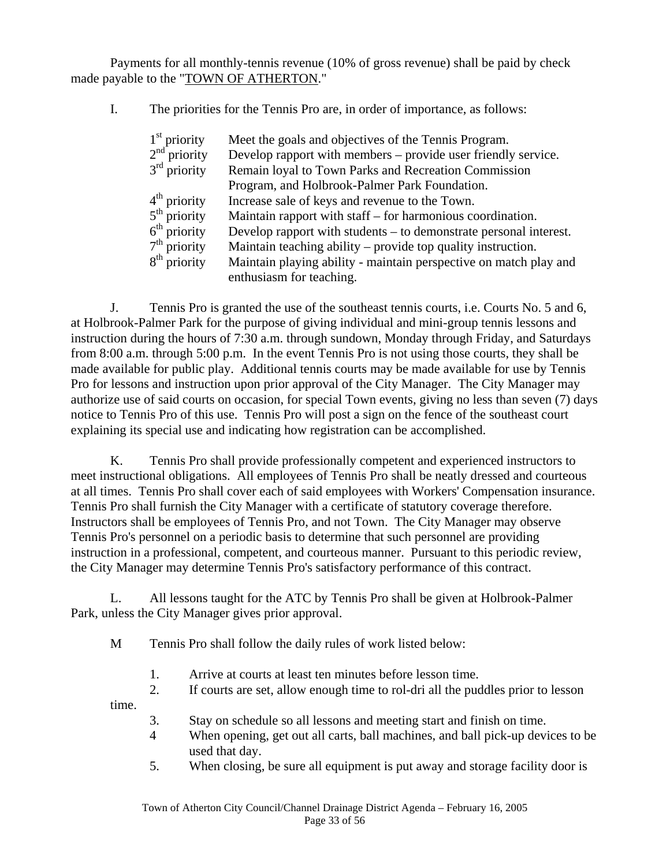Payments for all monthly-tennis revenue (10% of gross revenue) shall be paid by check made payable to the "TOWN OF ATHERTON."

I. The priorities for the Tennis Pro are, in order of importance, as follows:

| $1st$ priority | Meet the goals and objectives of the Tennis Program.              |
|----------------|-------------------------------------------------------------------|
| $2nd$ priority | Develop rapport with members – provide user friendly service.     |
| $3rd$ priority | Remain loyal to Town Parks and Recreation Commission              |
|                | Program, and Holbrook-Palmer Park Foundation.                     |
| $4th$ priority | Increase sale of keys and revenue to the Town.                    |
| $5th$ priority | Maintain rapport with staff – for harmonious coordination.        |
| $6th$ priority | Develop rapport with students – to demonstrate personal interest. |
| $7th$ priority | Maintain teaching ability – provide top quality instruction.      |
| $8th$ priority | Maintain playing ability - maintain perspective on match play and |
|                | enthusiasm for teaching.                                          |

J. Tennis Pro is granted the use of the southeast tennis courts, i.e. Courts No. 5 and 6, at Holbrook-Palmer Park for the purpose of giving individual and mini-group tennis lessons and instruction during the hours of 7:30 a.m. through sundown, Monday through Friday, and Saturdays from 8:00 a.m. through 5:00 p.m. In the event Tennis Pro is not using those courts, they shall be made available for public play. Additional tennis courts may be made available for use by Tennis Pro for lessons and instruction upon prior approval of the City Manager. The City Manager may authorize use of said courts on occasion, for special Town events, giving no less than seven (7) days notice to Tennis Pro of this use. Tennis Pro will post a sign on the fence of the southeast court explaining its special use and indicating how registration can be accomplished.

 K. Tennis Pro shall provide professionally competent and experienced instructors to meet instructional obligations. All employees of Tennis Pro shall be neatly dressed and courteous at all times. Tennis Pro shall cover each of said employees with Workers' Compensation insurance. Tennis Pro shall furnish the City Manager with a certificate of statutory coverage therefore. Instructors shall be employees of Tennis Pro, and not Town. The City Manager may observe Tennis Pro's personnel on a periodic basis to determine that such personnel are providing instruction in a professional, competent, and courteous manner. Pursuant to this periodic review, the City Manager may determine Tennis Pro's satisfactory performance of this contract.

 L. All lessons taught for the ATC by Tennis Pro shall be given at Holbrook-Palmer Park, unless the City Manager gives prior approval.

M Tennis Pro shall follow the daily rules of work listed below:

1. Arrive at courts at least ten minutes before lesson time.

2. If courts are set, allow enough time to rol-dri all the puddles prior to lesson

time.

- 3. Stay on schedule so all lessons and meeting start and finish on time.
- 4 When opening, get out all carts, ball machines, and ball pick-up devices to be used that day.
- 5. When closing, be sure all equipment is put away and storage facility door is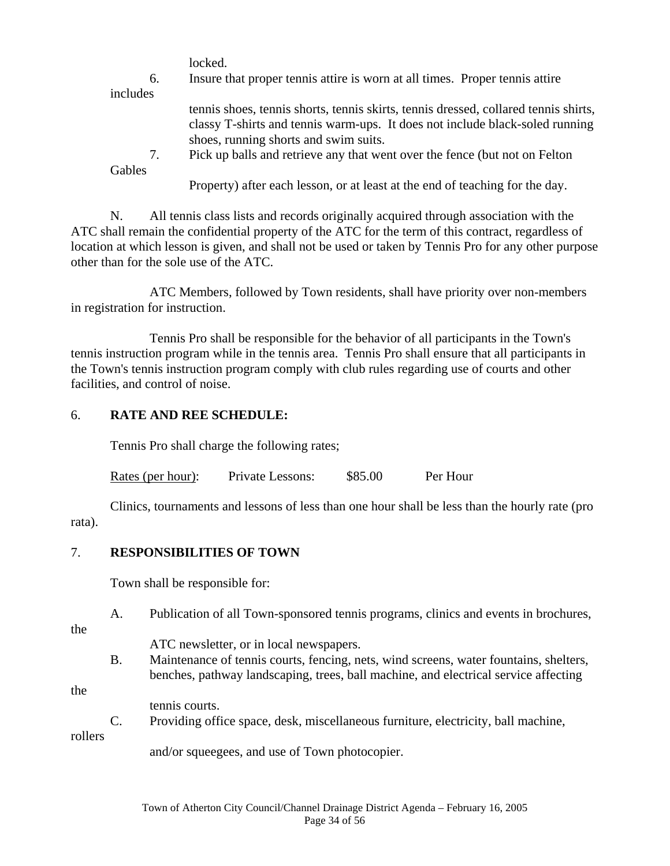locked.

| 6.            | Insure that proper tennis attire is worn at all times. Proper tennis attire         |
|---------------|-------------------------------------------------------------------------------------|
| includes      |                                                                                     |
|               | tennis shoes, tennis shorts, tennis skirts, tennis dressed, collared tennis shirts, |
|               | classy T-shirts and tennis warm-ups. It does not include black-soled running        |
|               | shoes, running shorts and swim suits.                                               |
| 7.            | Pick up balls and retrieve any that went over the fence (but not on Felton          |
| <b>Gables</b> |                                                                                     |

Property) after each lesson, or at least at the end of teaching for the day.

 N. All tennis class lists and records originally acquired through association with the ATC shall remain the confidential property of the ATC for the term of this contract, regardless of location at which lesson is given, and shall not be used or taken by Tennis Pro for any other purpose other than for the sole use of the ATC.

 ATC Members, followed by Town residents, shall have priority over non-members in registration for instruction.

 Tennis Pro shall be responsible for the behavior of all participants in the Town's tennis instruction program while in the tennis area. Tennis Pro shall ensure that all participants in the Town's tennis instruction program comply with club rules regarding use of courts and other facilities, and control of noise.

#### 6. **RATE AND REE SCHEDULE:**

Tennis Pro shall charge the following rates;

Rates (per hour): Private Lessons: \$85.00 Per Hour

 Clinics, tournaments and lessons of less than one hour shall be less than the hourly rate (pro rata).

#### 7. **RESPONSIBILITIES OF TOWN**

Town shall be responsible for:

A. Publication of all Town-sponsored tennis programs, clinics and events in brochures,

the

ATC newsletter, or in local newspapers.

 B. Maintenance of tennis courts, fencing, nets, wind screens, water fountains, shelters, benches, pathway landscaping, trees, ball machine, and electrical service affecting

the

tennis courts.

C. Providing office space, desk, miscellaneous furniture, electricity, ball machine,

rollers

and/or squeegees, and use of Town photocopier.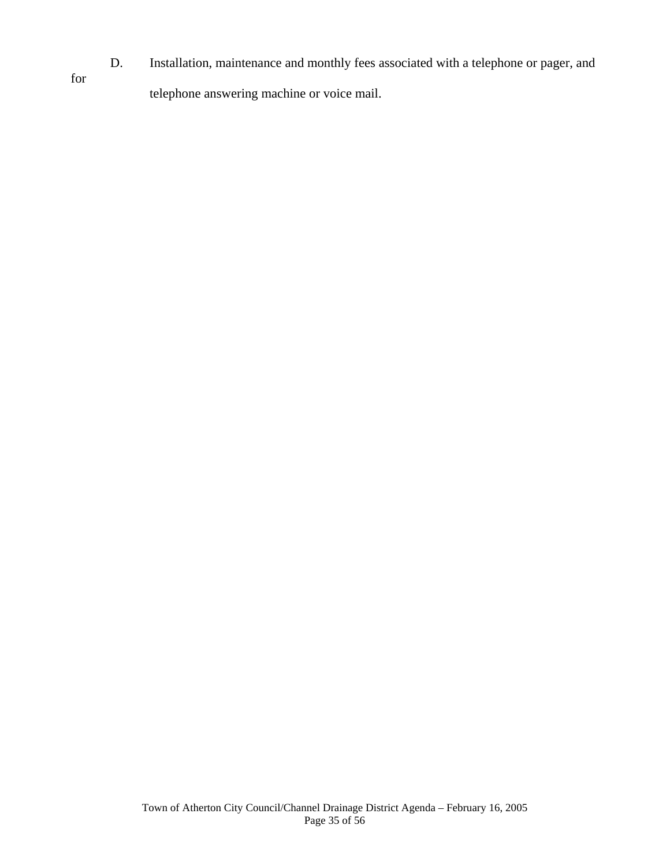D. Installation, maintenance and monthly fees associated with a telephone or pager, and for telephone answering machine or voice mail.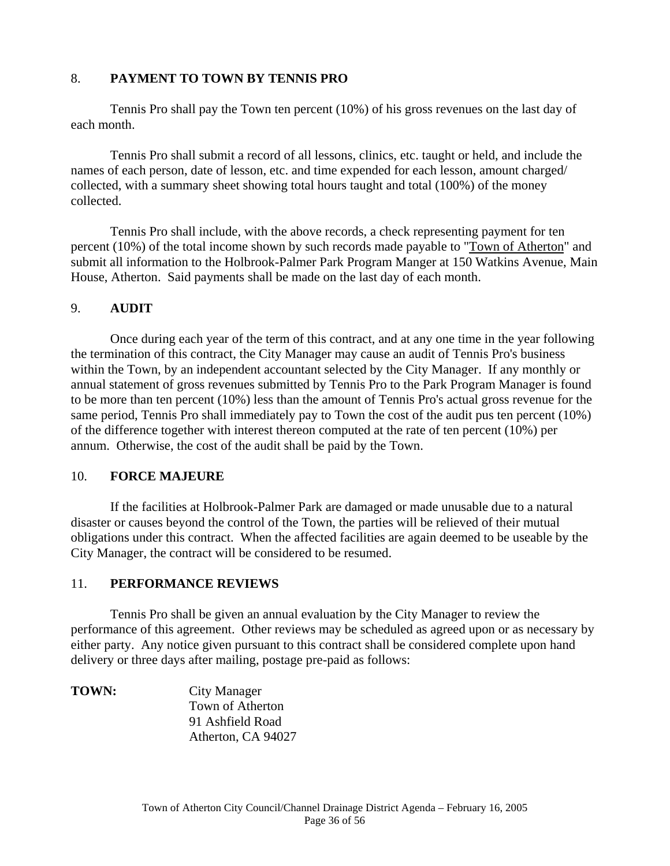#### 8. **PAYMENT TO TOWN BY TENNIS PRO**

 Tennis Pro shall pay the Town ten percent (10%) of his gross revenues on the last day of each month.

 Tennis Pro shall submit a record of all lessons, clinics, etc. taught or held, and include the names of each person, date of lesson, etc. and time expended for each lesson, amount charged/ collected, with a summary sheet showing total hours taught and total (100%) of the money collected.

 Tennis Pro shall include, with the above records, a check representing payment for ten percent (10%) of the total income shown by such records made payable to "Town of Atherton" and submit all information to the Holbrook-Palmer Park Program Manger at 150 Watkins Avenue, Main House, Atherton. Said payments shall be made on the last day of each month.

#### 9. **AUDIT**

 Once during each year of the term of this contract, and at any one time in the year following the termination of this contract, the City Manager may cause an audit of Tennis Pro's business within the Town, by an independent accountant selected by the City Manager. If any monthly or annual statement of gross revenues submitted by Tennis Pro to the Park Program Manager is found to be more than ten percent (10%) less than the amount of Tennis Pro's actual gross revenue for the same period, Tennis Pro shall immediately pay to Town the cost of the audit pus ten percent (10%) of the difference together with interest thereon computed at the rate of ten percent (10%) per annum. Otherwise, the cost of the audit shall be paid by the Town.

#### 10. **FORCE MAJEURE**

 If the facilities at Holbrook-Palmer Park are damaged or made unusable due to a natural disaster or causes beyond the control of the Town, the parties will be relieved of their mutual obligations under this contract. When the affected facilities are again deemed to be useable by the City Manager, the contract will be considered to be resumed.

#### 11. **PERFORMANCE REVIEWS**

 Tennis Pro shall be given an annual evaluation by the City Manager to review the performance of this agreement. Other reviews may be scheduled as agreed upon or as necessary by either party. Any notice given pursuant to this contract shall be considered complete upon hand delivery or three days after mailing, postage pre-paid as follows:

**TOWN:** City Manager Town of Atherton 91 Ashfield Road Atherton, CA 94027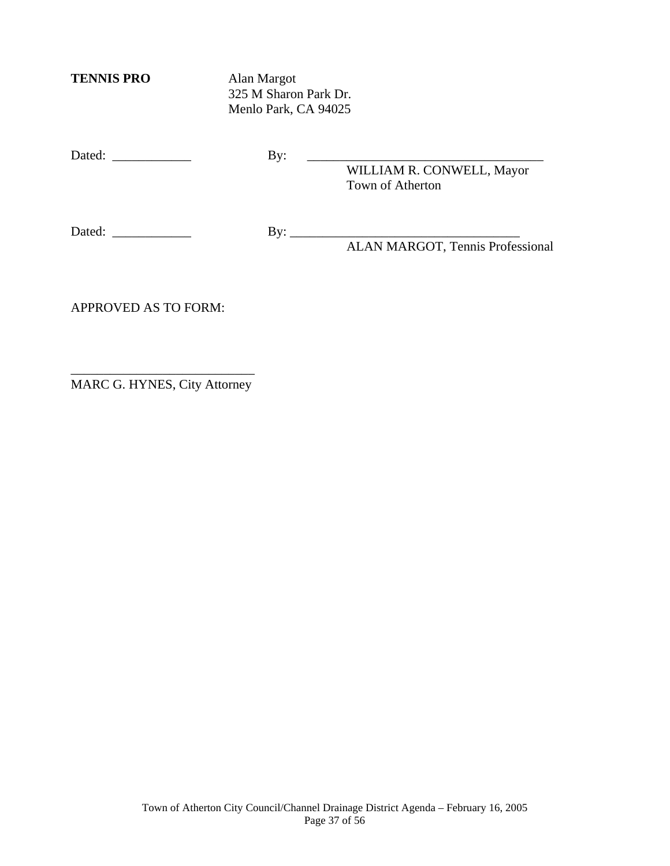**TENNIS PRO** Alan Margot

 325 M Sharon Park Dr. Menlo Park, CA 94025

Dated: \_\_\_\_\_\_\_\_\_\_\_\_ By: \_\_\_\_\_\_\_\_\_\_\_\_\_\_\_\_\_\_\_\_\_\_\_\_\_\_\_\_\_\_\_\_\_\_\_\_

 WILLIAM R. CONWELL, Mayor Town of Atherton

Dated: \_\_\_\_\_\_\_\_\_\_\_\_ By: \_\_\_\_\_\_\_\_\_\_\_\_\_\_\_\_\_\_\_\_\_\_\_\_\_\_\_\_\_\_\_\_\_\_\_

ALAN MARGOT, Tennis Professional

APPROVED AS TO FORM:

\_\_\_\_\_\_\_\_\_\_\_\_\_\_\_\_\_\_\_\_\_\_\_\_\_\_\_\_ MARC G. HYNES, City Attorney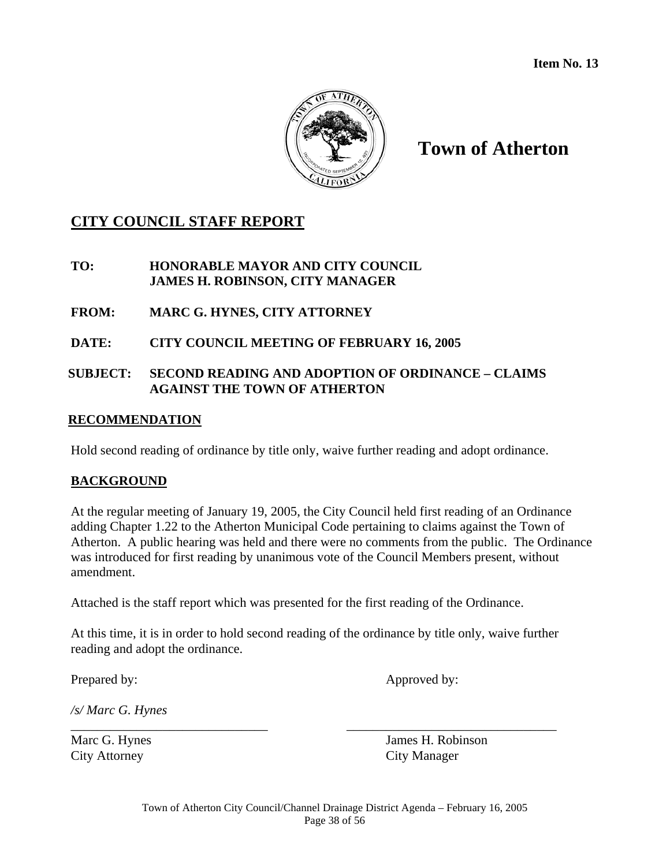

# **Town of Atherton**

## **CITY COUNCIL STAFF REPORT**

## **TO: HONORABLE MAYOR AND CITY COUNCIL JAMES H. ROBINSON, CITY MANAGER**

**FROM: MARC G. HYNES, CITY ATTORNEY** 

## **DATE: CITY COUNCIL MEETING OF FEBRUARY 16, 2005**

## **SUBJECT: SECOND READING AND ADOPTION OF ORDINANCE – CLAIMS AGAINST THE TOWN OF ATHERTON**

#### **RECOMMENDATION**

Hold second reading of ordinance by title only, waive further reading and adopt ordinance.

## **BACKGROUND**

At the regular meeting of January 19, 2005, the City Council held first reading of an Ordinance adding Chapter 1.22 to the Atherton Municipal Code pertaining to claims against the Town of Atherton. A public hearing was held and there were no comments from the public. The Ordinance was introduced for first reading by unanimous vote of the Council Members present, without amendment.

Attached is the staff report which was presented for the first reading of the Ordinance.

At this time, it is in order to hold second reading of the ordinance by title only, waive further reading and adopt the ordinance.

\_\_\_\_\_\_\_\_\_\_\_\_\_\_\_\_\_\_\_\_\_\_\_\_\_\_\_\_\_\_ \_\_\_\_\_\_\_\_\_\_\_\_\_\_\_\_\_\_\_\_\_\_\_\_\_\_\_\_\_\_\_\_

Prepared by: Approved by:

*/s/ Marc G. Hynes* 

City Attorney City Manager

Marc G. Hynes James H. Robinson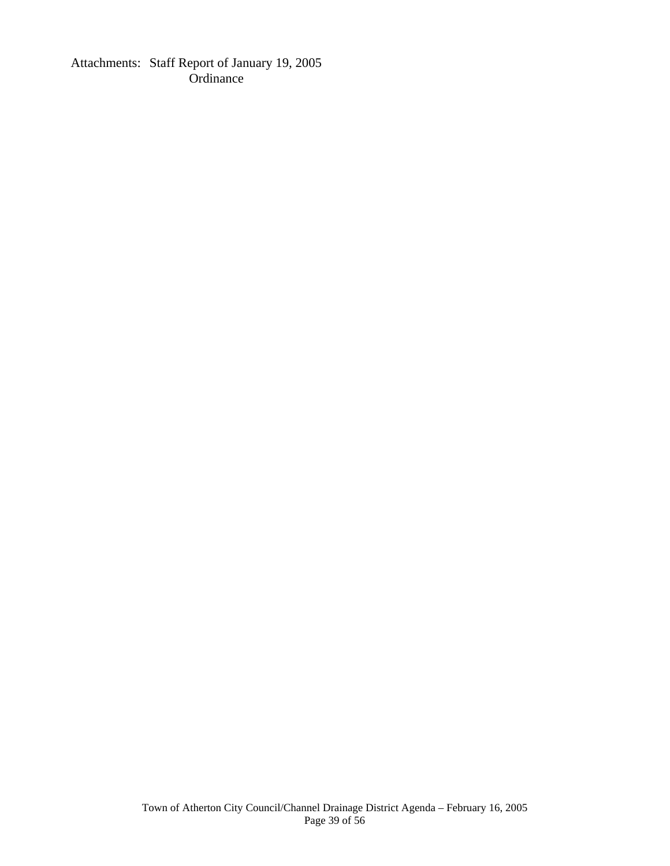Attachments: Staff Report of January 19, 2005 **Ordinance**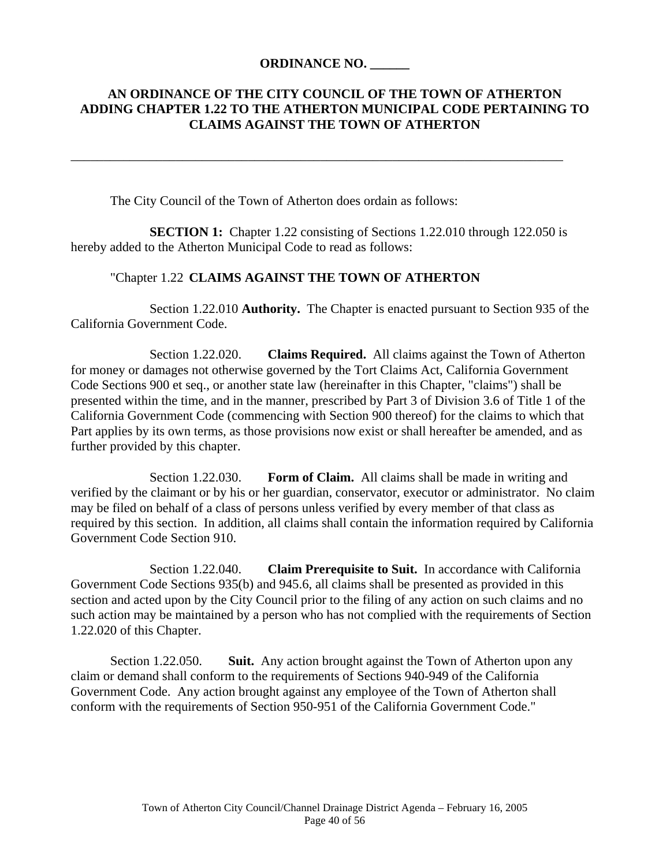## **ORDINANCE NO. \_\_\_\_\_\_**

## **AN ORDINANCE OF THE CITY COUNCIL OF THE TOWN OF ATHERTON ADDING CHAPTER 1.22 TO THE ATHERTON MUNICIPAL CODE PERTAINING TO CLAIMS AGAINST THE TOWN OF ATHERTON**

The City Council of the Town of Atherton does ordain as follows:

**SECTION 1:** Chapter 1.22 consisting of Sections 1.22.010 through 122.050 is hereby added to the Atherton Municipal Code to read as follows:

\_\_\_\_\_\_\_\_\_\_\_\_\_\_\_\_\_\_\_\_\_\_\_\_\_\_\_\_\_\_\_\_\_\_\_\_\_\_\_\_\_\_\_\_\_\_\_\_\_\_\_\_\_\_\_\_\_\_\_\_\_\_\_\_\_\_\_\_\_\_\_\_\_\_\_

#### "Chapter 1.22 **CLAIMS AGAINST THE TOWN OF ATHERTON**

 Section 1.22.010 **Authority.** The Chapter is enacted pursuant to Section 935 of the California Government Code.

 Section 1.22.020. **Claims Required.** All claims against the Town of Atherton for money or damages not otherwise governed by the Tort Claims Act, California Government Code Sections 900 et seq., or another state law (hereinafter in this Chapter, "claims") shall be presented within the time, and in the manner, prescribed by Part 3 of Division 3.6 of Title 1 of the California Government Code (commencing with Section 900 thereof) for the claims to which that Part applies by its own terms, as those provisions now exist or shall hereafter be amended, and as further provided by this chapter.

 Section 1.22.030. **Form of Claim.** All claims shall be made in writing and verified by the claimant or by his or her guardian, conservator, executor or administrator. No claim may be filed on behalf of a class of persons unless verified by every member of that class as required by this section. In addition, all claims shall contain the information required by California Government Code Section 910.

 Section 1.22.040. **Claim Prerequisite to Suit.** In accordance with California Government Code Sections 935(b) and 945.6, all claims shall be presented as provided in this section and acted upon by the City Council prior to the filing of any action on such claims and no such action may be maintained by a person who has not complied with the requirements of Section 1.22.020 of this Chapter.

 Section 1.22.050. **Suit.** Any action brought against the Town of Atherton upon any claim or demand shall conform to the requirements of Sections 940-949 of the California Government Code. Any action brought against any employee of the Town of Atherton shall conform with the requirements of Section 950-951 of the California Government Code."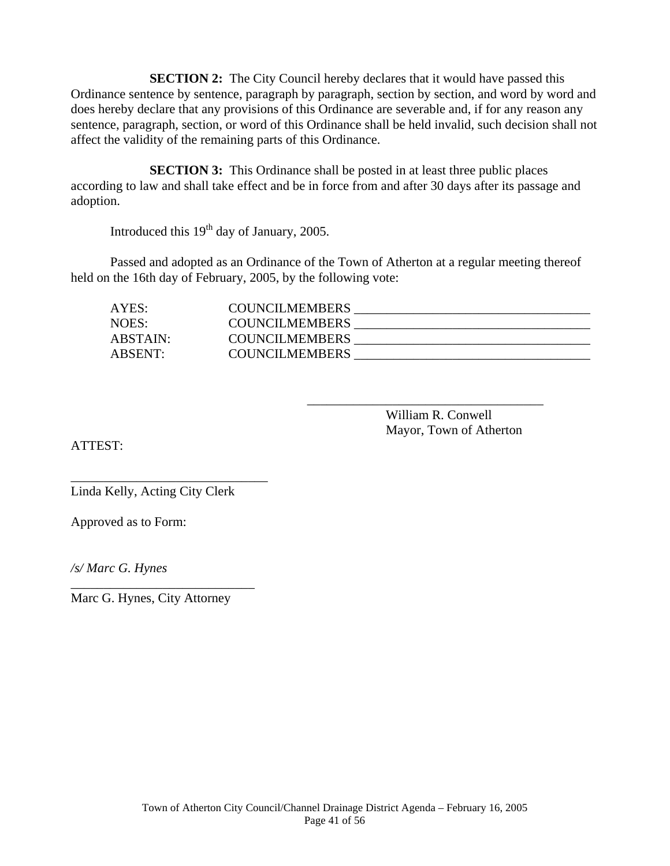**SECTION 2:** The City Council hereby declares that it would have passed this Ordinance sentence by sentence, paragraph by paragraph, section by section, and word by word and does hereby declare that any provisions of this Ordinance are severable and, if for any reason any sentence, paragraph, section, or word of this Ordinance shall be held invalid, such decision shall not affect the validity of the remaining parts of this Ordinance.

**SECTION 3:** This Ordinance shall be posted in at least three public places according to law and shall take effect and be in force from and after 30 days after its passage and adoption.

Introduced this 19<sup>th</sup> day of January, 2005.

 Passed and adopted as an Ordinance of the Town of Atherton at a regular meeting thereof held on the 16th day of February, 2005, by the following vote:

 $\overline{\phantom{a}}$  , which is a set of the set of the set of the set of the set of the set of the set of the set of the set of the set of the set of the set of the set of the set of the set of the set of the set of the set of th

| AYES:    | <b>COUNCILMEMBERS</b> |  |
|----------|-----------------------|--|
| NOES:    | <b>COUNCILMEMBERS</b> |  |
| ABSTAIN: | <b>COUNCILMEMBERS</b> |  |
| ABSENT:  | <b>COUNCILMEMBERS</b> |  |

 William R. Conwell Mayor, Town of Atherton

ATTEST:

Linda Kelly, Acting City Clerk

\_\_\_\_\_\_\_\_\_\_\_\_\_\_\_\_\_\_\_\_\_\_\_\_\_\_\_\_\_\_

Approved as to Form:

*/s/ Marc G. Hynes* 

Marc G. Hynes, City Attorney

\_\_\_\_\_\_\_\_\_\_\_\_\_\_\_\_\_\_\_\_\_\_\_\_\_\_\_\_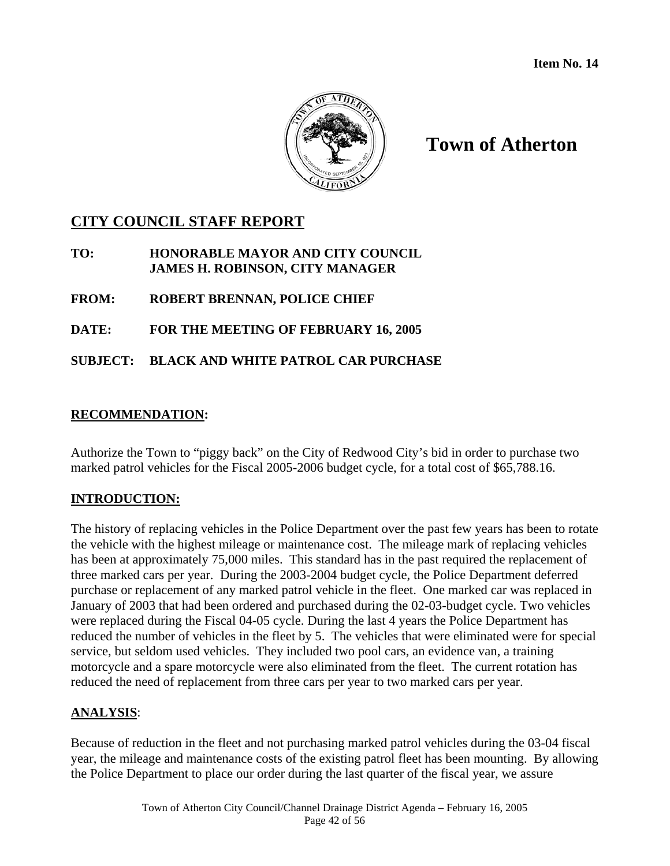

# **Town of Atherton**

# **CITY COUNCIL STAFF REPORT**

## **TO: HONORABLE MAYOR AND CITY COUNCIL JAMES H. ROBINSON, CITY MANAGER**

## **FROM: ROBERT BRENNAN, POLICE CHIEF**

## **DATE: FOR THE MEETING OF FEBRUARY 16, 2005**

## **SUBJECT: BLACK AND WHITE PATROL CAR PURCHASE**

## **RECOMMENDATION:**

Authorize the Town to "piggy back" on the City of Redwood City's bid in order to purchase two marked patrol vehicles for the Fiscal 2005-2006 budget cycle, for a total cost of \$65,788.16.

## **INTRODUCTION:**

The history of replacing vehicles in the Police Department over the past few years has been to rotate the vehicle with the highest mileage or maintenance cost. The mileage mark of replacing vehicles has been at approximately 75,000 miles. This standard has in the past required the replacement of three marked cars per year. During the 2003-2004 budget cycle, the Police Department deferred purchase or replacement of any marked patrol vehicle in the fleet. One marked car was replaced in January of 2003 that had been ordered and purchased during the 02-03-budget cycle. Two vehicles were replaced during the Fiscal 04-05 cycle. During the last 4 years the Police Department has reduced the number of vehicles in the fleet by 5. The vehicles that were eliminated were for special service, but seldom used vehicles. They included two pool cars, an evidence van, a training motorcycle and a spare motorcycle were also eliminated from the fleet. The current rotation has reduced the need of replacement from three cars per year to two marked cars per year.

#### **ANALYSIS**:

Because of reduction in the fleet and not purchasing marked patrol vehicles during the 03-04 fiscal year, the mileage and maintenance costs of the existing patrol fleet has been mounting. By allowing the Police Department to place our order during the last quarter of the fiscal year, we assure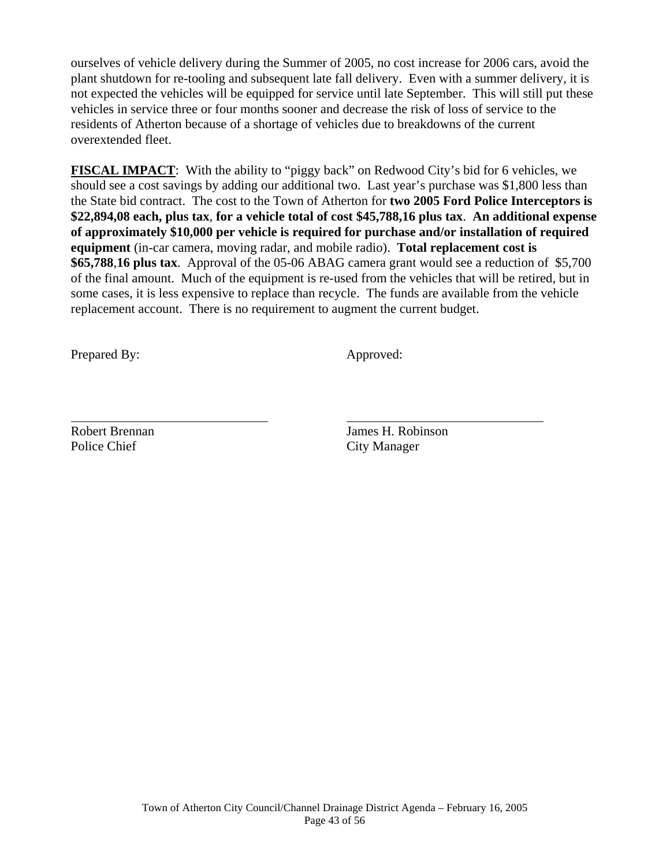ourselves of vehicle delivery during the Summer of 2005, no cost increase for 2006 cars, avoid the plant shutdown for re-tooling and subsequent late fall delivery. Even with a summer delivery, it is not expected the vehicles will be equipped for service until late September. This will still put these vehicles in service three or four months sooner and decrease the risk of loss of service to the residents of Atherton because of a shortage of vehicles due to breakdowns of the current overextended fleet.

**FISCAL IMPACT**: With the ability to "piggy back" on Redwood City's bid for 6 vehicles, we should see a cost savings by adding our additional two. Last year's purchase was \$1,800 less than the State bid contract. The cost to the Town of Atherton for **two 2005 Ford Police Interceptors is \$22,894,08 each, plus tax**, **for a vehicle total of cost \$45,788,16 plus tax**. **An additional expense of approximately \$10,000 per vehicle is required for purchase and/or installation of required equipment** (in-car camera, moving radar, and mobile radio). **Total replacement cost is \$65,788**,**16 plus tax**. Approval of the 05-06 ABAG camera grant would see a reduction of \$5,700 of the final amount. Much of the equipment is re-used from the vehicles that will be retired, but in some cases, it is less expensive to replace than recycle. The funds are available from the vehicle replacement account. There is no requirement to augment the current budget.

Prepared By: Approved:

Police Chief City Manager

 $\overline{a}$ 

Robert Brennan James H. Robinson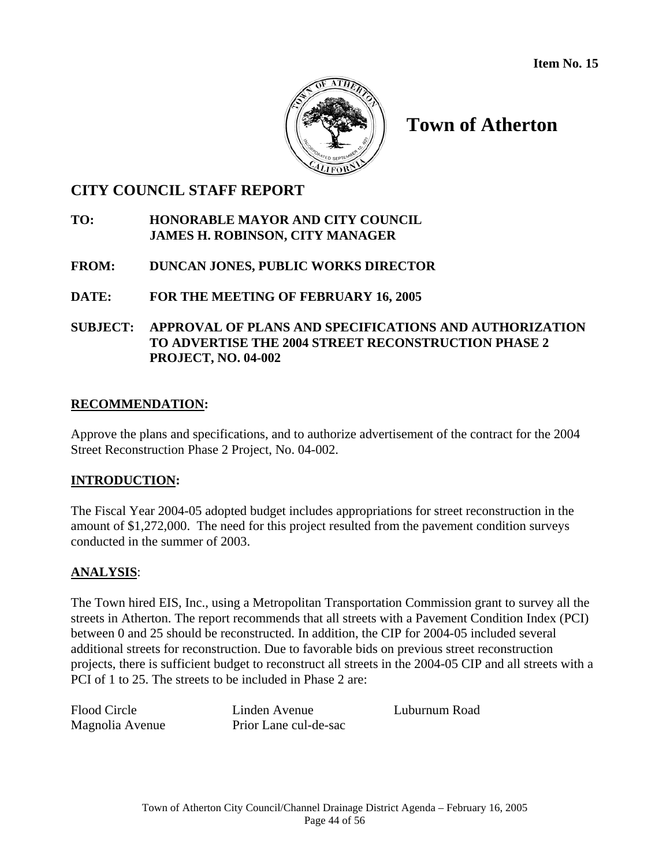**Item No. 15** 



# **Town of Atherton**

## **CITY COUNCIL STAFF REPORT**

## **TO: HONORABLE MAYOR AND CITY COUNCIL JAMES H. ROBINSON, CITY MANAGER**

## **FROM: DUNCAN JONES, PUBLIC WORKS DIRECTOR**

## **DATE: FOR THE MEETING OF FEBRUARY 16, 2005**

## **SUBJECT: APPROVAL OF PLANS AND SPECIFICATIONS AND AUTHORIZATION TO ADVERTISE THE 2004 STREET RECONSTRUCTION PHASE 2 PROJECT, NO. 04-002**

## **RECOMMENDATION:**

Approve the plans and specifications, and to authorize advertisement of the contract for the 2004 Street Reconstruction Phase 2 Project, No. 04-002.

## **INTRODUCTION:**

The Fiscal Year 2004-05 adopted budget includes appropriations for street reconstruction in the amount of \$1,272,000. The need for this project resulted from the pavement condition surveys conducted in the summer of 2003.

## **ANALYSIS**:

The Town hired EIS, Inc., using a Metropolitan Transportation Commission grant to survey all the streets in Atherton. The report recommends that all streets with a Pavement Condition Index (PCI) between 0 and 25 should be reconstructed. In addition, the CIP for 2004-05 included several additional streets for reconstruction. Due to favorable bids on previous street reconstruction projects, there is sufficient budget to reconstruct all streets in the 2004-05 CIP and all streets with a PCI of 1 to 25. The streets to be included in Phase 2 are:

Flood Circle Linden Avenue Luburnum Road Magnolia Avenue Prior Lane cul-de-sac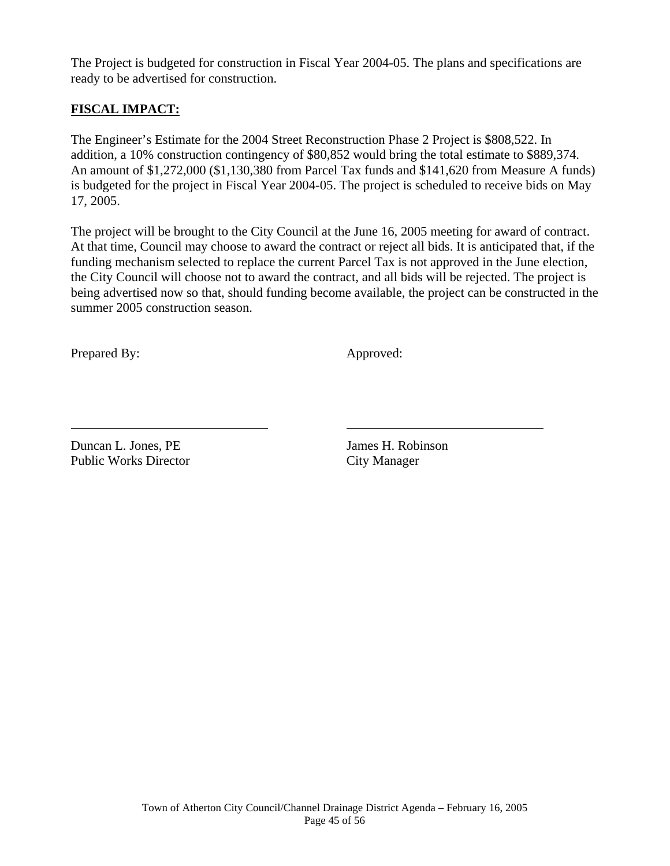The Project is budgeted for construction in Fiscal Year 2004-05. The plans and specifications are ready to be advertised for construction.

## **FISCAL IMPACT:**

The Engineer's Estimate for the 2004 Street Reconstruction Phase 2 Project is \$808,522. In addition, a 10% construction contingency of \$80,852 would bring the total estimate to \$889,374. An amount of \$1,272,000 (\$1,130,380 from Parcel Tax funds and \$141,620 from Measure A funds) is budgeted for the project in Fiscal Year 2004-05. The project is scheduled to receive bids on May 17, 2005.

The project will be brought to the City Council at the June 16, 2005 meeting for award of contract. At that time, Council may choose to award the contract or reject all bids. It is anticipated that, if the funding mechanism selected to replace the current Parcel Tax is not approved in the June election, the City Council will choose not to award the contract, and all bids will be rejected. The project is being advertised now so that, should funding become available, the project can be constructed in the summer 2005 construction season.

Prepared By: Approved:

 $\overline{a}$ 

Duncan L. Jones, PE James H. Robinson Public Works Director City Manager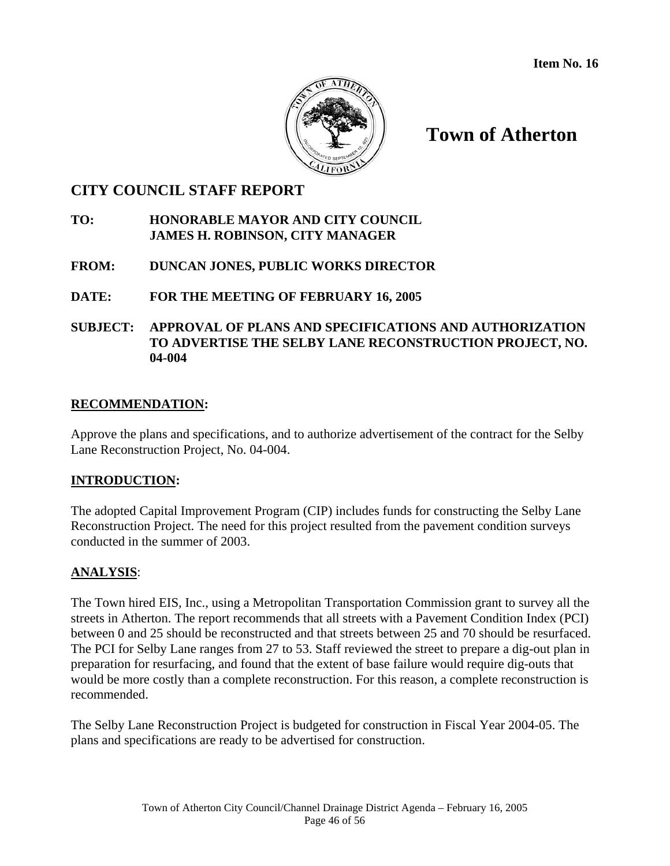

**Town of Atherton** 

## **CITY COUNCIL STAFF REPORT**

## **TO: HONORABLE MAYOR AND CITY COUNCIL JAMES H. ROBINSON, CITY MANAGER**

## **FROM: DUNCAN JONES, PUBLIC WORKS DIRECTOR**

## **DATE: FOR THE MEETING OF FEBRUARY 16, 2005**

## **SUBJECT: APPROVAL OF PLANS AND SPECIFICATIONS AND AUTHORIZATION TO ADVERTISE THE SELBY LANE RECONSTRUCTION PROJECT, NO. 04-004**

## **RECOMMENDATION:**

Approve the plans and specifications, and to authorize advertisement of the contract for the Selby Lane Reconstruction Project, No. 04-004.

## **INTRODUCTION:**

The adopted Capital Improvement Program (CIP) includes funds for constructing the Selby Lane Reconstruction Project. The need for this project resulted from the pavement condition surveys conducted in the summer of 2003.

## **ANALYSIS**:

The Town hired EIS, Inc., using a Metropolitan Transportation Commission grant to survey all the streets in Atherton. The report recommends that all streets with a Pavement Condition Index (PCI) between 0 and 25 should be reconstructed and that streets between 25 and 70 should be resurfaced. The PCI for Selby Lane ranges from 27 to 53. Staff reviewed the street to prepare a dig-out plan in preparation for resurfacing, and found that the extent of base failure would require dig-outs that would be more costly than a complete reconstruction. For this reason, a complete reconstruction is recommended.

The Selby Lane Reconstruction Project is budgeted for construction in Fiscal Year 2004-05. The plans and specifications are ready to be advertised for construction.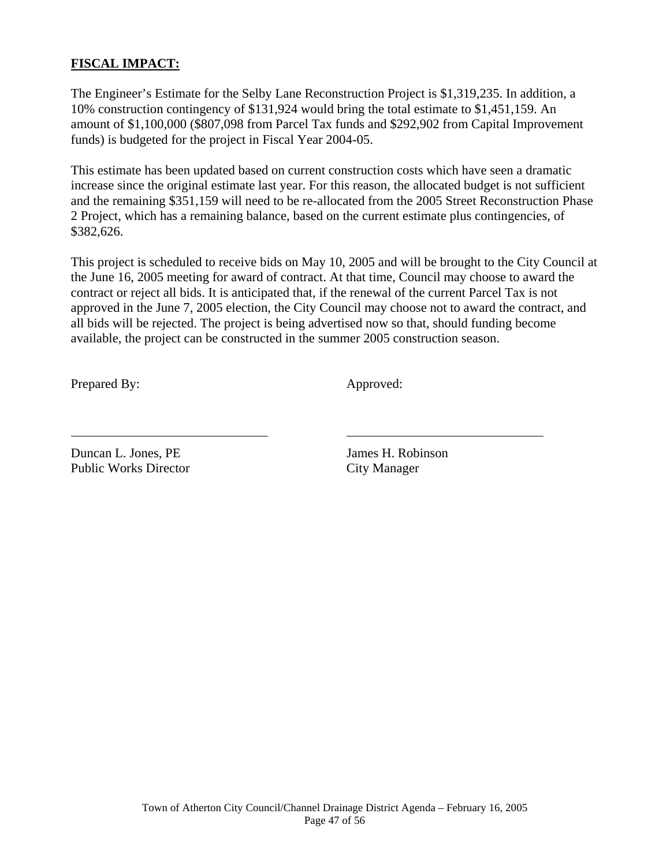## **FISCAL IMPACT:**

The Engineer's Estimate for the Selby Lane Reconstruction Project is \$1,319,235. In addition, a 10% construction contingency of \$131,924 would bring the total estimate to \$1,451,159. An amount of \$1,100,000 (\$807,098 from Parcel Tax funds and \$292,902 from Capital Improvement funds) is budgeted for the project in Fiscal Year 2004-05.

This estimate has been updated based on current construction costs which have seen a dramatic increase since the original estimate last year. For this reason, the allocated budget is not sufficient and the remaining \$351,159 will need to be re-allocated from the 2005 Street Reconstruction Phase 2 Project, which has a remaining balance, based on the current estimate plus contingencies, of \$382,626.

This project is scheduled to receive bids on May 10, 2005 and will be brought to the City Council at the June 16, 2005 meeting for award of contract. At that time, Council may choose to award the contract or reject all bids. It is anticipated that, if the renewal of the current Parcel Tax is not approved in the June 7, 2005 election, the City Council may choose not to award the contract, and all bids will be rejected. The project is being advertised now so that, should funding become available, the project can be constructed in the summer 2005 construction season.

Prepared By: Approved:

 $\overline{a}$ 

Duncan L. Jones. PE James H. Robinson Public Works Director City Manager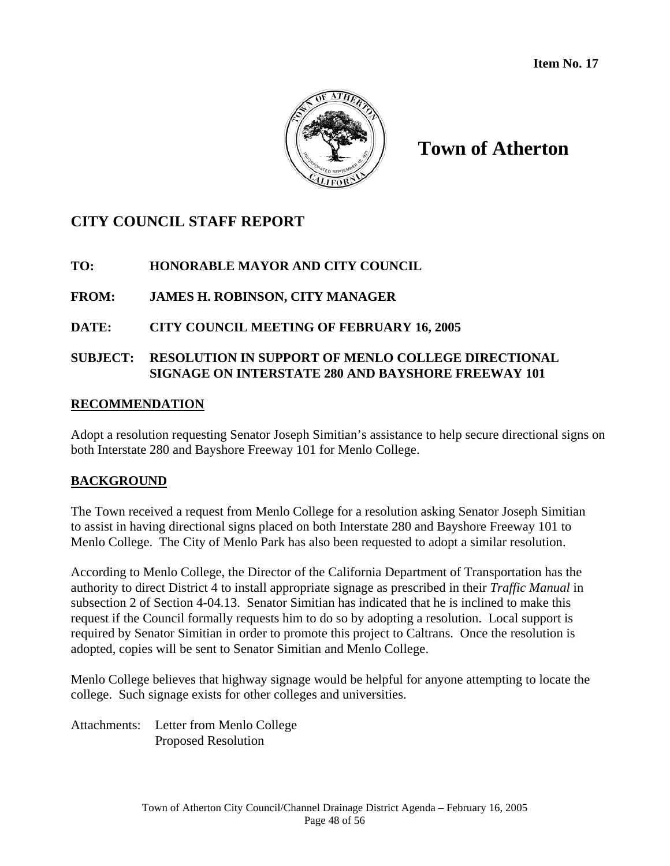

# **Town of Atherton**

# **CITY COUNCIL STAFF REPORT**

## **TO: HONORABLE MAYOR AND CITY COUNCIL**

## **FROM: JAMES H. ROBINSON, CITY MANAGER**

## **DATE: CITY COUNCIL MEETING OF FEBRUARY 16, 2005**

## **SUBJECT: RESOLUTION IN SUPPORT OF MENLO COLLEGE DIRECTIONAL SIGNAGE ON INTERSTATE 280 AND BAYSHORE FREEWAY 101**

## **RECOMMENDATION**

Adopt a resolution requesting Senator Joseph Simitian's assistance to help secure directional signs on both Interstate 280 and Bayshore Freeway 101 for Menlo College.

## **BACKGROUND**

The Town received a request from Menlo College for a resolution asking Senator Joseph Simitian to assist in having directional signs placed on both Interstate 280 and Bayshore Freeway 101 to Menlo College. The City of Menlo Park has also been requested to adopt a similar resolution.

According to Menlo College, the Director of the California Department of Transportation has the authority to direct District 4 to install appropriate signage as prescribed in their *Traffic Manual* in subsection 2 of Section 4-04.13. Senator Simitian has indicated that he is inclined to make this request if the Council formally requests him to do so by adopting a resolution. Local support is required by Senator Simitian in order to promote this project to Caltrans. Once the resolution is adopted, copies will be sent to Senator Simitian and Menlo College.

Menlo College believes that highway signage would be helpful for anyone attempting to locate the college. Such signage exists for other colleges and universities.

Attachments: Letter from Menlo College Proposed Resolution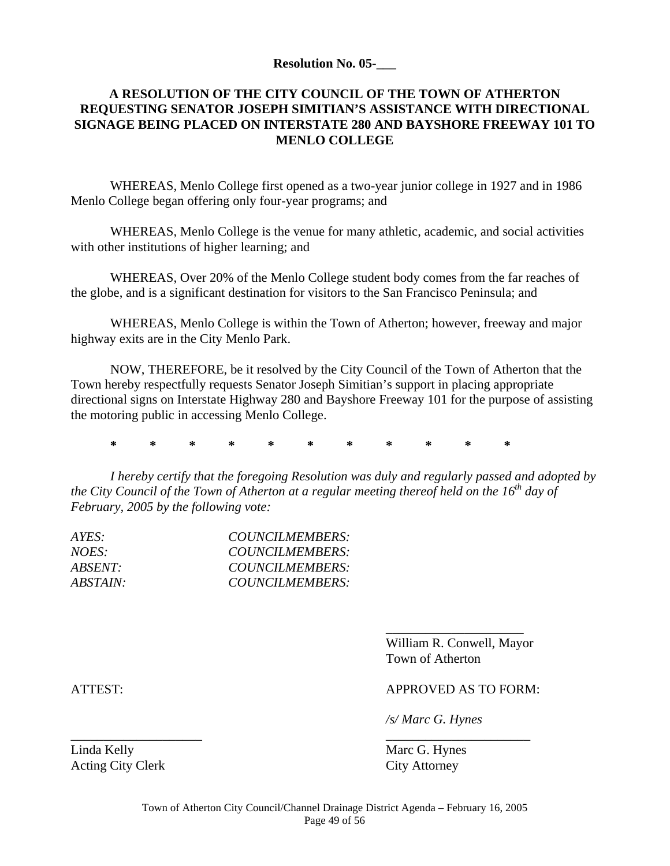#### **Resolution No. 05-\_\_\_**

## **A RESOLUTION OF THE CITY COUNCIL OF THE TOWN OF ATHERTON REQUESTING SENATOR JOSEPH SIMITIAN'S ASSISTANCE WITH DIRECTIONAL SIGNAGE BEING PLACED ON INTERSTATE 280 AND BAYSHORE FREEWAY 101 TO MENLO COLLEGE**

 WHEREAS, Menlo College first opened as a two-year junior college in 1927 and in 1986 Menlo College began offering only four-year programs; and

 WHEREAS, Menlo College is the venue for many athletic, academic, and social activities with other institutions of higher learning; and

 WHEREAS, Over 20% of the Menlo College student body comes from the far reaches of the globe, and is a significant destination for visitors to the San Francisco Peninsula; and

 WHEREAS, Menlo College is within the Town of Atherton; however, freeway and major highway exits are in the City Menlo Park.

 NOW, THEREFORE, be it resolved by the City Council of the Town of Atherton that the Town hereby respectfully requests Senator Joseph Simitian's support in placing appropriate directional signs on Interstate Highway 280 and Bayshore Freeway 101 for the purpose of assisting the motoring public in accessing Menlo College.

**\* \* \* \* \* \* \* \* \* \* \*** 

 $\overline{\phantom{a}}$  , and the contract of the contract of the contract of the contract of the contract of the contract of the contract of the contract of the contract of the contract of the contract of the contract of the contrac

\_\_\_\_\_\_\_\_\_\_\_\_\_\_\_\_\_\_\_\_ \_\_\_\_\_\_\_\_\_\_\_\_\_\_\_\_\_\_\_\_\_\_

*I hereby certify that the foregoing Resolution was duly and regularly passed and adopted by the City Council of the Town of Atherton at a regular meeting thereof held on the 16<sup>th</sup> day of February, 2005 by the following vote:* 

| COUNCILMEMBERS: |
|-----------------|
| COUNCILMEMBERS: |
| COUNCILMEMBERS: |
| COUNCILMEMBERS: |
|                 |

 William R. Conwell, Mayor Town of Atherton

ATTEST: APPROVED AS TO FORM:

*/s/ Marc G. Hynes* 

Linda Kelly Marc G. Hynes Acting City Clerk City Attorney

Town of Atherton City Council/Channel Drainage District Agenda – February 16, 2005 Page 49 of 56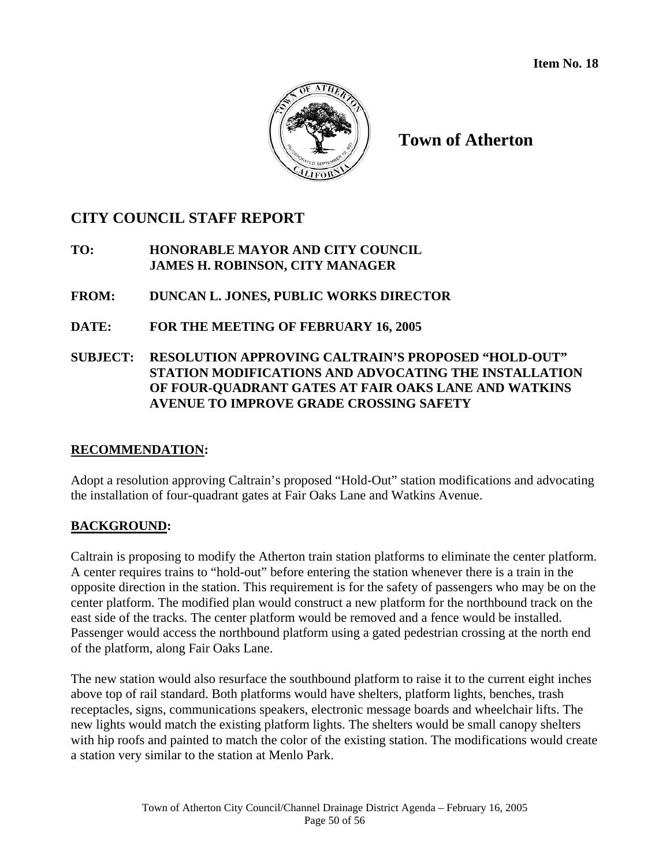**Item No. 18** 



**Town of Atherton** 

# **CITY COUNCIL STAFF REPORT**

## **TO: HONORABLE MAYOR AND CITY COUNCIL JAMES H. ROBINSON, CITY MANAGER**

## **FROM: DUNCAN L. JONES, PUBLIC WORKS DIRECTOR**

## **DATE: FOR THE MEETING OF FEBRUARY 16, 2005**

## **SUBJECT: RESOLUTION APPROVING CALTRAIN'S PROPOSED "HOLD-OUT" STATION MODIFICATIONS AND ADVOCATING THE INSTALLATION OF FOUR-QUADRANT GATES AT FAIR OAKS LANE AND WATKINS AVENUE TO IMPROVE GRADE CROSSING SAFETY**

## **RECOMMENDATION:**

Adopt a resolution approving Caltrain's proposed "Hold-Out" station modifications and advocating the installation of four-quadrant gates at Fair Oaks Lane and Watkins Avenue.

## **BACKGROUND:**

Caltrain is proposing to modify the Atherton train station platforms to eliminate the center platform. A center requires trains to "hold-out" before entering the station whenever there is a train in the opposite direction in the station. This requirement is for the safety of passengers who may be on the center platform. The modified plan would construct a new platform for the northbound track on the east side of the tracks. The center platform would be removed and a fence would be installed. Passenger would access the northbound platform using a gated pedestrian crossing at the north end of the platform, along Fair Oaks Lane.

The new station would also resurface the southbound platform to raise it to the current eight inches above top of rail standard. Both platforms would have shelters, platform lights, benches, trash receptacles, signs, communications speakers, electronic message boards and wheelchair lifts. The new lights would match the existing platform lights. The shelters would be small canopy shelters with hip roofs and painted to match the color of the existing station. The modifications would create a station very similar to the station at Menlo Park.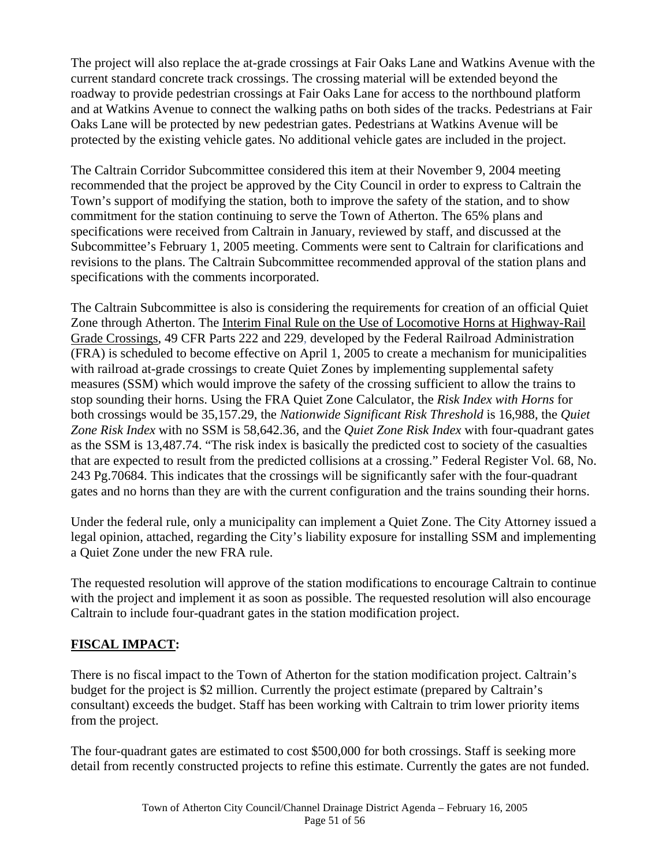The project will also replace the at-grade crossings at Fair Oaks Lane and Watkins Avenue with the current standard concrete track crossings. The crossing material will be extended beyond the roadway to provide pedestrian crossings at Fair Oaks Lane for access to the northbound platform and at Watkins Avenue to connect the walking paths on both sides of the tracks. Pedestrians at Fair Oaks Lane will be protected by new pedestrian gates. Pedestrians at Watkins Avenue will be protected by the existing vehicle gates. No additional vehicle gates are included in the project.

The Caltrain Corridor Subcommittee considered this item at their November 9, 2004 meeting recommended that the project be approved by the City Council in order to express to Caltrain the Town's support of modifying the station, both to improve the safety of the station, and to show commitment for the station continuing to serve the Town of Atherton. The 65% plans and specifications were received from Caltrain in January, reviewed by staff, and discussed at the Subcommittee's February 1, 2005 meeting. Comments were sent to Caltrain for clarifications and revisions to the plans. The Caltrain Subcommittee recommended approval of the station plans and specifications with the comments incorporated.

The Caltrain Subcommittee is also is considering the requirements for creation of an official Quiet Zone through Atherton. The Interim Final Rule on the Use of Locomotive Horns at Highway-Rail Grade Crossings, 49 CFR Parts 222 and 229, developed by the Federal Railroad Administration (FRA) is scheduled to become effective on April 1, 2005 to create a mechanism for municipalities with railroad at-grade crossings to create Quiet Zones by implementing supplemental safety measures (SSM) which would improve the safety of the crossing sufficient to allow the trains to stop sounding their horns. Using the FRA Quiet Zone Calculator, the *Risk Index with Horns* for both crossings would be 35,157.29, the *Nationwide Significant Risk Threshold* is 16,988, the *Quiet Zone Risk Index* with no SSM is 58,642.36, and the *Quiet Zone Risk Index* with four-quadrant gates as the SSM is 13,487.74. "The risk index is basically the predicted cost to society of the casualties that are expected to result from the predicted collisions at a crossing." Federal Register Vol. 68, No. 243 Pg.70684. This indicates that the crossings will be significantly safer with the four-quadrant gates and no horns than they are with the current configuration and the trains sounding their horns.

Under the federal rule, only a municipality can implement a Quiet Zone. The City Attorney issued a legal opinion, attached, regarding the City's liability exposure for installing SSM and implementing a Quiet Zone under the new FRA rule.

The requested resolution will approve of the station modifications to encourage Caltrain to continue with the project and implement it as soon as possible. The requested resolution will also encourage Caltrain to include four-quadrant gates in the station modification project.

## **FISCAL IMPACT:**

There is no fiscal impact to the Town of Atherton for the station modification project. Caltrain's budget for the project is \$2 million. Currently the project estimate (prepared by Caltrain's consultant) exceeds the budget. Staff has been working with Caltrain to trim lower priority items from the project.

The four-quadrant gates are estimated to cost \$500,000 for both crossings. Staff is seeking more detail from recently constructed projects to refine this estimate. Currently the gates are not funded.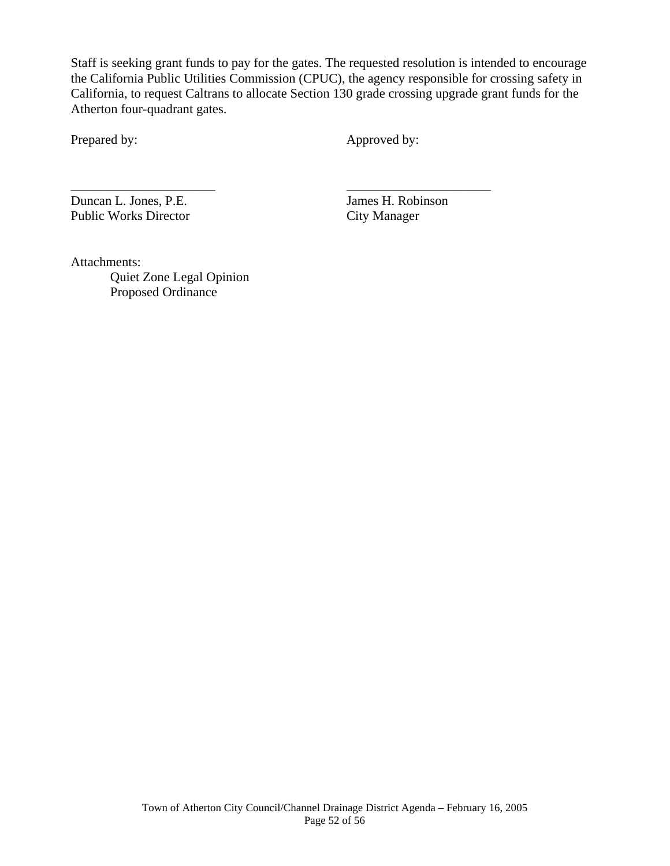Staff is seeking grant funds to pay for the gates. The requested resolution is intended to encourage the California Public Utilities Commission (CPUC), the agency responsible for crossing safety in California, to request Caltrans to allocate Section 130 grade crossing upgrade grant funds for the Atherton four-quadrant gates.

Prepared by: Approved by:

Duncan L. Jones, P.E. James H. Robinson Public Works Director City Manager

\_\_\_\_\_\_\_\_\_\_\_\_\_\_\_\_\_\_\_\_\_\_ \_\_\_\_\_\_\_\_\_\_\_\_\_\_\_\_\_\_\_\_\_\_

Attachments:

 Quiet Zone Legal Opinion Proposed Ordinance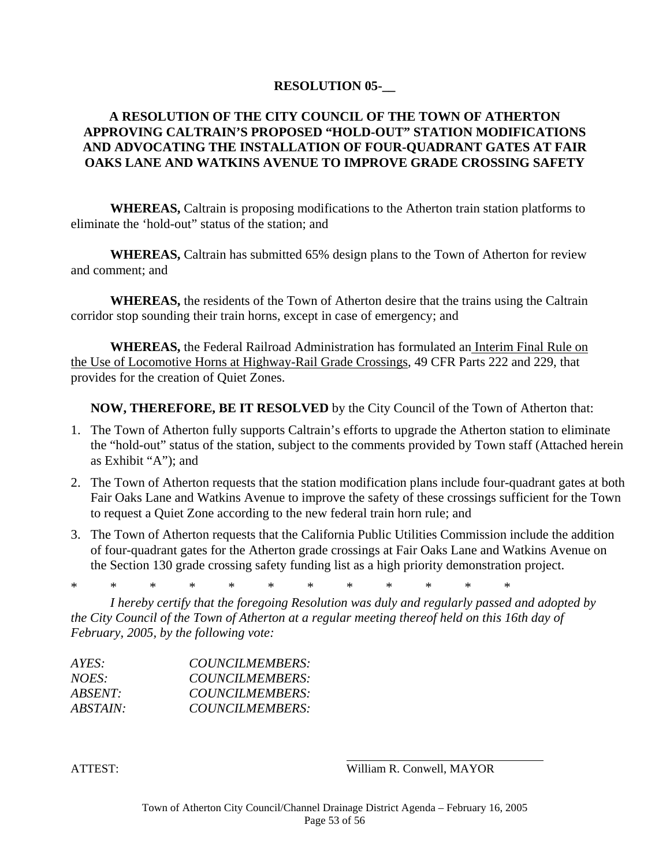#### **RESOLUTION 05-\_\_**

## **A RESOLUTION OF THE CITY COUNCIL OF THE TOWN OF ATHERTON APPROVING CALTRAIN'S PROPOSED "HOLD-OUT" STATION MODIFICATIONS AND ADVOCATING THE INSTALLATION OF FOUR-QUADRANT GATES AT FAIR OAKS LANE AND WATKINS AVENUE TO IMPROVE GRADE CROSSING SAFETY**

**WHEREAS,** Caltrain is proposing modifications to the Atherton train station platforms to eliminate the 'hold-out" status of the station; and

**WHEREAS,** Caltrain has submitted 65% design plans to the Town of Atherton for review and comment; and

**WHEREAS,** the residents of the Town of Atherton desire that the trains using the Caltrain corridor stop sounding their train horns, except in case of emergency; and

**WHEREAS,** the Federal Railroad Administration has formulated an Interim Final Rule on the Use of Locomotive Horns at Highway-Rail Grade Crossings, 49 CFR Parts 222 and 229, that provides for the creation of Quiet Zones.

**NOW, THEREFORE, BE IT RESOLVED** by the City Council of the Town of Atherton that:

- 1. The Town of Atherton fully supports Caltrain's efforts to upgrade the Atherton station to eliminate the "hold-out" status of the station, subject to the comments provided by Town staff (Attached herein as Exhibit "A"); and
- 2. The Town of Atherton requests that the station modification plans include four-quadrant gates at both Fair Oaks Lane and Watkins Avenue to improve the safety of these crossings sufficient for the Town to request a Quiet Zone according to the new federal train horn rule; and
- 3. The Town of Atherton requests that the California Public Utilities Commission include the addition of four-quadrant gates for the Atherton grade crossings at Fair Oaks Lane and Watkins Avenue on the Section 130 grade crossing safety funding list as a high priority demonstration project.

\* \* \* \* \* \* \* \* \* \* \* \*

*I hereby certify that the foregoing Resolution was duly and regularly passed and adopted by the City Council of the Town of Atherton at a regular meeting thereof held on this 16th day of February, 2005, by the following vote:* 

| AYES:           | COUNCILMEMBERS:        |
|-----------------|------------------------|
| NOES:           | COUNCILMEMBERS:        |
| ABSENT:         | COUNCILMEMBERS:        |
| <i>ABSTAIN:</i> | <b>COUNCILMEMBERS:</b> |

ATTEST: William R. Conwell, MAYOR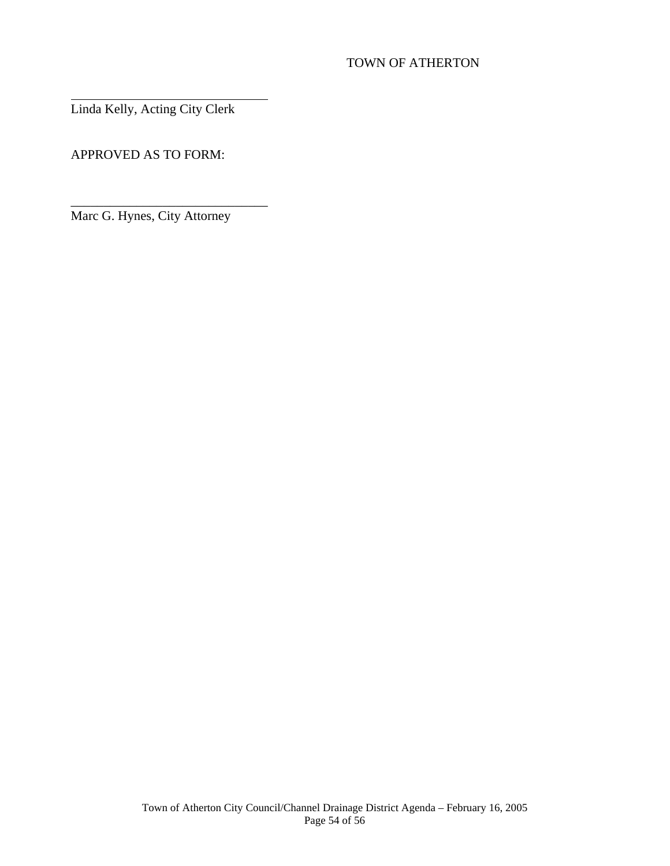## TOWN OF ATHERTON

Linda Kelly, Acting City Clerk

 $\overline{a}$ 

APPROVED AS TO FORM:

Marc G. Hynes, City Attorney

\_\_\_\_\_\_\_\_\_\_\_\_\_\_\_\_\_\_\_\_\_\_\_\_\_\_\_\_\_\_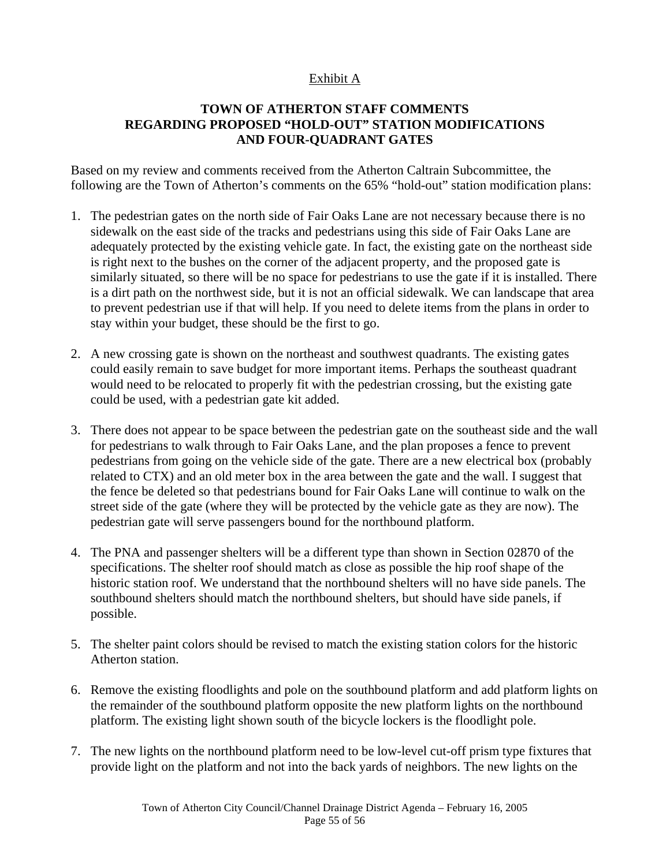## Exhibit A

## **TOWN OF ATHERTON STAFF COMMENTS REGARDING PROPOSED "HOLD-OUT" STATION MODIFICATIONS AND FOUR-QUADRANT GATES**

Based on my review and comments received from the Atherton Caltrain Subcommittee, the following are the Town of Atherton's comments on the 65% "hold-out" station modification plans:

- 1. The pedestrian gates on the north side of Fair Oaks Lane are not necessary because there is no sidewalk on the east side of the tracks and pedestrians using this side of Fair Oaks Lane are adequately protected by the existing vehicle gate. In fact, the existing gate on the northeast side is right next to the bushes on the corner of the adjacent property, and the proposed gate is similarly situated, so there will be no space for pedestrians to use the gate if it is installed. There is a dirt path on the northwest side, but it is not an official sidewalk. We can landscape that area to prevent pedestrian use if that will help. If you need to delete items from the plans in order to stay within your budget, these should be the first to go.
- 2. A new crossing gate is shown on the northeast and southwest quadrants. The existing gates could easily remain to save budget for more important items. Perhaps the southeast quadrant would need to be relocated to properly fit with the pedestrian crossing, but the existing gate could be used, with a pedestrian gate kit added.
- 3. There does not appear to be space between the pedestrian gate on the southeast side and the wall for pedestrians to walk through to Fair Oaks Lane, and the plan proposes a fence to prevent pedestrians from going on the vehicle side of the gate. There are a new electrical box (probably related to CTX) and an old meter box in the area between the gate and the wall. I suggest that the fence be deleted so that pedestrians bound for Fair Oaks Lane will continue to walk on the street side of the gate (where they will be protected by the vehicle gate as they are now). The pedestrian gate will serve passengers bound for the northbound platform.
- 4. The PNA and passenger shelters will be a different type than shown in Section 02870 of the specifications. The shelter roof should match as close as possible the hip roof shape of the historic station roof. We understand that the northbound shelters will no have side panels. The southbound shelters should match the northbound shelters, but should have side panels, if possible.
- 5. The shelter paint colors should be revised to match the existing station colors for the historic Atherton station.
- 6. Remove the existing floodlights and pole on the southbound platform and add platform lights on the remainder of the southbound platform opposite the new platform lights on the northbound platform. The existing light shown south of the bicycle lockers is the floodlight pole.
- 7. The new lights on the northbound platform need to be low-level cut-off prism type fixtures that provide light on the platform and not into the back yards of neighbors. The new lights on the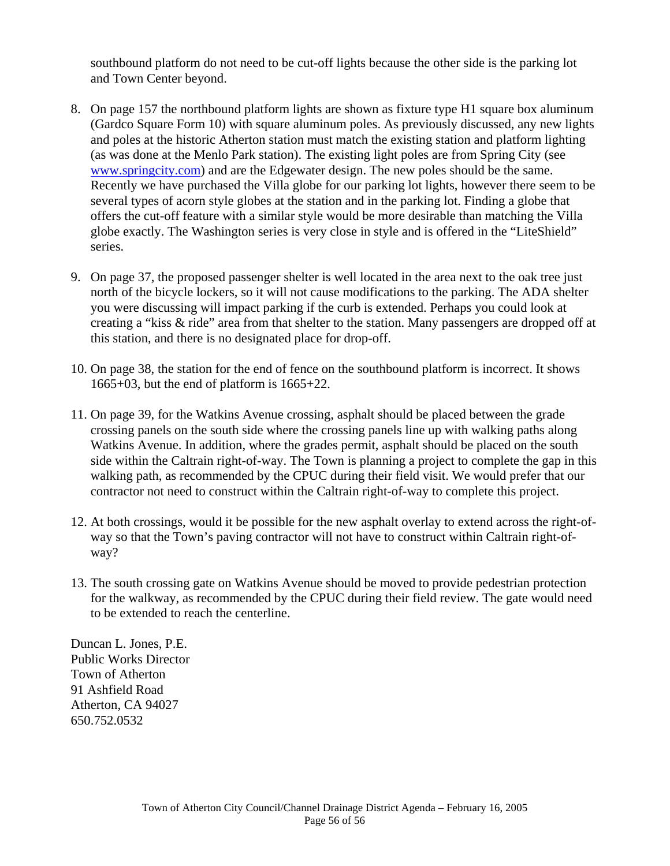southbound platform do not need to be cut-off lights because the other side is the parking lot and Town Center beyond.

- 8. On page 157 the northbound platform lights are shown as fixture type H1 square box aluminum (Gardco Square Form 10) with square aluminum poles. As previously discussed, any new lights and poles at the historic Atherton station must match the existing station and platform lighting (as was done at the Menlo Park station). The existing light poles are from Spring City (see [www.springcity.com\)](http://www.springcity.com/) and are the Edgewater design. The new poles should be the same. Recently we have purchased the Villa globe for our parking lot lights, however there seem to be several types of acorn style globes at the station and in the parking lot. Finding a globe that offers the cut-off feature with a similar style would be more desirable than matching the Villa globe exactly. The Washington series is very close in style and is offered in the "LiteShield" series.
- 9. On page 37, the proposed passenger shelter is well located in the area next to the oak tree just north of the bicycle lockers, so it will not cause modifications to the parking. The ADA shelter you were discussing will impact parking if the curb is extended. Perhaps you could look at creating a "kiss & ride" area from that shelter to the station. Many passengers are dropped off at this station, and there is no designated place for drop-off.
- 10. On page 38, the station for the end of fence on the southbound platform is incorrect. It shows 1665+03, but the end of platform is 1665+22.
- 11. On page 39, for the Watkins Avenue crossing, asphalt should be placed between the grade crossing panels on the south side where the crossing panels line up with walking paths along Watkins Avenue. In addition, where the grades permit, asphalt should be placed on the south side within the Caltrain right-of-way. The Town is planning a project to complete the gap in this walking path, as recommended by the CPUC during their field visit. We would prefer that our contractor not need to construct within the Caltrain right-of-way to complete this project.
- 12. At both crossings, would it be possible for the new asphalt overlay to extend across the right-ofway so that the Town's paving contractor will not have to construct within Caltrain right-ofway?
- 13. The south crossing gate on Watkins Avenue should be moved to provide pedestrian protection for the walkway, as recommended by the CPUC during their field review. The gate would need to be extended to reach the centerline.

Duncan L. Jones, P.E. Public Works Director Town of Atherton 91 Ashfield Road Atherton, CA 94027 650.752.0532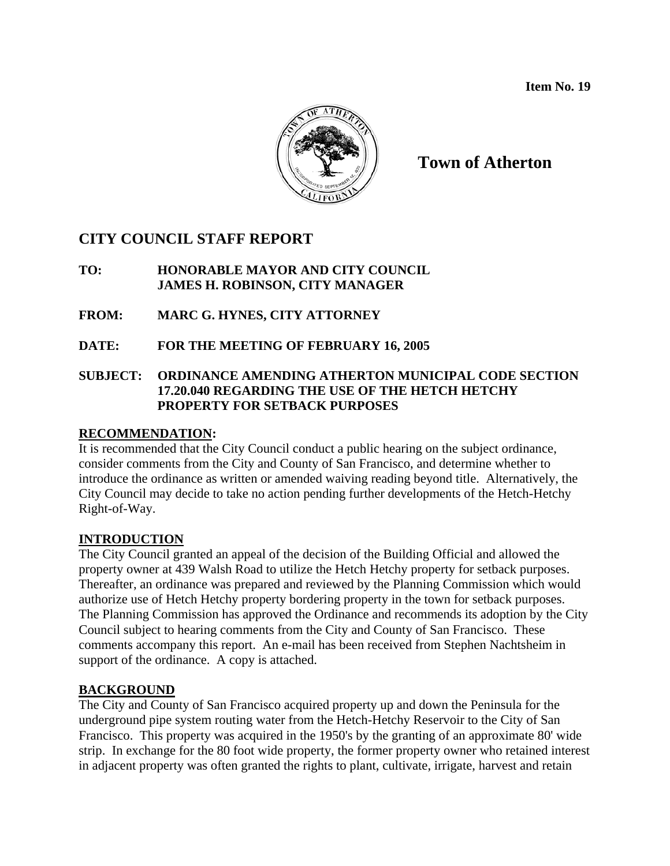

**Town of Atherton** 

## **CITY COUNCIL STAFF REPORT**

## **TO: HONORABLE MAYOR AND CITY COUNCIL JAMES H. ROBINSON, CITY MANAGER**

- **FROM: MARC G. HYNES, CITY ATTORNEY**
- **DATE: FOR THE MEETING OF FEBRUARY 16, 2005**

## **SUBJECT: ORDINANCE AMENDING ATHERTON MUNICIPAL CODE SECTION 17.20.040 REGARDING THE USE OF THE HETCH HETCHY PROPERTY FOR SETBACK PURPOSES**

## **RECOMMENDATION:**

It is recommended that the City Council conduct a public hearing on the subject ordinance, consider comments from the City and County of San Francisco, and determine whether to introduce the ordinance as written or amended waiving reading beyond title. Alternatively, the City Council may decide to take no action pending further developments of the Hetch-Hetchy Right-of-Way.

## **INTRODUCTION**

The City Council granted an appeal of the decision of the Building Official and allowed the property owner at 439 Walsh Road to utilize the Hetch Hetchy property for setback purposes. Thereafter, an ordinance was prepared and reviewed by the Planning Commission which would authorize use of Hetch Hetchy property bordering property in the town for setback purposes. The Planning Commission has approved the Ordinance and recommends its adoption by the City Council subject to hearing comments from the City and County of San Francisco. These comments accompany this report. An e-mail has been received from Stephen Nachtsheim in support of the ordinance. A copy is attached.

## **BACKGROUND**

The City and County of San Francisco acquired property up and down the Peninsula for the underground pipe system routing water from the Hetch-Hetchy Reservoir to the City of San Francisco. This property was acquired in the 1950's by the granting of an approximate 80' wide strip. In exchange for the 80 foot wide property, the former property owner who retained interest in adjacent property was often granted the rights to plant, cultivate, irrigate, harvest and retain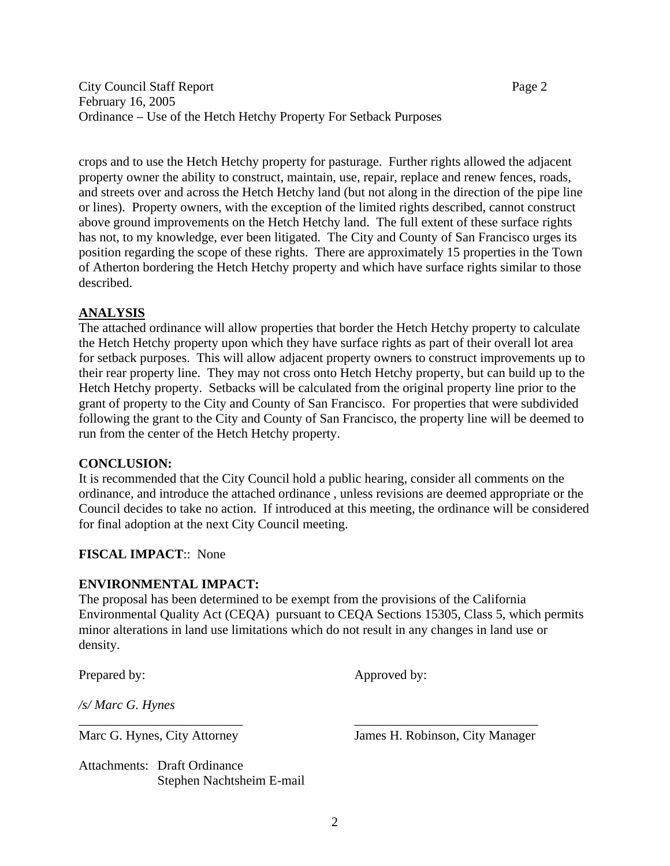crops and to use the Hetch Hetchy property for pasturage. Further rights allowed the adjacent property owner the ability to construct, maintain, use, repair, replace and renew fences, roads, and streets over and across the Hetch Hetchy land (but not along in the direction of the pipe line or lines). Property owners, with the exception of the limited rights described, cannot construct above ground improvements on the Hetch Hetchy land. The full extent of these surface rights has not, to my knowledge, ever been litigated. The City and County of San Francisco urges its position regarding the scope of these rights. There are approximately 15 properties in the Town of Atherton bordering the Hetch Hetchy property and which have surface rights similar to those described.

## **ANALYSIS**

The attached ordinance will allow properties that border the Hetch Hetchy property to calculate the Hetch Hetchy property upon which they have surface rights as part of their overall lot area for setback purposes. This will allow adjacent property owners to construct improvements up to their rear property line. They may not cross onto Hetch Hetchy property, but can build up to the Hetch Hetchy property. Setbacks will be calculated from the original property line prior to the grant of property to the City and County of San Francisco. For properties that were subdivided following the grant to the City and County of San Francisco, the property line will be deemed to run from the center of the Hetch Hetchy property.

#### **CONCLUSION:**

It is recommended that the City Council hold a public hearing, consider all comments on the ordinance, and introduce the attached ordinance , unless revisions are deemed appropriate or the Council decides to take no action. If introduced at this meeting, the ordinance will be considered for final adoption at the next City Council meeting.

## **FISCAL IMPACT**:: None

## **ENVIRONMENTAL IMPACT:**

The proposal has been determined to be exempt from the provisions of the California Environmental Quality Act (CEQA) pursuant to CEQA Sections 15305, Class 5, which permits minor alterations in land use limitations which do not result in any changes in land use or density.

\_\_\_\_\_\_\_\_\_\_\_\_\_\_\_\_\_\_\_\_\_\_\_\_\_ \_\_\_\_\_\_\_\_\_\_\_\_\_\_\_\_\_\_\_\_\_\_\_\_\_\_\_\_

Prepared by: Approved by:

*/s/ Marc G. Hynes* 

Marc G. Hynes, City Attorney James H. Robinson, City Manager

Attachments: Draft Ordinance Stephen Nachtsheim E-mail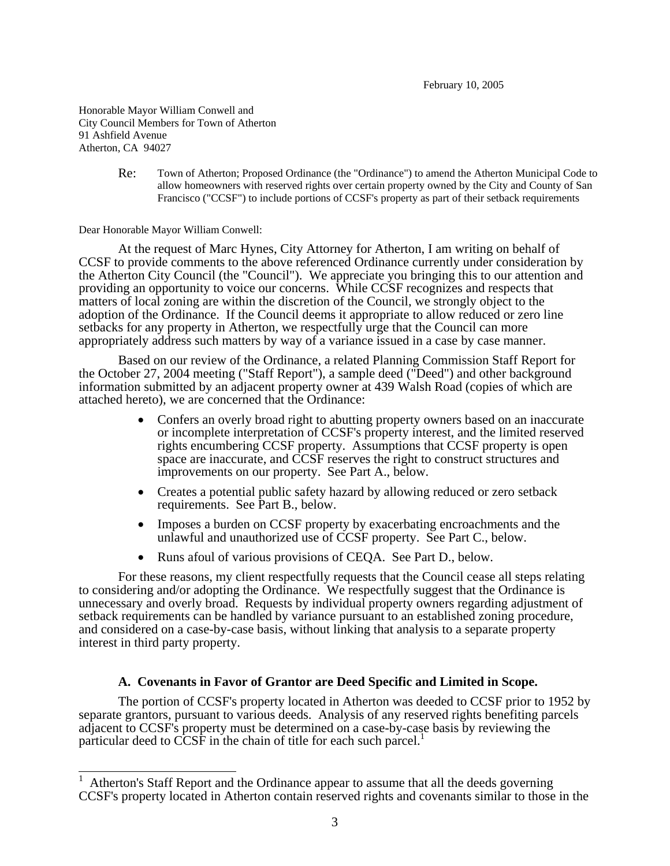February 10, 2005

Honorable Mayor William Conwell and City Council Members for Town of Atherton 91 Ashfield Avenue Atherton, CA 94027

> Re: Town of Atherton; Proposed Ordinance (the "Ordinance") to amend the Atherton Municipal Code to allow homeowners with reserved rights over certain property owned by the City and County of San Francisco ("CCSF") to include portions of CCSF's property as part of their setback requirements

Dear Honorable Mayor William Conwell:

At the request of Marc Hynes, City Attorney for Atherton, I am writing on behalf of CCSF to provide comments to the above referenced Ordinance currently under consideration by the Atherton City Council (the "Council"). We appreciate you bringing this to our attention and providing an opportunity to voice our concerns. While CCSF recognizes and respects that matters of local zoning are within the discretion of the Council, we strongly object to the adoption of the Ordinance. If the Council deems it appropriate to allow reduced or zero line setbacks for any property in Atherton, we respectfully urge that the Council can more appropriately address such matters by way of a variance issued in a case by case manner.

Based on our review of the Ordinance, a related Planning Commission Staff Report for the October 27, 2004 meeting ("Staff Report"), a sample deed ("Deed") and other background information submitted by an adjacent property owner at 439 Walsh Road (copies of which are attached hereto), we are concerned that the Ordinance:

- Confers an overly broad right to abutting property owners based on an inaccurate or incomplete interpretation of CCSF's property interest, and the limited reserved rights encumbering CCSF property. Assumptions that CCSF property is open space are inaccurate, and CCSF reserves the right to construct structures and improvements on our property. See Part A., below.
- Creates a potential public safety hazard by allowing reduced or zero setback requirements. See Part B., below.
- Imposes a burden on CCSF property by exacerbating encroachments and the unlawful and unauthorized use of CCSF property. See Part C., below.
- Runs afoul of various provisions of CEQA. See Part D., below.

For these reasons, my client respectfully requests that the Council cease all steps relating to considering and/or adopting the Ordinance. We respectfully suggest that the Ordinance is unnecessary and overly broad. Requests by individual property owners regarding adjustment of setback requirements can be handled by variance pursuant to an established zoning procedure, and considered on a case-by-case basis, without linking that analysis to a separate property interest in third party property.

#### **A. Covenants in Favor of Grantor are Deed Specific and Limited in Scope.**

The portion of CCSF's property located in Atherton was deeded to CCSF prior to 1952 by separate grantors, pursuant to various deeds. Analysis of any reserved rights benefiting parcels adjacent to CCSF's property must be determined on a case-by-case basis by reviewing the particular deed to CCSF in the chain of title for each such parcel.<sup>1</sup>

<span id="page-58-0"></span> <sup>1</sup> Atherton's Staff Report and the Ordinance appear to assume that all the deeds governing CCSF's property located in Atherton contain reserved rights and covenants similar to those in the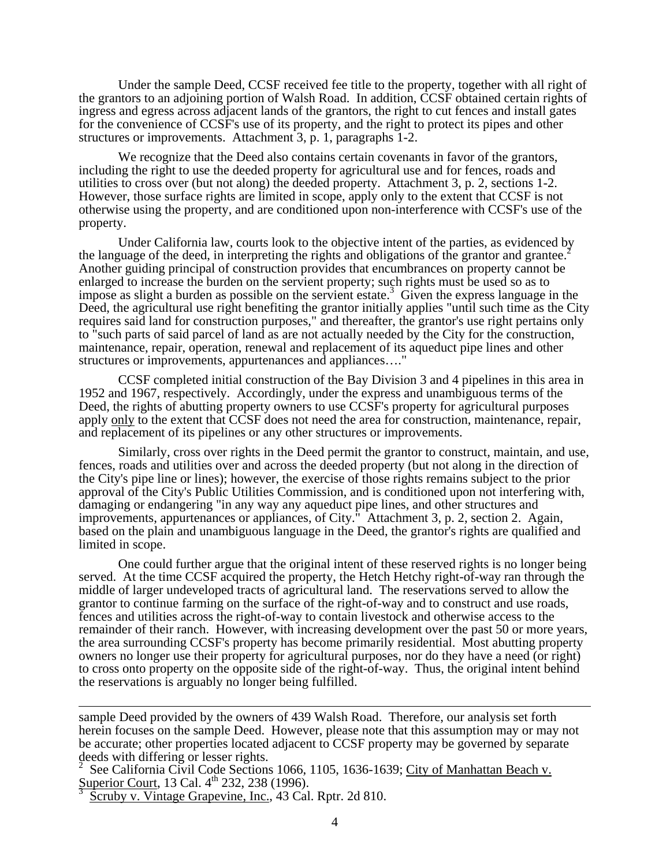Under the sample Deed, CCSF received fee title to the property, together with all right of the grantors to an adjoining portion of Walsh Road. In addition, CCSF obtained certain rights of ingress and egress across adjacent lands of the grantors, the right to cut fences and install gates for the convenience of CCSF's use of its property, and the right to protect its pipes and other structures or improvements. Attachment 3, p. 1, paragraphs 1-2.

We recognize that the Deed also contains certain covenants in favor of the grantors, including the right to use the deeded property for agricultural use and for fences, roads and utilities to cross over (but not along) the deeded property. Attachment 3, p. 2, sections 1-2. However, those surface rights are limited in scope, apply only to the extent that CCSF is not otherwise using the property, and are conditioned upon non-interference with CCSF's use of the property.

Under California law, courts look to the objective intent of the parties, as evidenced by thelanguage of the deed, in interpreting the rights and obligations of the grantor and grantee.<sup>2</sup><br>Another guiding principal of construction provides that encumbrances on property cannot be enlarged to increase the burden on the servient property; such rights must be used so as to impose as slight a burden as possible on the servient estate.<sup>3</sup> Given the express language in the Deed, the agricultural use right benefiting the grantor initia[lly](#page-59-1) applies "until such time as the City requires said land for construction purposes," and thereafter, the grantor's use right pertains only to "such parts of said parcel of land as are not actually needed by the City for the construction, maintenance, repair, operation, renewal and replacement of its aqueduct pipe lines and other structures or improvements, appurtenances and appliances…."

CCSF completed initial construction of the Bay Division 3 and 4 pipelines in this area in 1952 and 1967, respectively. Accordingly, under the express and unambiguous terms of the Deed, the rights of abutting property owners to use CCSF's property for agricultural purposes apply <u>only</u> to the extent that CCSF does not need the area for construction, maintenance, repair, and replacement of its pipelines or any other structures or improvements.

Similarly, cross over rights in the Deed permit the grantor to construct, maintain, and use, fences, roads and utilities over and across the deeded property (but not along in the direction of the City's pipe line or lines); however, the exercise of those rights remains subject to the prior approval of the City's Public Utilities Commission, and is conditioned upon not interfering with, damaging or endangering "in any way any aqueduct pipe lines, and other structures and improvements, appurtenances or appliances, of City." Attachment 3, p. 2, section 2. Again, based on the plain and unambiguous language in the Deed, the grantor's rights are qualified and limited in scope.

One could further argue that the original intent of these reserved rights is no longer being served. At the time CCSF acquired the property, the Hetch Hetchy right-of-way ran through the middle of larger undeveloped tracts of agricultural land. The reservations served to allow the grantor to continue farming on the surface of the right-of-way and to construct and use roads, fences and utilities across the right-of-way to contain livestock and otherwise access to the remainder of their ranch. However, with increasing development over the past 50 or more years, the area surrounding CCSF's property has become primarily residential. Most abutting property owners no longer use their property for agricultural purposes, nor do they have a need (or right) to cross onto property on the opposite side of the right-of-way. Thus, the original intent behind the reservations is arguably no longer being fulfilled.

sample Deed provided by the owners of 439 Walsh Road. Therefore, our analysis set forth herein focuses on the sample Deed. However, please note that this assumption may or may not be accurate; other properties located adjacent to CCSF property may be governed by separate deeds with differing or lesser rights.<br>
<sup>2</sup> See Celifornie Civil Code Sections

<span id="page-59-0"></span> See California Civil Code Sections 1066, 1105, 1636-1639; City of Manhattan Beach v. Superior Court, 13 Cal. 4<sup>th</sup> 232, 238 (1996).

<span id="page-59-1"></span>Scruby v. Vintage Grapevine, Inc., 43 Cal. Rptr. 2d 810.

 $\overline{a}$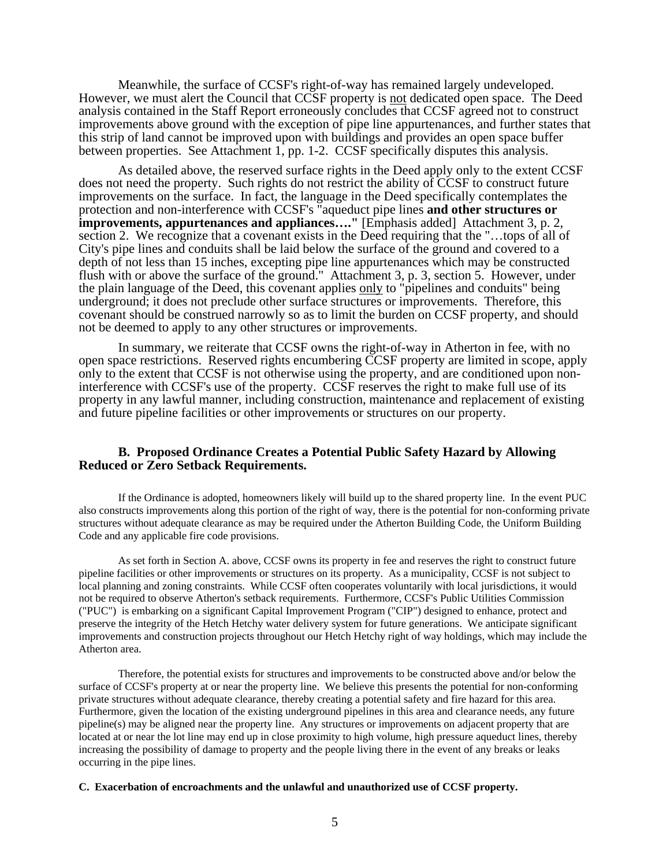Meanwhile, the surface of CCSF's right-of-way has remained largely undeveloped. However, we must alert the Council that CCSF property is not dedicated open space. The Deed analysis contained in the Staff Report erroneously concludes that CCSF agreed not to construct improvements above ground with the exception of pipe line appurtenances, and further states that this strip of land cannot be improved upon with buildings and provides an open space buffer between properties. See Attachment 1, pp. 1-2. CCSF specifically disputes this analysis.

As detailed above, the reserved surface rights in the Deed apply only to the extent CCSF does not need the property. Such rights do not restrict the ability of CCSF to construct future improvements on the surface. In fact, the language in the Deed specifically contemplates the protection and non-interference with CCSF's "aqueduct pipe lines **and other structures or improvements, appurtenances and appliances…."** [Emphasis added] Attachment 3, p. 2, section 2. We recognize that a covenant exists in the Deed requiring that the "...tops of all of City's pipe lines and conduits shall be laid below the surface of the ground and covered to a depth of not less than 15 inches, excepting pipe line appurtenances which may be constructed flush with or above the surface of the ground." Attachment 3, p. 3, section 5. However, under the plain language of the Deed, this covenant applies only to "pipelines and conduits" being underground; it does not preclude other surface structures or improvements. Therefore, this covenant should be construed narrowly so as to limit the burden on CCSF property, and should not be deemed to apply to any other structures or improvements.

In summary, we reiterate that CCSF owns the right-of-way in Atherton in fee, with no open space restrictions. Reserved rights encumbering CCSF property are limited in scope, apply only to the extent that CCSF is not otherwise using the property, and are conditioned upon noninterference with CCSF's use of the property. CCSF reserves the right to make full use of its property in any lawful manner, including construction, maintenance and replacement of existing and future pipeline facilities or other improvements or structures on our property.

#### **B. Proposed Ordinance Creates a Potential Public Safety Hazard by Allowing Reduced or Zero Setback Requirements.**

If the Ordinance is adopted, homeowners likely will build up to the shared property line. In the event PUC also constructs improvements along this portion of the right of way, there is the potential for non-conforming private structures without adequate clearance as may be required under the Atherton Building Code, the Uniform Building Code and any applicable fire code provisions.

As set forth in Section A. above, CCSF owns its property in fee and reserves the right to construct future pipeline facilities or other improvements or structures on its property. As a municipality, CCSF is not subject to local planning and zoning constraints. While CCSF often cooperates voluntarily with local jurisdictions, it would not be required to observe Atherton's setback requirements. Furthermore, CCSF's Public Utilities Commission ("PUC") is embarking on a significant Capital Improvement Program ("CIP") designed to enhance, protect and preserve the integrity of the Hetch Hetchy water delivery system for future generations. We anticipate significant improvements and construction projects throughout our Hetch Hetchy right of way holdings, which may include the Atherton area.

Therefore, the potential exists for structures and improvements to be constructed above and/or below the surface of CCSF's property at or near the property line. We believe this presents the potential for non-conforming private structures without adequate clearance, thereby creating a potential safety and fire hazard for this area. Furthermore, given the location of the existing underground pipelines in this area and clearance needs, any future pipeline(s) may be aligned near the property line. Any structures or improvements on adjacent property that are located at or near the lot line may end up in close proximity to high volume, high pressure aqueduct lines, thereby increasing the possibility of damage to property and the people living there in the event of any breaks or leaks occurring in the pipe lines.

#### **C. Exacerbation of encroachments and the unlawful and unauthorized use of CCSF property.**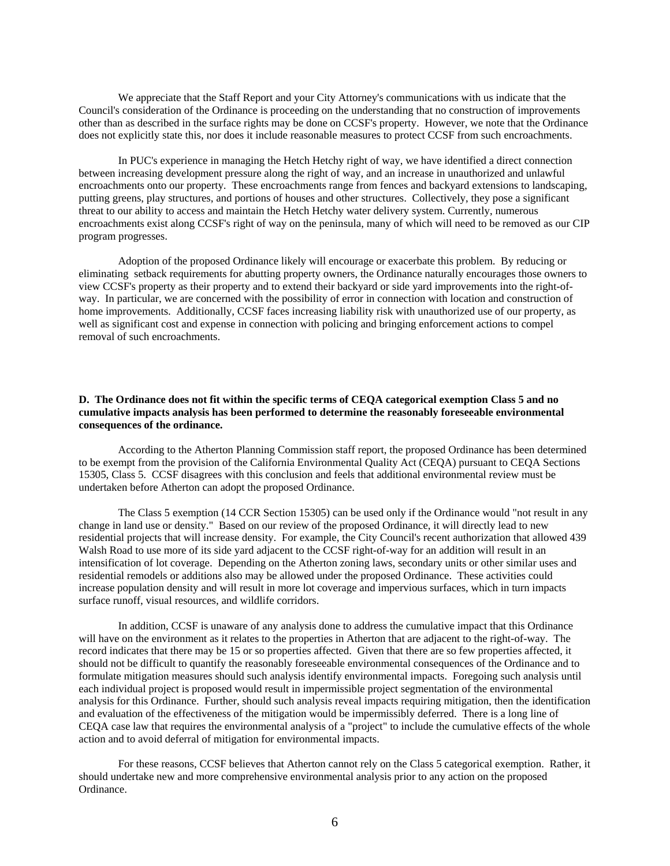We appreciate that the Staff Report and your City Attorney's communications with us indicate that the Council's consideration of the Ordinance is proceeding on the understanding that no construction of improvements other than as described in the surface rights may be done on CCSF's property. However, we note that the Ordinance does not explicitly state this, nor does it include reasonable measures to protect CCSF from such encroachments.

In PUC's experience in managing the Hetch Hetchy right of way, we have identified a direct connection between increasing development pressure along the right of way, and an increase in unauthorized and unlawful encroachments onto our property. These encroachments range from fences and backyard extensions to landscaping, putting greens, play structures, and portions of houses and other structures. Collectively, they pose a significant threat to our ability to access and maintain the Hetch Hetchy water delivery system. Currently, numerous encroachments exist along CCSF's right of way on the peninsula, many of which will need to be removed as our CIP program progresses.

Adoption of the proposed Ordinance likely will encourage or exacerbate this problem. By reducing or eliminating setback requirements for abutting property owners, the Ordinance naturally encourages those owners to view CCSF's property as their property and to extend their backyard or side yard improvements into the right-ofway. In particular, we are concerned with the possibility of error in connection with location and construction of home improvements. Additionally, CCSF faces increasing liability risk with unauthorized use of our property, as well as significant cost and expense in connection with policing and bringing enforcement actions to compel removal of such encroachments.

#### **D. The Ordinance does not fit within the specific terms of CEQA categorical exemption Class 5 and no cumulative impacts analysis has been performed to determine the reasonably foreseeable environmental consequences of the ordinance.**

According to the Atherton Planning Commission staff report, the proposed Ordinance has been determined to be exempt from the provision of the California Environmental Quality Act (CEQA) pursuant to CEQA Sections 15305, Class 5. CCSF disagrees with this conclusion and feels that additional environmental review must be undertaken before Atherton can adopt the proposed Ordinance.

The Class 5 exemption (14 CCR Section 15305) can be used only if the Ordinance would "not result in any change in land use or density." Based on our review of the proposed Ordinance, it will directly lead to new residential projects that will increase density. For example, the City Council's recent authorization that allowed 439 Walsh Road to use more of its side yard adjacent to the CCSF right-of-way for an addition will result in an intensification of lot coverage. Depending on the Atherton zoning laws, secondary units or other similar uses and residential remodels or additions also may be allowed under the proposed Ordinance. These activities could increase population density and will result in more lot coverage and impervious surfaces, which in turn impacts surface runoff, visual resources, and wildlife corridors.

In addition, CCSF is unaware of any analysis done to address the cumulative impact that this Ordinance will have on the environment as it relates to the properties in Atherton that are adjacent to the right-of-way. The record indicates that there may be 15 or so properties affected. Given that there are so few properties affected, it should not be difficult to quantify the reasonably foreseeable environmental consequences of the Ordinance and to formulate mitigation measures should such analysis identify environmental impacts. Foregoing such analysis until each individual project is proposed would result in impermissible project segmentation of the environmental analysis for this Ordinance. Further, should such analysis reveal impacts requiring mitigation, then the identification and evaluation of the effectiveness of the mitigation would be impermissibly deferred. There is a long line of CEQA case law that requires the environmental analysis of a "project" to include the cumulative effects of the whole action and to avoid deferral of mitigation for environmental impacts.

For these reasons, CCSF believes that Atherton cannot rely on the Class 5 categorical exemption. Rather, it should undertake new and more comprehensive environmental analysis prior to any action on the proposed Ordinance.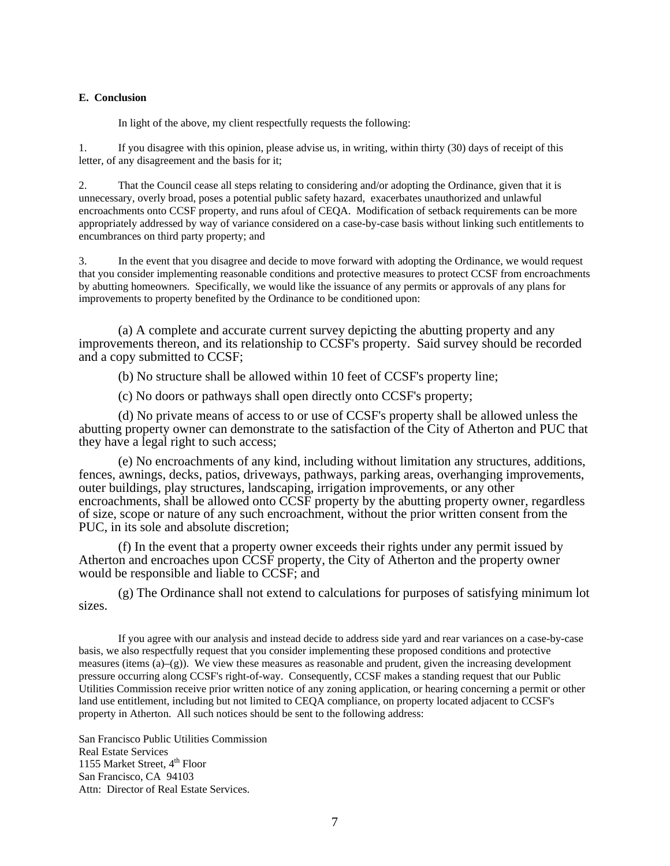#### **E. Conclusion**

In light of the above, my client respectfully requests the following:

1. If you disagree with this opinion, please advise us, in writing, within thirty (30) days of receipt of this letter, of any disagreement and the basis for it;

2. That the Council cease all steps relating to considering and/or adopting the Ordinance, given that it is unnecessary, overly broad, poses a potential public safety hazard, exacerbates unauthorized and unlawful encroachments onto CCSF property, and runs afoul of CEQA. Modification of setback requirements can be more appropriately addressed by way of variance considered on a case-by-case basis without linking such entitlements to encumbrances on third party property; and

3. In the event that you disagree and decide to move forward with adopting the Ordinance, we would request that you consider implementing reasonable conditions and protective measures to protect CCSF from encroachments by abutting homeowners. Specifically, we would like the issuance of any permits or approvals of any plans for improvements to property benefited by the Ordinance to be conditioned upon:

(a) A complete and accurate current survey depicting the abutting property and any improvements thereon, and its relationship to CCSF's property. Said survey should be recorded and a copy submitted to CCSF;

(b) No structure shall be allowed within 10 feet of CCSF's property line;

(c) No doors or pathways shall open directly onto CCSF's property;

(d) No private means of access to or use of CCSF's property shall be allowed unless the abutting property owner can demonstrate to the satisfaction of the City of Atherton and PUC that they have a legal right to such access;

(e) No encroachments of any kind, including without limitation any structures, additions, fences, awnings, decks, patios, driveways, pathways, parking areas, overhanging improvements, outer buildings, play structures, landscaping, irrigation improvements, or any other encroachments, shall be allowed onto CCSF property by the abutting property owner, regardless of size, scope or nature of any such encroachment, without the prior written consent from the PUC, in its sole and absolute discretion;

(f) In the event that a property owner exceeds their rights under any permit issued by Atherton and encroaches upon CCSF property, the City of Atherton and the property owner would be responsible and liable to CCSF; and

(g) The Ordinance shall not extend to calculations for purposes of satisfying minimum lot sizes.

If you agree with our analysis and instead decide to address side yard and rear variances on a case-by-case basis, we also respectfully request that you consider implementing these proposed conditions and protective measures (items  $(a)$ –(g)). We view these measures as reasonable and prudent, given the increasing development pressure occurring along CCSF's right-of-way. Consequently, CCSF makes a standing request that our Public Utilities Commission receive prior written notice of any zoning application, or hearing concerning a permit or other land use entitlement, including but not limited to CEQA compliance, on property located adjacent to CCSF's property in Atherton. All such notices should be sent to the following address:

San Francisco Public Utilities Commission Real Estate Services 1155 Market Street, 4<sup>th</sup> Floor San Francisco, CA 94103 Attn: Director of Real Estate Services.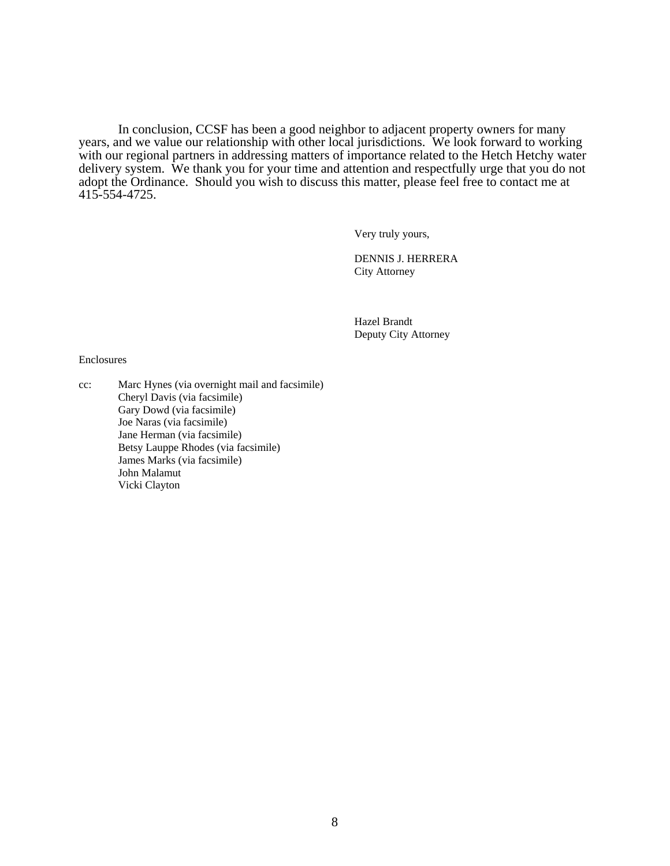In conclusion, CCSF has been a good neighbor to adjacent property owners for many years, and we value our relationship with other local jurisdictions. We look forward to working with our regional partners in addressing matters of importance related to the Hetch Hetchy water delivery system. We thank you for your time and attention and respectfully urge that you do not adopt the Ordinance. Should you wish to discuss this matter, please feel free to contact me at 415-554-4725.

Very truly yours,

DENNIS J. HERRERA City Attorney

Hazel Brandt Deputy City Attorney

#### Enclosures

cc: Marc Hynes (via overnight mail and facsimile) Cheryl Davis (via facsimile) Gary Dowd (via facsimile) Joe Naras (via facsimile) Jane Herman (via facsimile) Betsy Lauppe Rhodes (via facsimile) James Marks (via facsimile) John Malamut Vicki Clayton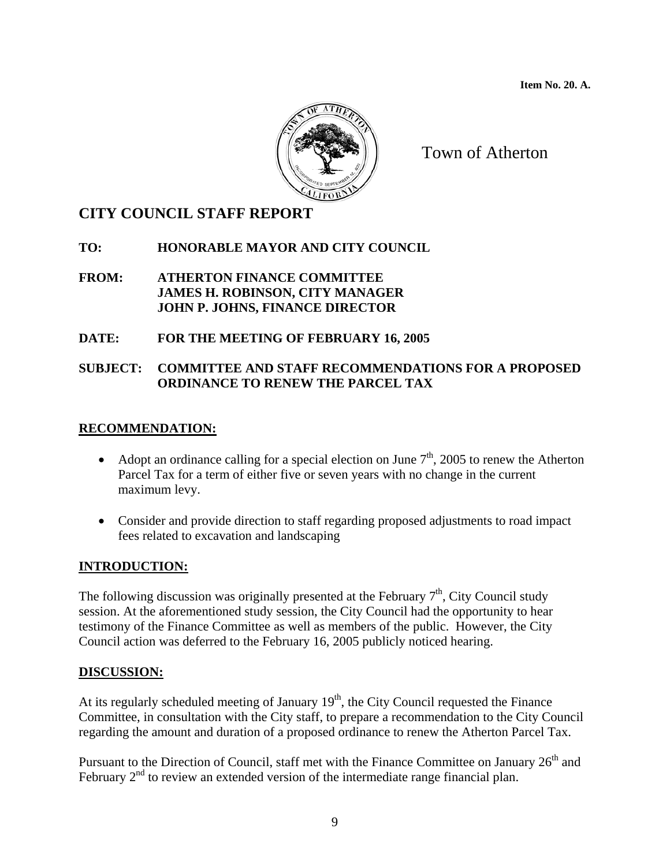**Item No. 20. A.** 



Town of Atherton

## **CITY COUNCIL STAFF REPORT**

## **TO: HONORABLE MAYOR AND CITY COUNCIL**

#### **FROM: ATHERTON FINANCE COMMITTEE JAMES H. ROBINSON, CITY MANAGER JOHN P. JOHNS, FINANCE DIRECTOR**

## **DATE: FOR THE MEETING OF FEBRUARY 16, 2005**

## **SUBJECT: COMMITTEE AND STAFF RECOMMENDATIONS FOR A PROPOSED ORDINANCE TO RENEW THE PARCEL TAX**

## **RECOMMENDATION:**

- Adopt an ordinance calling for a special election on June  $7<sup>th</sup>$ , 2005 to renew the Atherton Parcel Tax for a term of either five or seven years with no change in the current maximum levy.
- Consider and provide direction to staff regarding proposed adjustments to road impact fees related to excavation and landscaping

## **INTRODUCTION:**

The following discussion was originally presented at the February  $7<sup>th</sup>$ , City Council study session. At the aforementioned study session, the City Council had the opportunity to hear testimony of the Finance Committee as well as members of the public. However, the City Council action was deferred to the February 16, 2005 publicly noticed hearing.

## **DISCUSSION:**

At its regularly scheduled meeting of January  $19<sup>th</sup>$ , the City Council requested the Finance Committee, in consultation with the City staff, to prepare a recommendation to the City Council regarding the amount and duration of a proposed ordinance to renew the Atherton Parcel Tax.

Pursuant to the Direction of Council, staff met with the Finance Committee on January 26<sup>th</sup> and February 2<sup>nd</sup> to review an extended version of the intermediate range financial plan.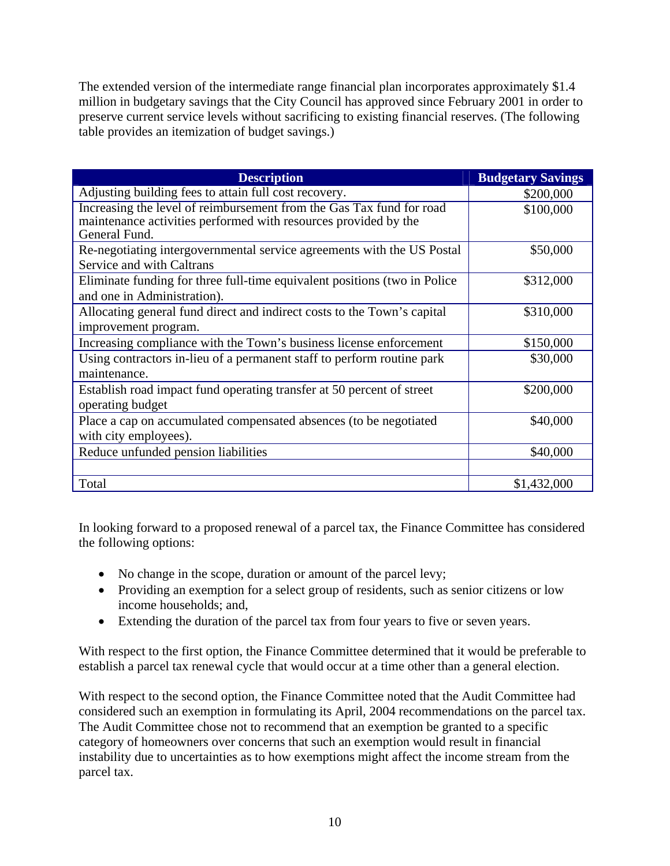The extended version of the intermediate range financial plan incorporates approximately \$1.4 million in budgetary savings that the City Council has approved since February 2001 in order to preserve current service levels without sacrificing to existing financial reserves. (The following table provides an itemization of budget savings.)

| <b>Description</b>                                                                                                                                       | <b>Budgetary Savings</b> |  |  |  |  |
|----------------------------------------------------------------------------------------------------------------------------------------------------------|--------------------------|--|--|--|--|
| Adjusting building fees to attain full cost recovery.                                                                                                    | \$200,000                |  |  |  |  |
| Increasing the level of reimbursement from the Gas Tax fund for road<br>maintenance activities performed with resources provided by the<br>General Fund. | \$100,000                |  |  |  |  |
| Re-negotiating intergovernmental service agreements with the US Postal<br>Service and with Caltrans                                                      | \$50,000                 |  |  |  |  |
| Eliminate funding for three full-time equivalent positions (two in Police<br>and one in Administration).                                                 | \$312,000                |  |  |  |  |
| Allocating general fund direct and indirect costs to the Town's capital                                                                                  | \$310,000                |  |  |  |  |
| improvement program.                                                                                                                                     |                          |  |  |  |  |
| Increasing compliance with the Town's business license enforcement                                                                                       | \$150,000                |  |  |  |  |
| Using contractors in-lieu of a permanent staff to perform routine park<br>maintenance.                                                                   | \$30,000                 |  |  |  |  |
| Establish road impact fund operating transfer at 50 percent of street<br>operating budget                                                                | \$200,000                |  |  |  |  |
| Place a cap on accumulated compensated absences (to be negotiated                                                                                        | \$40,000                 |  |  |  |  |
| with city employees).                                                                                                                                    |                          |  |  |  |  |
| Reduce unfunded pension liabilities                                                                                                                      | \$40,000                 |  |  |  |  |
|                                                                                                                                                          |                          |  |  |  |  |
| Total                                                                                                                                                    | \$1,432,000              |  |  |  |  |

In looking forward to a proposed renewal of a parcel tax, the Finance Committee has considered the following options:

- No change in the scope, duration or amount of the parcel levy;
- Providing an exemption for a select group of residents, such as senior citizens or low income households; and,
- Extending the duration of the parcel tax from four years to five or seven years.

With respect to the first option, the Finance Committee determined that it would be preferable to establish a parcel tax renewal cycle that would occur at a time other than a general election.

With respect to the second option, the Finance Committee noted that the Audit Committee had considered such an exemption in formulating its April, 2004 recommendations on the parcel tax. The Audit Committee chose not to recommend that an exemption be granted to a specific category of homeowners over concerns that such an exemption would result in financial instability due to uncertainties as to how exemptions might affect the income stream from the parcel tax.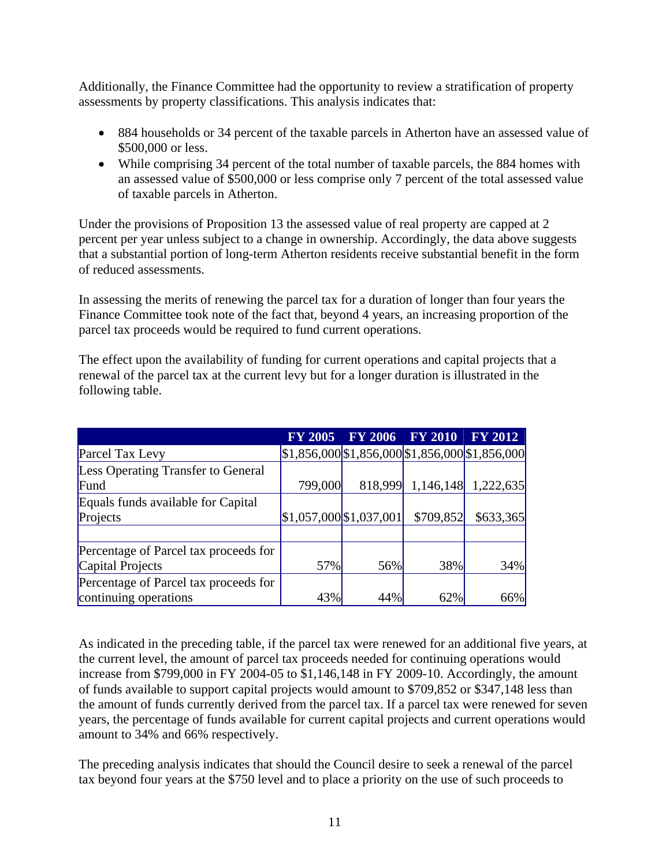Additionally, the Finance Committee had the opportunity to review a stratification of property assessments by property classifications. This analysis indicates that:

- 884 households or 34 percent of the taxable parcels in Atherton have an assessed value of \$500,000 or less.
- While comprising 34 percent of the total number of taxable parcels, the 884 homes with an assessed value of \$500,000 or less comprise only 7 percent of the total assessed value of taxable parcels in Atherton.

Under the provisions of Proposition 13 the assessed value of real property are capped at 2 percent per year unless subject to a change in ownership. Accordingly, the data above suggests that a substantial portion of long-term Atherton residents receive substantial benefit in the form of reduced assessments.

In assessing the merits of renewing the parcel tax for a duration of longer than four years the Finance Committee took note of the fact that, beyond 4 years, an increasing proportion of the parcel tax proceeds would be required to fund current operations.

The effect upon the availability of funding for current operations and capital projects that a renewal of the parcel tax at the current levy but for a longer duration is illustrated in the following table.

|                                           | <b>FY 2005</b> | $\vert$ FY 2006 $\vert$   | <b>FY 2010</b>    | <b>FY 2012</b>                             |
|-------------------------------------------|----------------|---------------------------|-------------------|--------------------------------------------|
| Parcel Tax Levy                           |                |                           |                   | $$1,856,000$1,856,000$1,856,000$1,856,000$ |
| <b>Less Operating Transfer to General</b> |                |                           |                   |                                            |
| Fund                                      | 799,000        |                           | 818,999 1,146,148 | 1,222,635                                  |
| Equals funds available for Capital        |                |                           |                   |                                            |
| Projects                                  |                | $$1,057,000$ $$1,037,001$ | \$709,852         | \$633,365                                  |
|                                           |                |                           |                   |                                            |
| Percentage of Parcel tax proceeds for     |                |                           |                   |                                            |
| Capital Projects                          | 57%            | 56%                       | 38%               | 34%                                        |
| Percentage of Parcel tax proceeds for     |                |                           |                   |                                            |
| continuing operations                     | 43%            | 44%                       | 62%               | 66%                                        |

As indicated in the preceding table, if the parcel tax were renewed for an additional five years, at the current level, the amount of parcel tax proceeds needed for continuing operations would increase from \$799,000 in FY 2004-05 to \$1,146,148 in FY 2009-10. Accordingly, the amount of funds available to support capital projects would amount to \$709,852 or \$347,148 less than the amount of funds currently derived from the parcel tax. If a parcel tax were renewed for seven years, the percentage of funds available for current capital projects and current operations would amount to 34% and 66% respectively.

The preceding analysis indicates that should the Council desire to seek a renewal of the parcel tax beyond four years at the \$750 level and to place a priority on the use of such proceeds to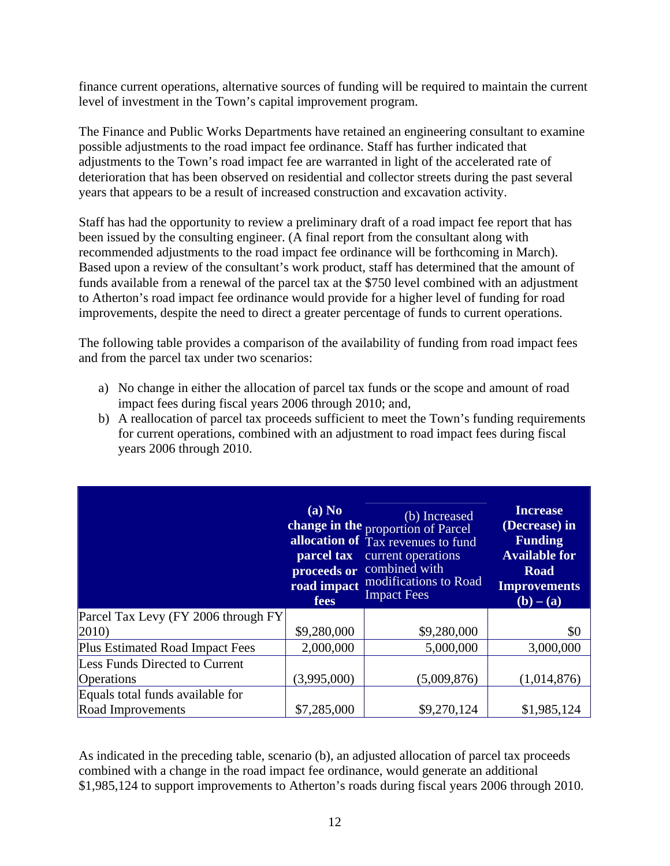finance current operations, alternative sources of funding will be required to maintain the current level of investment in the Town's capital improvement program.

The Finance and Public Works Departments have retained an engineering consultant to examine possible adjustments to the road impact fee ordinance. Staff has further indicated that adjustments to the Town's road impact fee are warranted in light of the accelerated rate of deterioration that has been observed on residential and collector streets during the past several years that appears to be a result of increased construction and excavation activity.

Staff has had the opportunity to review a preliminary draft of a road impact fee report that has been issued by the consulting engineer. (A final report from the consultant along with recommended adjustments to the road impact fee ordinance will be forthcoming in March). Based upon a review of the consultant's work product, staff has determined that the amount of funds available from a renewal of the parcel tax at the \$750 level combined with an adjustment to Atherton's road impact fee ordinance would provide for a higher level of funding for road improvements, despite the need to direct a greater percentage of funds to current operations.

The following table provides a comparison of the availability of funding from road impact fees and from the parcel tax under two scenarios:

- a) No change in either the allocation of parcel tax funds or the scope and amount of road impact fees during fiscal years 2006 through 2010; and,
- b) A reallocation of parcel tax proceeds sufficient to meet the Town's funding requirements for current operations, combined with an adjustment to road impact fees during fiscal years 2006 through 2010.

|                                       | (a) No<br>parcel tax<br>road impact<br>fees | (b) Increased<br>change in the proportion of Parcel<br>allocation of Tax revenues to fund<br>current operations<br>proceeds or combined with<br>modifications to Road<br><b>Impact Fees</b> | <b>Increase</b><br>(Decrease) in<br><b>Funding</b><br><b>Available for</b><br><b>Road</b><br><b>Improvements</b><br>$(b) - (a)$ |
|---------------------------------------|---------------------------------------------|---------------------------------------------------------------------------------------------------------------------------------------------------------------------------------------------|---------------------------------------------------------------------------------------------------------------------------------|
| Parcel Tax Levy (FY 2006 through FY   |                                             |                                                                                                                                                                                             |                                                                                                                                 |
| $ 2010\rangle$                        | \$9,280,000                                 | \$9,280,000                                                                                                                                                                                 | \$0                                                                                                                             |
| Plus Estimated Road Impact Fees       | 2,000,000                                   | 5,000,000                                                                                                                                                                                   | 3,000,000                                                                                                                       |
| <b>Less Funds Directed to Current</b> |                                             |                                                                                                                                                                                             |                                                                                                                                 |
| <b>Operations</b>                     | (3,995,000)                                 | (5,009,876)                                                                                                                                                                                 | (1,014,876)                                                                                                                     |
| Equals total funds available for      |                                             |                                                                                                                                                                                             |                                                                                                                                 |
| Road Improvements                     | \$7,285,000                                 | \$9,270,124                                                                                                                                                                                 | \$1,985,124                                                                                                                     |

As indicated in the preceding table, scenario (b), an adjusted allocation of parcel tax proceeds combined with a change in the road impact fee ordinance, would generate an additional \$1,985,124 to support improvements to Atherton's roads during fiscal years 2006 through 2010.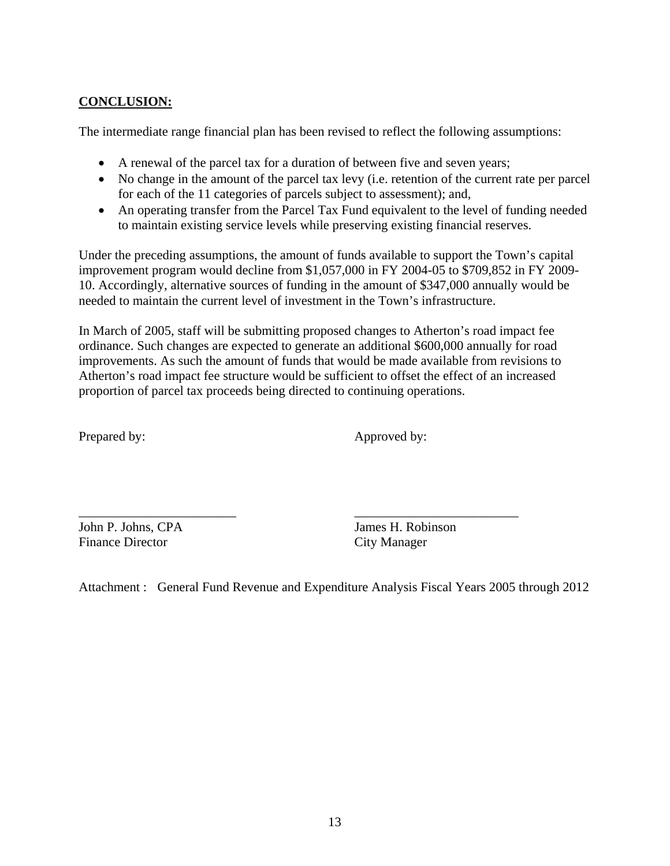## **CONCLUSION:**

The intermediate range financial plan has been revised to reflect the following assumptions:

- A renewal of the parcel tax for a duration of between five and seven years;
- No change in the amount of the parcel tax levy (i.e. retention of the current rate per parcel for each of the 11 categories of parcels subject to assessment); and,
- An operating transfer from the Parcel Tax Fund equivalent to the level of funding needed to maintain existing service levels while preserving existing financial reserves.

Under the preceding assumptions, the amount of funds available to support the Town's capital improvement program would decline from \$1,057,000 in FY 2004-05 to \$709,852 in FY 2009- 10. Accordingly, alternative sources of funding in the amount of \$347,000 annually would be needed to maintain the current level of investment in the Town's infrastructure.

In March of 2005, staff will be submitting proposed changes to Atherton's road impact fee ordinance. Such changes are expected to generate an additional \$600,000 annually for road improvements. As such the amount of funds that would be made available from revisions to Atherton's road impact fee structure would be sufficient to offset the effect of an increased proportion of parcel tax proceeds being directed to continuing operations.

Prepared by: Approved by:

John P. Johns, CPA James H. Robinson Finance Director City Manager

\_\_\_\_\_\_\_\_\_\_\_\_\_\_\_\_\_\_\_\_\_\_\_\_ \_\_\_\_\_\_\_\_\_\_\_\_\_\_\_\_\_\_\_\_\_\_\_\_\_

Attachment : General Fund Revenue and Expenditure Analysis Fiscal Years 2005 through 2012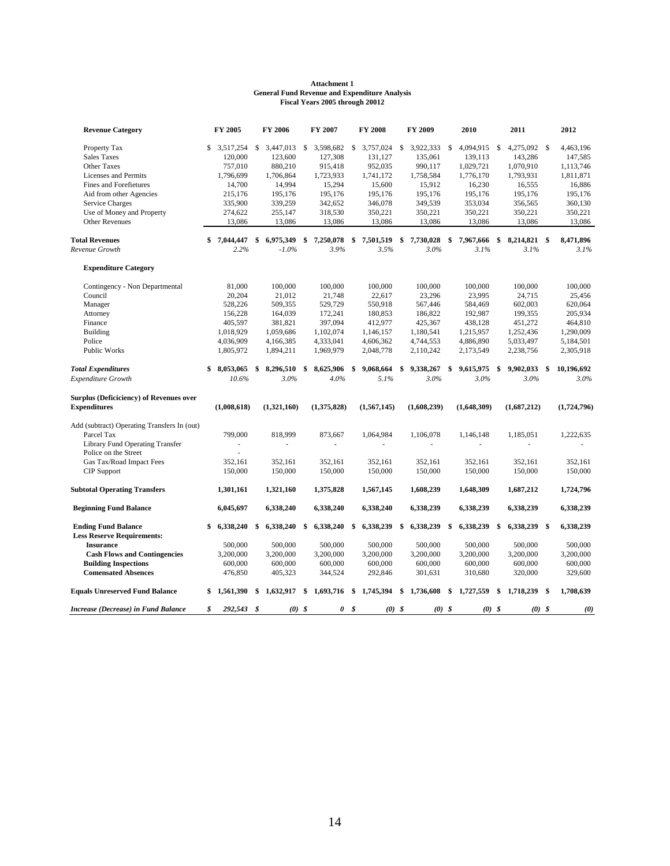#### **General Fund Revenue and Expenditure Analysis Fiscal Years 2005 through 20012 Attachment 1**

| <b>Revenue Category</b>                     | FY 2005            | FY 2006         | FY 2007         |    | <b>FY 2008</b> | FY 2009         | 2010            | 2011               |      | 2012        |
|---------------------------------------------|--------------------|-----------------|-----------------|----|----------------|-----------------|-----------------|--------------------|------|-------------|
| Property Tax                                | \$<br>3,517,254    | \$3,447,013     | \$<br>3,598,682 | \$ | 3,757,024      | \$<br>3,922,333 | \$<br>4,094,915 | \$<br>4,275,092 \$ |      | 4,463,196   |
| <b>Sales Taxes</b>                          | 120,000            | 123,600         | 127,308         |    | 131,127        | 135,061         | 139,113         | 143,286            |      | 147,585     |
| Other Taxes                                 | 757,010            | 880,210         | 915,418         |    | 952,035        | 990,117         | 1,029,721       | 1,070,910          |      | 1,113,746   |
| Licenses and Permits                        | 1,796,699          | 1,706,864       | 1,723,933       |    | 1,741,172      | 1,758,584       | 1,776,170       | 1,793,931          |      | 1,811,871   |
| Fines and Forefietures                      | 14,700             | 14,994          | 15,294          |    | 15,600         | 15,912          | 16,230          | 16,555             |      | 16,886      |
| Aid from other Agencies                     | 215,176            | 195,176         | 195,176         |    | 195,176        | 195,176         | 195,176         | 195,176            |      | 195,176     |
| Service Charges                             | 335,900            | 339,259         | 342,652         |    | 346,078        | 349,539         | 353,034         | 356,565            |      | 360,130     |
| Use of Money and Property                   | 274,622            | 255,147         | 318,530         |    | 350,221        | 350,221         | 350,221         | 350,221            |      | 350,221     |
| <b>Other Revenues</b>                       | 13,086             | 13,086          | 13,086          |    | 13,086         | 13,086          | 13,086          | 13,086             |      | 13,086      |
| <b>Total Revenues</b>                       | \$<br>7,044,447    | \$<br>6,975,349 | \$<br>7,250,078 | \$ | 7,501,519      | \$<br>7,730,028 | \$<br>7,967,666 | \$<br>8,214,821 \$ |      | 8,471,896   |
| Revenue Growth                              | 2.2%               | $-1.0\%$        | 3.9%            |    | 3.5%           | 3.0%            | 3.1%            | 3.1%               |      | 3.1%        |
| <b>Expenditure Category</b>                 |                    |                 |                 |    |                |                 |                 |                    |      |             |
| Contingency - Non Departmental              | 81,000             | 100,000         | 100,000         |    | 100,000        | 100,000         | 100,000         | 100,000            |      | 100,000     |
| Council                                     | 20,204             | 21,012          | 21,748          |    | 22,617         | 23,296          | 23,995          | 24,715             |      | 25,456      |
| Manager                                     | 528,226            | 509,355         | 529,729         |    | 550,918        | 567,446         | 584,469         | 602,003            |      | 620,064     |
| Attorney                                    | 156,228            | 164,039         | 172,241         |    | 180,853        | 186,822         | 192,987         | 199,355            |      | 205,934     |
| Finance                                     | 405,597            | 381,821         | 397,094         |    | 412,977        | 425,367         | 438,128         | 451,272            |      | 464,810     |
| <b>Building</b>                             | 1,018,929          | 1,059,686       | 1,102,074       |    | 1,146,157      | 1,180,541       | 1,215,957       | 1,252,436          |      | 1,290,009   |
| Police                                      | 4,036,909          | 4,166,385       | 4,333,041       |    | 4,606,362      | 4,744,553       | 4,886,890       | 5,033,497          |      | 5,184,501   |
| Public Works                                | 1,805,972          | 1,894,211       | 1,969,979       |    | 2,048,778      | 2,110,242       | 2,173,549       | 2,238,756          |      | 2,305,918   |
| <b>Total Expenditures</b>                   | \$<br>8,053,065 \$ | 8,296,510       | \$<br>8,625,906 | -S | 9,068,664      | \$<br>9,338,267 | \$<br>9,615,975 | \$<br>9,902,033    | -\$  | 10,196,692  |
| Expenditure Growth                          | 10.6%              | 3.0%            | 4.0%            |    | 5.1%           | 3.0%            | 3.0%            | 3.0%               |      | $3.0\%$     |
| Surplus (Deficiciency) of Revenues over     |                    |                 |                 |    |                |                 |                 |                    |      |             |
| <b>Expenditures</b>                         | (1,008,618)        | (1,321,160)     | (1,375,828)     |    | (1,567,145)    | (1,608,239)     | (1,648,309)     | (1,687,212)        |      | (1,724,796) |
| Add (subtract) Operating Transfers In (out) |                    |                 |                 |    |                |                 |                 |                    |      |             |
| Parcel Tax                                  | 799,000            | 818,999         | 873,667         |    | 1,064,984      | 1,106,078       | 1,146,148       | 1,185,051          |      | 1,222,635   |
| Library Fund Operating Transfer             |                    |                 |                 |    |                |                 |                 |                    |      |             |
| Police on the Street                        |                    |                 |                 |    |                |                 |                 |                    |      |             |
| Gas Tax/Road Impact Fees                    | 352,161            | 352,161         | 352,161         |    | 352,161        | 352,161         | 352,161         | 352,161            |      | 352,161     |
| <b>CIP</b> Support                          | 150,000            | 150,000         | 150,000         |    | 150,000        | 150,000         | 150,000         | 150,000            |      | 150,000     |
| <b>Subtotal Operating Transfers</b>         | 1,301,161          | 1,321,160       | 1,375,828       |    | 1,567,145      | 1,608,239       | 1,648,309       | 1,687,212          |      | 1,724,796   |
| <b>Beginning Fund Balance</b>               | 6,045,697          | 6,338,240       | 6,338,240       |    | 6,338,240      | 6,338,239       | 6,338,239       | 6,338,239          |      | 6,338,239   |
| <b>Ending Fund Balance</b>                  | \$<br>6,338,240    | \$<br>6,338,240 | \$<br>6,338,240 | \$ | 6,338,239      | \$<br>6,338,239 | \$<br>6,338,239 | \$<br>6,338,239 \$ |      | 6,338,239   |
| <b>Less Reserve Requirements:</b>           |                    |                 |                 |    |                |                 |                 |                    |      |             |
| <b>Insurance</b>                            | 500,000            | 500,000         | 500,000         |    | 500,000        | 500,000         | 500,000         | 500,000            |      | 500,000     |
| <b>Cash Flows and Contingencies</b>         | 3,200,000          | 3,200,000       | 3,200,000       |    | 3,200,000      | 3,200,000       | 3,200,000       | 3,200,000          |      | 3,200,000   |
| <b>Building Inspections</b>                 | 600,000            | 600,000         | 600,000         |    | 600,000        | 600,000         | 600,000         | 600,000            |      | 600,000     |
| <b>Comensated Absences</b>                  | 476,850            | 405,323         | 344,524         |    | 292,846        | 301,631         | 310,680         | 320,000            |      | 329,600     |
| <b>Equals Unreserved Fund Balance</b>       | \$<br>1,561,390    | \$<br>1,632,917 | \$<br>1,693,716 | \$ | 1,745,394      | \$<br>1,736,608 | \$<br>1,727,559 | \$<br>1,718,239    | - \$ | 1,708,639   |
| Increase (Decrease) in Fund Balance         | \$<br>292,543 \$   | $(0)$ \$        | 0               | \$ | $(0)$ \$       | $(0)$ \$        | $(0)$ \$        | $(0)$ \$           |      | (0)         |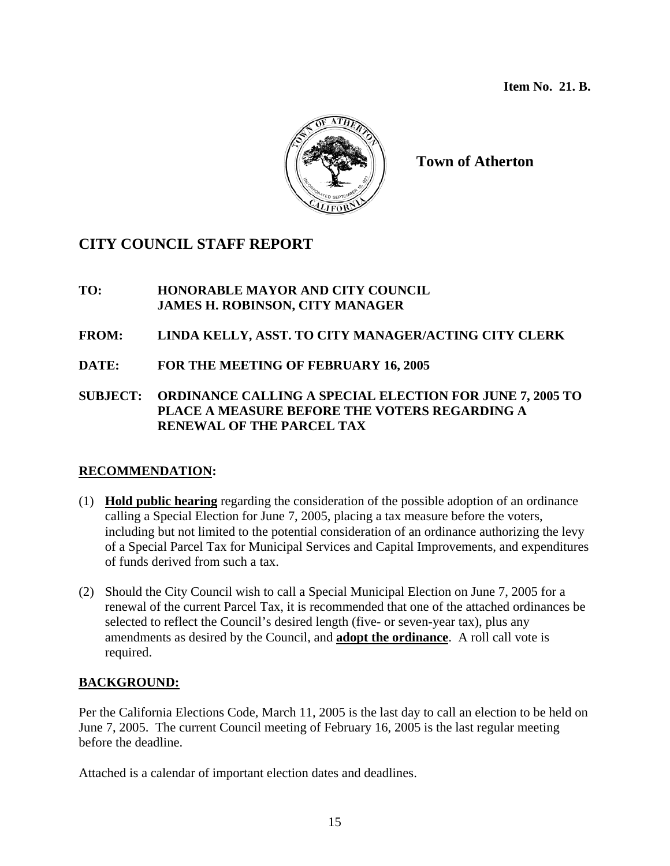**Item No. 21. B.** 



**Town of Atherton** 

# **CITY COUNCIL STAFF REPORT**

## **TO: HONORABLE MAYOR AND CITY COUNCIL JAMES H. ROBINSON, CITY MANAGER**

## **FROM: LINDA KELLY, ASST. TO CITY MANAGER/ACTING CITY CLERK**

**DATE: FOR THE MEETING OF FEBRUARY 16, 2005** 

## **SUBJECT: ORDINANCE CALLING A SPECIAL ELECTION FOR JUNE 7, 2005 TO PLACE A MEASURE BEFORE THE VOTERS REGARDING A RENEWAL OF THE PARCEL TAX**

## **RECOMMENDATION:**

- (1) **Hold public hearing** regarding the consideration of the possible adoption of an ordinance calling a Special Election for June 7, 2005, placing a tax measure before the voters, including but not limited to the potential consideration of an ordinance authorizing the levy of a Special Parcel Tax for Municipal Services and Capital Improvements, and expenditures of funds derived from such a tax.
- (2) Should the City Council wish to call a Special Municipal Election on June 7, 2005 for a renewal of the current Parcel Tax, it is recommended that one of the attached ordinances be selected to reflect the Council's desired length (five- or seven-year tax), plus any amendments as desired by the Council, and **adopt the ordinance**. A roll call vote is required.

## **BACKGROUND:**

Per the California Elections Code, March 11, 2005 is the last day to call an election to be held on June 7, 2005. The current Council meeting of February 16, 2005 is the last regular meeting before the deadline.

Attached is a calendar of important election dates and deadlines.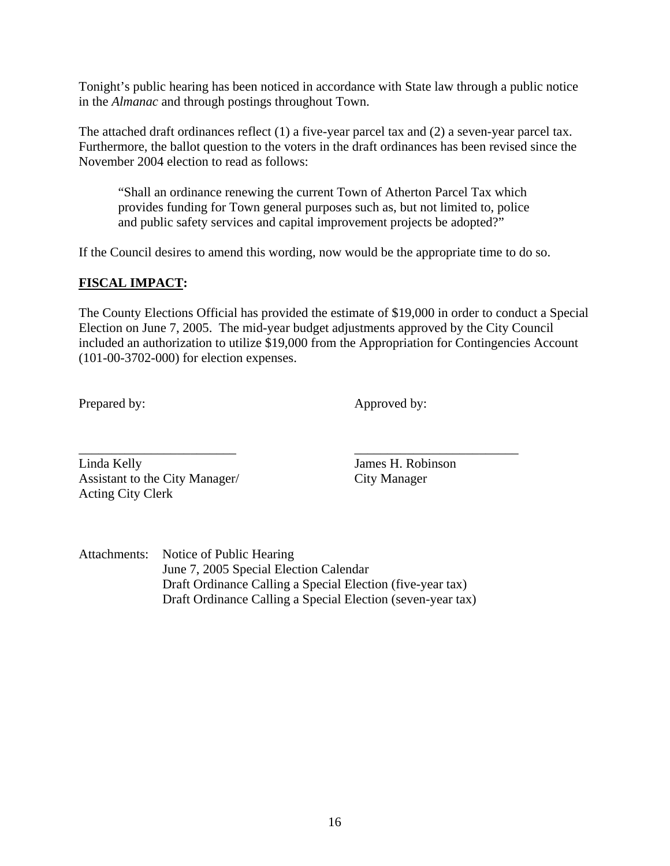Tonight's public hearing has been noticed in accordance with State law through a public notice in the *Almanac* and through postings throughout Town.

The attached draft ordinances reflect (1) a five-year parcel tax and (2) a seven-year parcel tax. Furthermore, the ballot question to the voters in the draft ordinances has been revised since the November 2004 election to read as follows:

"Shall an ordinance renewing the current Town of Atherton Parcel Tax which provides funding for Town general purposes such as, but not limited to, police and public safety services and capital improvement projects be adopted?"

If the Council desires to amend this wording, now would be the appropriate time to do so.

## **FISCAL IMPACT:**

The County Elections Official has provided the estimate of \$19,000 in order to conduct a Special Election on June 7, 2005. The mid-year budget adjustments approved by the City Council included an authorization to utilize \$19,000 from the Appropriation for Contingencies Account (101-00-3702-000) for election expenses.

Prepared by: Approved by:

\_\_\_\_\_\_\_\_\_\_\_\_\_\_\_\_\_\_\_\_\_\_\_\_ \_\_\_\_\_\_\_\_\_\_\_\_\_\_\_\_\_\_\_\_\_\_\_\_\_ Linda Kelly James H. Robinson Assistant to the City Manager/ City Manager Acting City Clerk

Attachments: Notice of Public Hearing June 7, 2005 Special Election Calendar Draft Ordinance Calling a Special Election (five-year tax) Draft Ordinance Calling a Special Election (seven-year tax)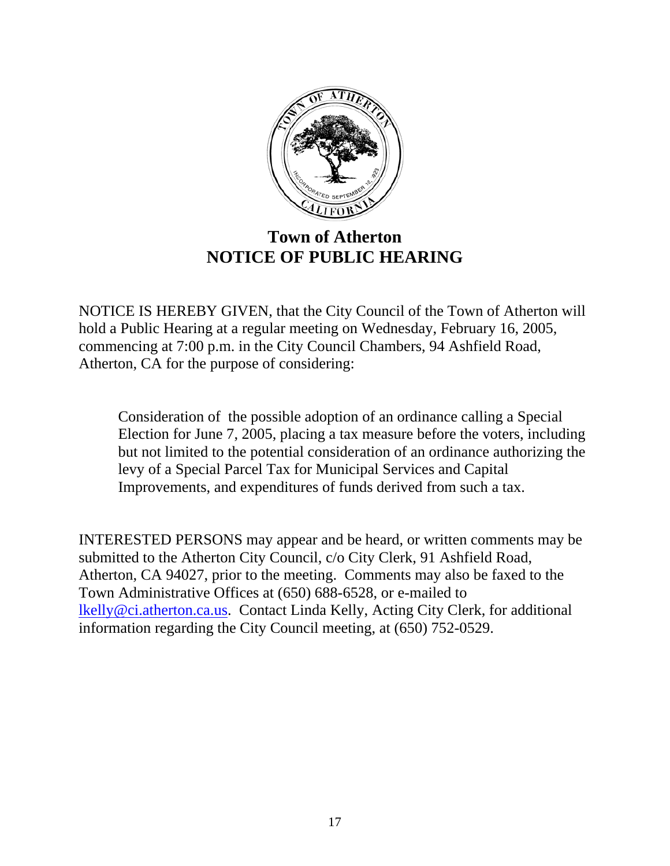

# **Town of Atherton NOTICE OF PUBLIC HEARING**

NOTICE IS HEREBY GIVEN, that the City Council of the Town of Atherton will hold a Public Hearing at a regular meeting on Wednesday, February 16, 2005, commencing at 7:00 p.m. in the City Council Chambers, 94 Ashfield Road, Atherton, CA for the purpose of considering:

Consideration of the possible adoption of an ordinance calling a Special Election for June 7, 2005, placing a tax measure before the voters, including but not limited to the potential consideration of an ordinance authorizing the levy of a Special Parcel Tax for Municipal Services and Capital Improvements, and expenditures of funds derived from such a tax.

INTERESTED PERSONS may appear and be heard, or written comments may be submitted to the Atherton City Council, c/o City Clerk, 91 Ashfield Road, Atherton, CA 94027, prior to the meeting. Comments may also be faxed to the Town Administrative Offices at (650) 688-6528, or e-mailed to [lkelly@ci.atherton.ca.us](mailto:lkelly@ci.atherton.ca.us). Contact Linda Kelly, Acting City Clerk, for additional information regarding the City Council meeting, at (650) 752-0529.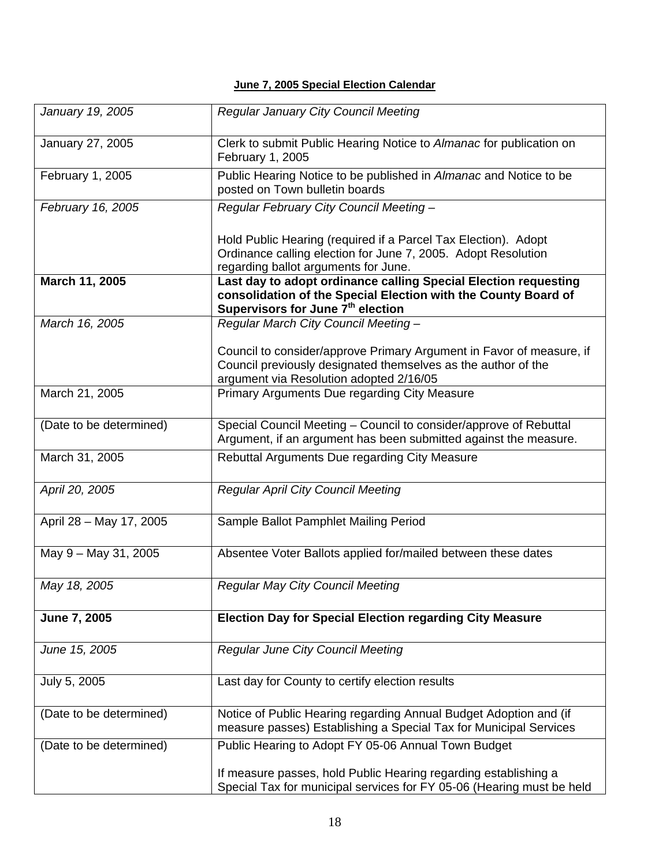#### **June 7, 2005 Special Election Calendar**

| January 19, 2005        | <b>Regular January City Council Meeting</b>                                                                                                                                        |  |  |
|-------------------------|------------------------------------------------------------------------------------------------------------------------------------------------------------------------------------|--|--|
| January 27, 2005        | Clerk to submit Public Hearing Notice to Almanac for publication on<br>February 1, 2005                                                                                            |  |  |
| February 1, 2005        | Public Hearing Notice to be published in Almanac and Notice to be<br>posted on Town bulletin boards                                                                                |  |  |
| February 16, 2005       | Regular February City Council Meeting -                                                                                                                                            |  |  |
|                         | Hold Public Hearing (required if a Parcel Tax Election). Adopt<br>Ordinance calling election for June 7, 2005. Adopt Resolution<br>regarding ballot arguments for June.            |  |  |
| March 11, 2005          | Last day to adopt ordinance calling Special Election requesting<br>consolidation of the Special Election with the County Board of<br>Supervisors for June 7 <sup>th</sup> election |  |  |
| March 16, 2005          | Regular March City Council Meeting -                                                                                                                                               |  |  |
|                         | Council to consider/approve Primary Argument in Favor of measure, if<br>Council previously designated themselves as the author of the<br>argument via Resolution adopted 2/16/05   |  |  |
| March 21, 2005          | Primary Arguments Due regarding City Measure                                                                                                                                       |  |  |
| (Date to be determined) | Special Council Meeting - Council to consider/approve of Rebuttal<br>Argument, if an argument has been submitted against the measure.                                              |  |  |
| March 31, 2005          | Rebuttal Arguments Due regarding City Measure                                                                                                                                      |  |  |
| April 20, 2005          | <b>Regular April City Council Meeting</b>                                                                                                                                          |  |  |
| April 28 - May 17, 2005 | Sample Ballot Pamphlet Mailing Period                                                                                                                                              |  |  |
| May 9 - May 31, 2005    | Absentee Voter Ballots applied for/mailed between these dates                                                                                                                      |  |  |
| May 18, 2005            | <b>Regular May City Council Meeting</b>                                                                                                                                            |  |  |
| June 7, 2005            | <b>Election Day for Special Election regarding City Measure</b>                                                                                                                    |  |  |
| June 15, 2005           | Regular June City Council Meeting                                                                                                                                                  |  |  |
| July 5, 2005            | Last day for County to certify election results                                                                                                                                    |  |  |
| (Date to be determined) | Notice of Public Hearing regarding Annual Budget Adoption and (if<br>measure passes) Establishing a Special Tax for Municipal Services                                             |  |  |
| (Date to be determined) | Public Hearing to Adopt FY 05-06 Annual Town Budget                                                                                                                                |  |  |
|                         | If measure passes, hold Public Hearing regarding establishing a<br>Special Tax for municipal services for FY 05-06 (Hearing must be held                                           |  |  |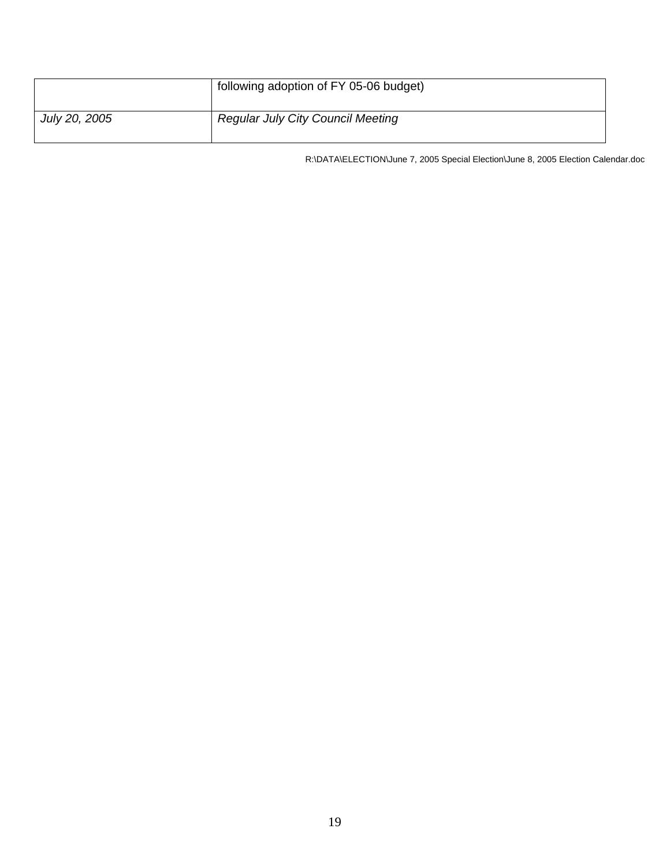|               | following adoption of FY 05-06 budget)   |
|---------------|------------------------------------------|
| July 20, 2005 | <b>Regular July City Council Meeting</b> |

R:\DATA\ELECTION\June 7, 2005 Special Election\June 8, 2005 Election Calendar.doc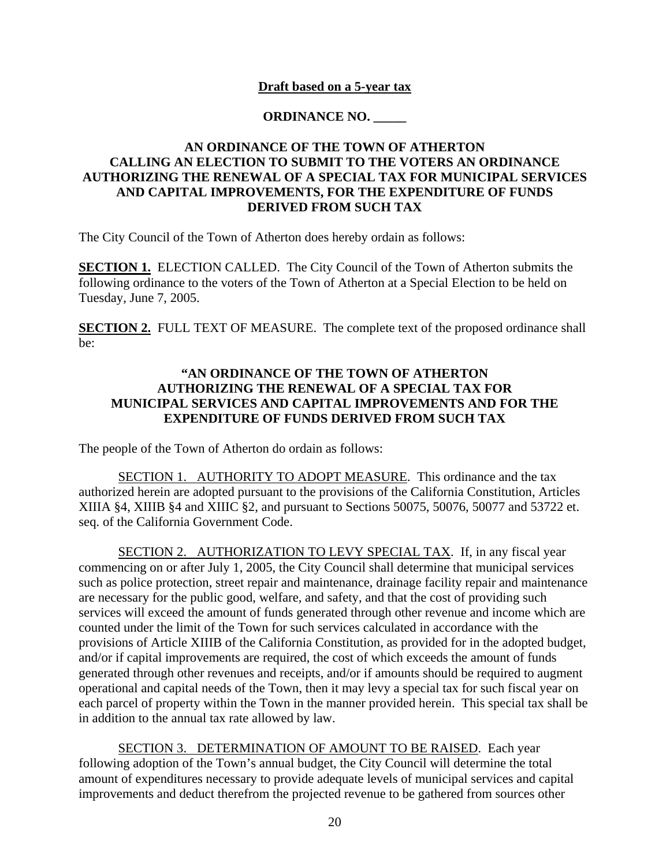### **Draft based on a 5-year tax**

### **ORDINANCE NO. \_\_\_\_\_**

### **AN ORDINANCE OF THE TOWN OF ATHERTON CALLING AN ELECTION TO SUBMIT TO THE VOTERS AN ORDINANCE AUTHORIZING THE RENEWAL OF A SPECIAL TAX FOR MUNICIPAL SERVICES AND CAPITAL IMPROVEMENTS, FOR THE EXPENDITURE OF FUNDS DERIVED FROM SUCH TAX**

The City Council of the Town of Atherton does hereby ordain as follows:

**SECTION 1.** ELECTION CALLED. The City Council of the Town of Atherton submits the following ordinance to the voters of the Town of Atherton at a Special Election to be held on Tuesday, June 7, 2005.

**SECTION 2.** FULL TEXT OF MEASURE. The complete text of the proposed ordinance shall be:

### **"AN ORDINANCE OF THE TOWN OF ATHERTON AUTHORIZING THE RENEWAL OF A SPECIAL TAX FOR MUNICIPAL SERVICES AND CAPITAL IMPROVEMENTS AND FOR THE EXPENDITURE OF FUNDS DERIVED FROM SUCH TAX**

The people of the Town of Atherton do ordain as follows:

SECTION 1. AUTHORITY TO ADOPT MEASURE. This ordinance and the tax authorized herein are adopted pursuant to the provisions of the California Constitution, Articles XIIIA §4, XIIIB §4 and XIIIC §2, and pursuant to Sections 50075, 50076, 50077 and 53722 et. seq. of the California Government Code.

SECTION 2. AUTHORIZATION TO LEVY SPECIAL TAX. If, in any fiscal year commencing on or after July 1, 2005, the City Council shall determine that municipal services such as police protection, street repair and maintenance, drainage facility repair and maintenance are necessary for the public good, welfare, and safety, and that the cost of providing such services will exceed the amount of funds generated through other revenue and income which are counted under the limit of the Town for such services calculated in accordance with the provisions of Article XIIIB of the California Constitution, as provided for in the adopted budget, and/or if capital improvements are required, the cost of which exceeds the amount of funds generated through other revenues and receipts, and/or if amounts should be required to augment operational and capital needs of the Town, then it may levy a special tax for such fiscal year on each parcel of property within the Town in the manner provided herein. This special tax shall be in addition to the annual tax rate allowed by law.

SECTION 3. DETERMINATION OF AMOUNT TO BE RAISED. Each year following adoption of the Town's annual budget, the City Council will determine the total amount of expenditures necessary to provide adequate levels of municipal services and capital improvements and deduct therefrom the projected revenue to be gathered from sources other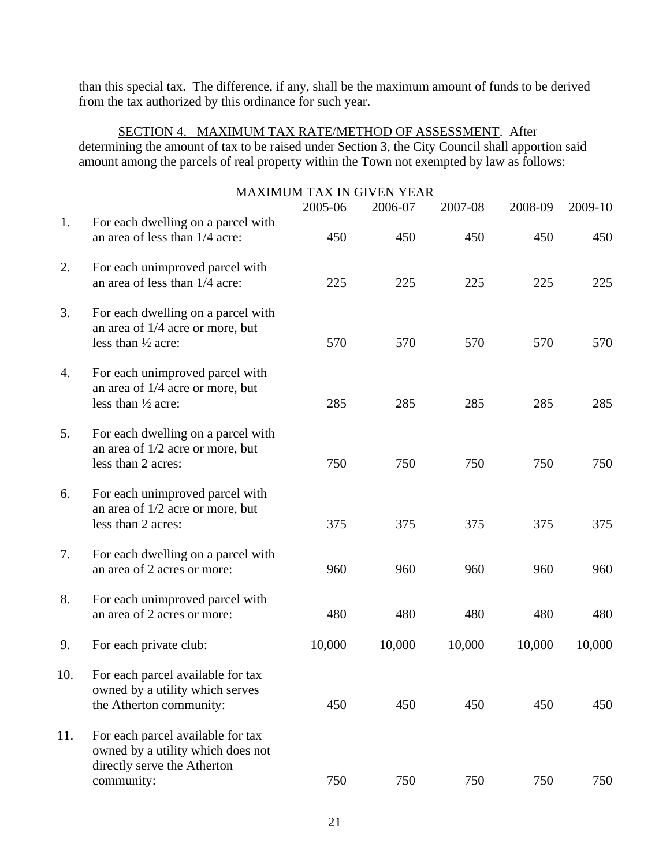than this special tax. The difference, if any, shall be the maximum amount of funds to be derived from the tax authorized by this ordinance for such year.

SECTION 4. MAXIMUM TAX RATE/METHOD OF ASSESSMENT. After determining the amount of tax to be raised under Section 3, the City Council shall apportion said amount among the parcels of real property within the Town not exempted by law as follows:

|     |                                                                                                                     | <b>MAXIMUM TAX IN GIVEN YEAR</b> |                |                |                |                |
|-----|---------------------------------------------------------------------------------------------------------------------|----------------------------------|----------------|----------------|----------------|----------------|
| 1.  | For each dwelling on a parcel with<br>an area of less than 1/4 acre:                                                | 2005-06<br>450                   | 2006-07<br>450 | 2007-08<br>450 | 2008-09<br>450 | 2009-10<br>450 |
| 2.  | For each unimproved parcel with<br>an area of less than 1/4 acre:                                                   | 225                              | 225            | 225            | 225            | 225            |
| 3.  | For each dwelling on a parcel with<br>an area of 1/4 acre or more, but<br>less than 1/2 acre:                       | 570                              | 570            | 570            | 570            | 570            |
| 4.  | For each unimproved parcel with<br>an area of 1/4 acre or more, but<br>less than 1/2 acre:                          | 285                              | 285            | 285            | 285            | 285            |
| 5.  | For each dwelling on a parcel with<br>an area of 1/2 acre or more, but<br>less than 2 acres:                        | 750                              | 750            | 750            | 750            | 750            |
| 6.  | For each unimproved parcel with<br>an area of 1/2 acre or more, but<br>less than 2 acres:                           | 375                              | 375            | 375            | 375            | 375            |
| 7.  | For each dwelling on a parcel with<br>an area of 2 acres or more:                                                   | 960                              | 960            | 960            | 960            | 960            |
| 8.  | For each unimproved parcel with<br>an area of 2 acres or more:                                                      | 480                              | 480            | 480            | 480            | 480            |
| 9.  | For each private club:                                                                                              | 10,000                           | 10,000         | 10,000         | 10,000         | 10,000         |
| 10. | For each parcel available for tax<br>owned by a utility which serves<br>the Atherton community:                     | 450                              | 450            | 450            | 450            | 450            |
| 11. | For each parcel available for tax<br>owned by a utility which does not<br>directly serve the Atherton<br>community: | 750                              | 750            | 750            | 750            | 750            |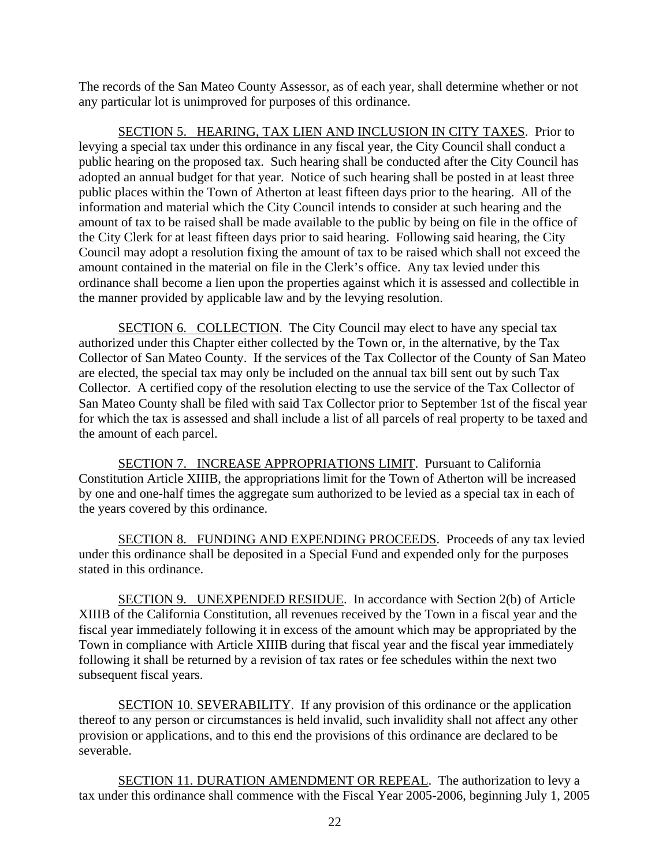The records of the San Mateo County Assessor, as of each year, shall determine whether or not any particular lot is unimproved for purposes of this ordinance.

SECTION 5. HEARING, TAX LIEN AND INCLUSION IN CITY TAXES. Prior to levying a special tax under this ordinance in any fiscal year, the City Council shall conduct a public hearing on the proposed tax. Such hearing shall be conducted after the City Council has adopted an annual budget for that year. Notice of such hearing shall be posted in at least three public places within the Town of Atherton at least fifteen days prior to the hearing. All of the information and material which the City Council intends to consider at such hearing and the amount of tax to be raised shall be made available to the public by being on file in the office of the City Clerk for at least fifteen days prior to said hearing. Following said hearing, the City Council may adopt a resolution fixing the amount of tax to be raised which shall not exceed the amount contained in the material on file in the Clerk's office. Any tax levied under this ordinance shall become a lien upon the properties against which it is assessed and collectible in the manner provided by applicable law and by the levying resolution.

 SECTION 6. COLLECTION. The City Council may elect to have any special tax authorized under this Chapter either collected by the Town or, in the alternative, by the Tax Collector of San Mateo County. If the services of the Tax Collector of the County of San Mateo are elected, the special tax may only be included on the annual tax bill sent out by such Tax Collector. A certified copy of the resolution electing to use the service of the Tax Collector of San Mateo County shall be filed with said Tax Collector prior to September 1st of the fiscal year for which the tax is assessed and shall include a list of all parcels of real property to be taxed and the amount of each parcel.

SECTION 7. INCREASE APPROPRIATIONS LIMIT. Pursuant to California Constitution Article XIIIB, the appropriations limit for the Town of Atherton will be increased by one and one-half times the aggregate sum authorized to be levied as a special tax in each of the years covered by this ordinance.

SECTION 8. FUNDING AND EXPENDING PROCEEDS. Proceeds of any tax levied under this ordinance shall be deposited in a Special Fund and expended only for the purposes stated in this ordinance.

SECTION 9. UNEXPENDED RESIDUE. In accordance with Section 2(b) of Article XIIIB of the California Constitution, all revenues received by the Town in a fiscal year and the fiscal year immediately following it in excess of the amount which may be appropriated by the Town in compliance with Article XIIIB during that fiscal year and the fiscal year immediately following it shall be returned by a revision of tax rates or fee schedules within the next two subsequent fiscal years.

SECTION 10. SEVERABILITY. If any provision of this ordinance or the application thereof to any person or circumstances is held invalid, such invalidity shall not affect any other provision or applications, and to this end the provisions of this ordinance are declared to be severable.

SECTION 11. DURATION AMENDMENT OR REPEAL. The authorization to levy a tax under this ordinance shall commence with the Fiscal Year 2005-2006, beginning July 1, 2005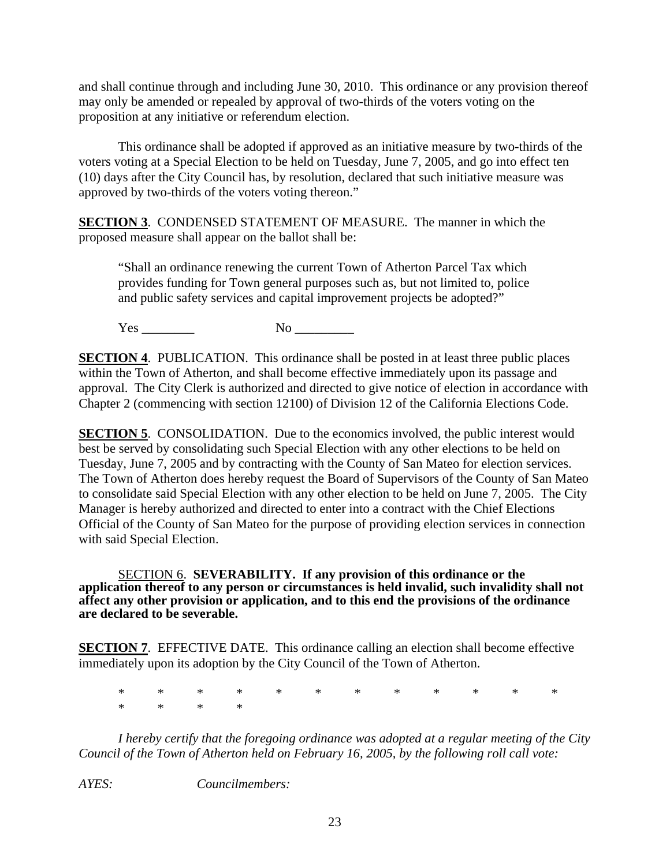and shall continue through and including June 30, 2010. This ordinance or any provision thereof may only be amended or repealed by approval of two-thirds of the voters voting on the proposition at any initiative or referendum election.

This ordinance shall be adopted if approved as an initiative measure by two-thirds of the voters voting at a Special Election to be held on Tuesday, June 7, 2005, and go into effect ten (10) days after the City Council has, by resolution, declared that such initiative measure was approved by two-thirds of the voters voting thereon."

**SECTION 3**. CONDENSED STATEMENT OF MEASURE. The manner in which the proposed measure shall appear on the ballot shall be:

"Shall an ordinance renewing the current Town of Atherton Parcel Tax which provides funding for Town general purposes such as, but not limited to, police and public safety services and capital improvement projects be adopted?"

Yes No  $\log$ 

**SECTION 4.** PUBLICATION. This ordinance shall be posted in at least three public places within the Town of Atherton, and shall become effective immediately upon its passage and approval. The City Clerk is authorized and directed to give notice of election in accordance with Chapter 2 (commencing with section 12100) of Division 12 of the California Elections Code.

**SECTION 5.** CONSOLIDATION. Due to the economics involved, the public interest would best be served by consolidating such Special Election with any other elections to be held on Tuesday, June 7, 2005 and by contracting with the County of San Mateo for election services. The Town of Atherton does hereby request the Board of Supervisors of the County of San Mateo to consolidate said Special Election with any other election to be held on June 7, 2005. The City Manager is hereby authorized and directed to enter into a contract with the Chief Elections Official of the County of San Mateo for the purpose of providing election services in connection with said Special Election.

SECTION 6. **SEVERABILITY. If any provision of this ordinance or the application thereof to any person or circumstances is held invalid, such invalidity shall not affect any other provision or application, and to this end the provisions of the ordinance are declared to be severable.** 

**SECTION 7.** EFFECTIVE DATE. This ordinance calling an election shall become effective immediately upon its adoption by the City Council of the Town of Atherton.

\* \* \* \* \* \* \* \* \* \* \* \* \* \* \* \*

*I hereby certify that the foregoing ordinance was adopted at a regular meeting of the City Council of the Town of Atherton held on February 16, 2005, by the following roll call vote:* 

*AYES: Councilmembers:*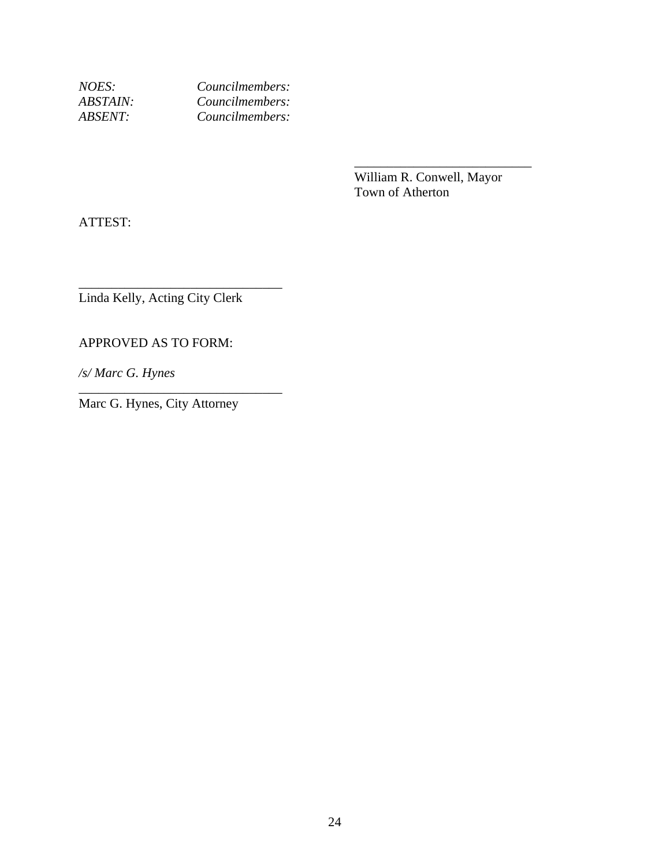*NOES: Councilmembers: ABSTAIN: Councilmembers: ABSENT: Councilmembers:* 

> William R. Conwell, Mayor Town of Atherton

 $\overline{\phantom{a}}$  , which is a set of the set of the set of the set of the set of the set of the set of the set of the set of the set of the set of the set of the set of the set of the set of the set of the set of the set of th

ATTEST:

Linda Kelly, Acting City Clerk

\_\_\_\_\_\_\_\_\_\_\_\_\_\_\_\_\_\_\_\_\_\_\_\_\_\_\_\_\_\_\_

\_\_\_\_\_\_\_\_\_\_\_\_\_\_\_\_\_\_\_\_\_\_\_\_\_\_\_\_\_\_\_

APPROVED AS TO FORM:

*/s/ Marc G. Hynes* 

Marc G. Hynes, City Attorney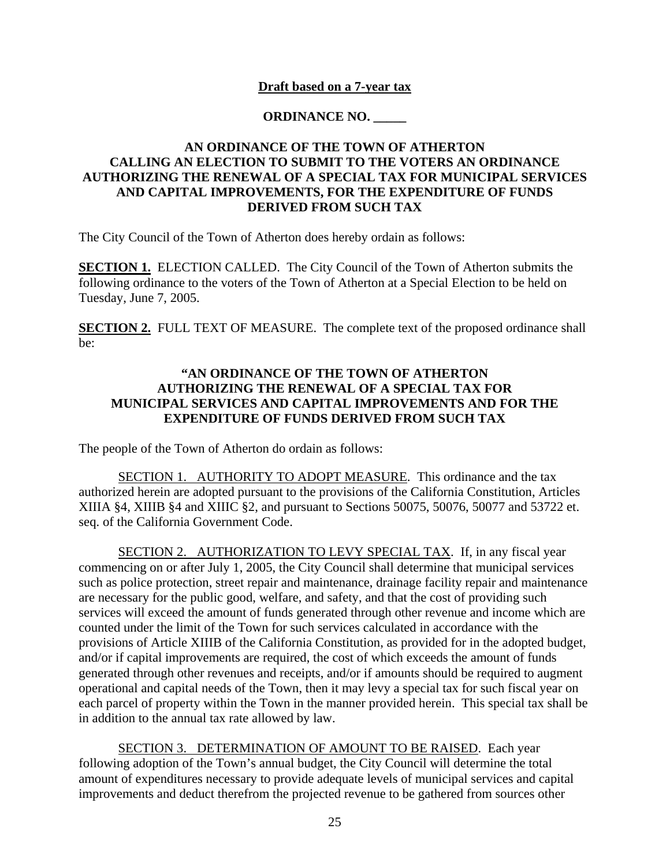### **Draft based on a 7-year tax**

### **ORDINANCE NO. \_\_\_\_\_**

### **AN ORDINANCE OF THE TOWN OF ATHERTON CALLING AN ELECTION TO SUBMIT TO THE VOTERS AN ORDINANCE AUTHORIZING THE RENEWAL OF A SPECIAL TAX FOR MUNICIPAL SERVICES AND CAPITAL IMPROVEMENTS, FOR THE EXPENDITURE OF FUNDS DERIVED FROM SUCH TAX**

The City Council of the Town of Atherton does hereby ordain as follows:

**SECTION 1.** ELECTION CALLED. The City Council of the Town of Atherton submits the following ordinance to the voters of the Town of Atherton at a Special Election to be held on Tuesday, June 7, 2005.

**SECTION 2.** FULL TEXT OF MEASURE. The complete text of the proposed ordinance shall be:

### **"AN ORDINANCE OF THE TOWN OF ATHERTON AUTHORIZING THE RENEWAL OF A SPECIAL TAX FOR MUNICIPAL SERVICES AND CAPITAL IMPROVEMENTS AND FOR THE EXPENDITURE OF FUNDS DERIVED FROM SUCH TAX**

The people of the Town of Atherton do ordain as follows:

SECTION 1. AUTHORITY TO ADOPT MEASURE. This ordinance and the tax authorized herein are adopted pursuant to the provisions of the California Constitution, Articles XIIIA §4, XIIIB §4 and XIIIC §2, and pursuant to Sections 50075, 50076, 50077 and 53722 et. seq. of the California Government Code.

SECTION 2. AUTHORIZATION TO LEVY SPECIAL TAX. If, in any fiscal year commencing on or after July 1, 2005, the City Council shall determine that municipal services such as police protection, street repair and maintenance, drainage facility repair and maintenance are necessary for the public good, welfare, and safety, and that the cost of providing such services will exceed the amount of funds generated through other revenue and income which are counted under the limit of the Town for such services calculated in accordance with the provisions of Article XIIIB of the California Constitution, as provided for in the adopted budget, and/or if capital improvements are required, the cost of which exceeds the amount of funds generated through other revenues and receipts, and/or if amounts should be required to augment operational and capital needs of the Town, then it may levy a special tax for such fiscal year on each parcel of property within the Town in the manner provided herein. This special tax shall be in addition to the annual tax rate allowed by law.

SECTION 3. DETERMINATION OF AMOUNT TO BE RAISED. Each year following adoption of the Town's annual budget, the City Council will determine the total amount of expenditures necessary to provide adequate levels of municipal services and capital improvements and deduct therefrom the projected revenue to be gathered from sources other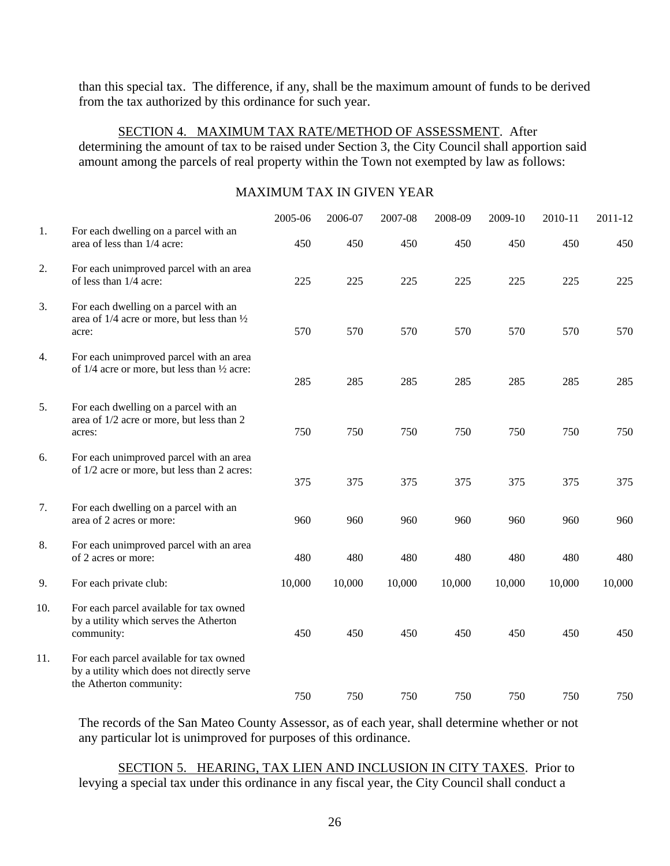than this special tax. The difference, if any, shall be the maximum amount of funds to be derived from the tax authorized by this ordinance for such year.

#### SECTION 4. MAXIMUM TAX RATE/METHOD OF ASSESSMENT. After determining the amount of tax to be raised under Section 3, the City Council shall apportion said amount among the parcels of real property within the Town not exempted by law as follows:

### MAXIMUM TAX IN GIVEN YEAR

|     |                                                                                                                  | 2005-06 | 2006-07 | 2007-08 | 2008-09 | 2009-10 | 2010-11 | 2011-12 |
|-----|------------------------------------------------------------------------------------------------------------------|---------|---------|---------|---------|---------|---------|---------|
| 1.  | For each dwelling on a parcel with an<br>area of less than 1/4 acre:                                             | 450     | 450     | 450     | 450     | 450     | 450     | 450     |
| 2.  | For each unimproved parcel with an area<br>of less than 1/4 acre:                                                | 225     | 225     | 225     | 225     | 225     | 225     | 225     |
| 3.  | For each dwelling on a parcel with an<br>area of 1/4 acre or more, but less than 1/2<br>acre:                    | 570     | 570     | 570     | 570     | 570     | 570     | 570     |
| 4.  | For each unimproved parcel with an area<br>of 1/4 acre or more, but less than 1/2 acre:                          | 285     | 285     | 285     | 285     | 285     | 285     | 285     |
| 5.  | For each dwelling on a parcel with an<br>area of 1/2 acre or more, but less than 2<br>acres:                     | 750     | 750     | 750     | 750     | 750     | 750     | 750     |
| 6.  | For each unimproved parcel with an area<br>of 1/2 acre or more, but less than 2 acres:                           | 375     | 375     | 375     | 375     | 375     | 375     | 375     |
| 7.  | For each dwelling on a parcel with an<br>area of 2 acres or more:                                                | 960     | 960     | 960     | 960     | 960     | 960     | 960     |
| 8.  | For each unimproved parcel with an area<br>of 2 acres or more:                                                   | 480     | 480     | 480     | 480     | 480     | 480     | 480     |
| 9.  | For each private club:                                                                                           | 10,000  | 10,000  | 10,000  | 10,000  | 10,000  | 10,000  | 10,000  |
| 10. | For each parcel available for tax owned<br>by a utility which serves the Atherton<br>community:                  | 450     | 450     | 450     | 450     | 450     | 450     | 450     |
| 11. | For each parcel available for tax owned<br>by a utility which does not directly serve<br>the Atherton community: | 750     | 750     | 750     | 750     | 750     | 750     | 750     |

The records of the San Mateo County Assessor, as of each year, shall determine whether or not any particular lot is unimproved for purposes of this ordinance.

SECTION 5. HEARING, TAX LIEN AND INCLUSION IN CITY TAXES. Prior to levying a special tax under this ordinance in any fiscal year, the City Council shall conduct a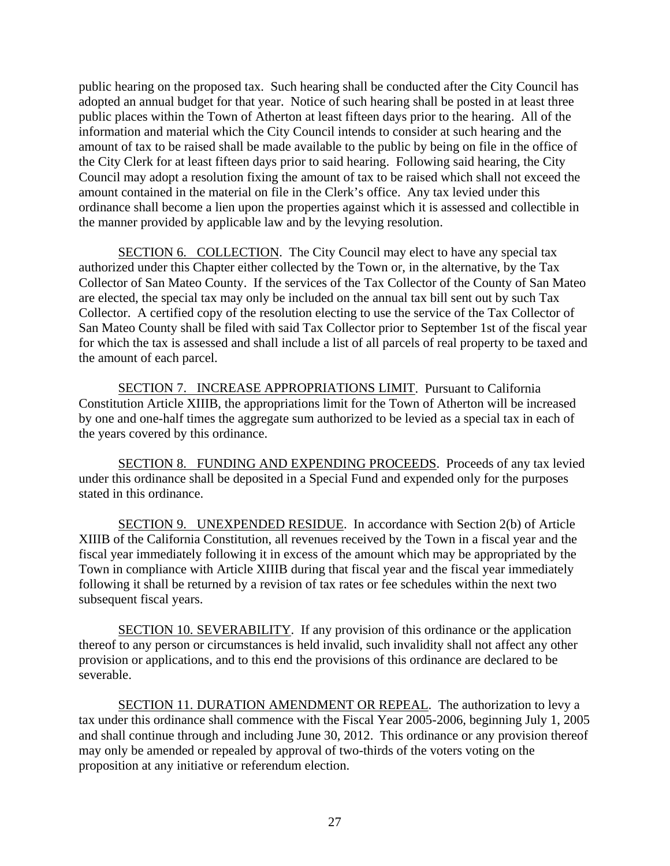public hearing on the proposed tax. Such hearing shall be conducted after the City Council has adopted an annual budget for that year. Notice of such hearing shall be posted in at least three public places within the Town of Atherton at least fifteen days prior to the hearing. All of the information and material which the City Council intends to consider at such hearing and the amount of tax to be raised shall be made available to the public by being on file in the office of the City Clerk for at least fifteen days prior to said hearing. Following said hearing, the City Council may adopt a resolution fixing the amount of tax to be raised which shall not exceed the amount contained in the material on file in the Clerk's office. Any tax levied under this ordinance shall become a lien upon the properties against which it is assessed and collectible in the manner provided by applicable law and by the levying resolution.

 SECTION 6. COLLECTION. The City Council may elect to have any special tax authorized under this Chapter either collected by the Town or, in the alternative, by the Tax Collector of San Mateo County. If the services of the Tax Collector of the County of San Mateo are elected, the special tax may only be included on the annual tax bill sent out by such Tax Collector. A certified copy of the resolution electing to use the service of the Tax Collector of San Mateo County shall be filed with said Tax Collector prior to September 1st of the fiscal year for which the tax is assessed and shall include a list of all parcels of real property to be taxed and the amount of each parcel.

SECTION 7. INCREASE APPROPRIATIONS LIMIT. Pursuant to California Constitution Article XIIIB, the appropriations limit for the Town of Atherton will be increased by one and one-half times the aggregate sum authorized to be levied as a special tax in each of the years covered by this ordinance.

SECTION 8. FUNDING AND EXPENDING PROCEEDS. Proceeds of any tax levied under this ordinance shall be deposited in a Special Fund and expended only for the purposes stated in this ordinance.

SECTION 9. UNEXPENDED RESIDUE. In accordance with Section 2(b) of Article XIIIB of the California Constitution, all revenues received by the Town in a fiscal year and the fiscal year immediately following it in excess of the amount which may be appropriated by the Town in compliance with Article XIIIB during that fiscal year and the fiscal year immediately following it shall be returned by a revision of tax rates or fee schedules within the next two subsequent fiscal years.

SECTION 10. SEVERABILITY. If any provision of this ordinance or the application thereof to any person or circumstances is held invalid, such invalidity shall not affect any other provision or applications, and to this end the provisions of this ordinance are declared to be severable.

SECTION 11. DURATION AMENDMENT OR REPEAL. The authorization to levy a tax under this ordinance shall commence with the Fiscal Year 2005-2006, beginning July 1, 2005 and shall continue through and including June 30, 2012. This ordinance or any provision thereof may only be amended or repealed by approval of two-thirds of the voters voting on the proposition at any initiative or referendum election.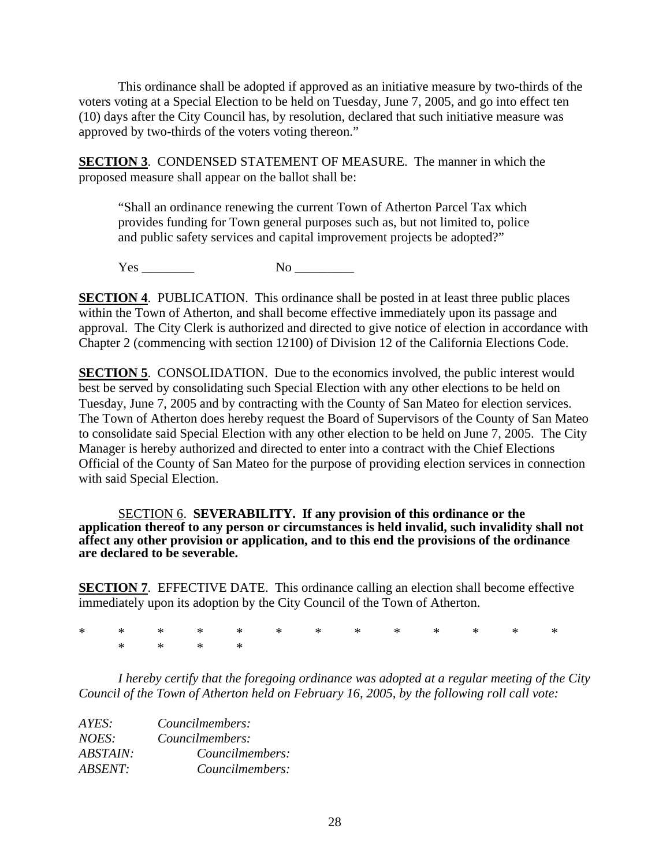This ordinance shall be adopted if approved as an initiative measure by two-thirds of the voters voting at a Special Election to be held on Tuesday, June 7, 2005, and go into effect ten (10) days after the City Council has, by resolution, declared that such initiative measure was approved by two-thirds of the voters voting thereon."

**SECTION 3.** CONDENSED STATEMENT OF MEASURE. The manner in which the proposed measure shall appear on the ballot shall be:

"Shall an ordinance renewing the current Town of Atherton Parcel Tax which provides funding for Town general purposes such as, but not limited to, police and public safety services and capital improvement projects be adopted?"

Yes \_\_\_\_\_\_\_\_ No \_\_\_\_\_\_\_\_\_

**SECTION 4.** PUBLICATION. This ordinance shall be posted in at least three public places within the Town of Atherton, and shall become effective immediately upon its passage and approval. The City Clerk is authorized and directed to give notice of election in accordance with Chapter 2 (commencing with section 12100) of Division 12 of the California Elections Code.

**SECTION 5.** CONSOLIDATION. Due to the economics involved, the public interest would best be served by consolidating such Special Election with any other elections to be held on Tuesday, June 7, 2005 and by contracting with the County of San Mateo for election services. The Town of Atherton does hereby request the Board of Supervisors of the County of San Mateo to consolidate said Special Election with any other election to be held on June 7, 2005. The City Manager is hereby authorized and directed to enter into a contract with the Chief Elections Official of the County of San Mateo for the purpose of providing election services in connection with said Special Election.

SECTION 6. **SEVERABILITY. If any provision of this ordinance or the application thereof to any person or circumstances is held invalid, such invalidity shall not affect any other provision or application, and to this end the provisions of the ordinance are declared to be severable.** 

**SECTION 7.** EFFECTIVE DATE. This ordinance calling an election shall become effective immediately upon its adoption by the City Council of the Town of Atherton.

\* \* \* \* \* \* \* \* \* \* \* \* \* \* \* \* \*

*I hereby certify that the foregoing ordinance was adopted at a regular meeting of the City Council of the Town of Atherton held on February 16, 2005, by the following roll call vote:* 

| AYES:           | Councilmembers: |  |  |
|-----------------|-----------------|--|--|
| NOES:           | Councilmembers: |  |  |
| <i>ABSTAIN:</i> | Councilmembers: |  |  |
| <b>ABSENT:</b>  | Councilmembers: |  |  |
|                 |                 |  |  |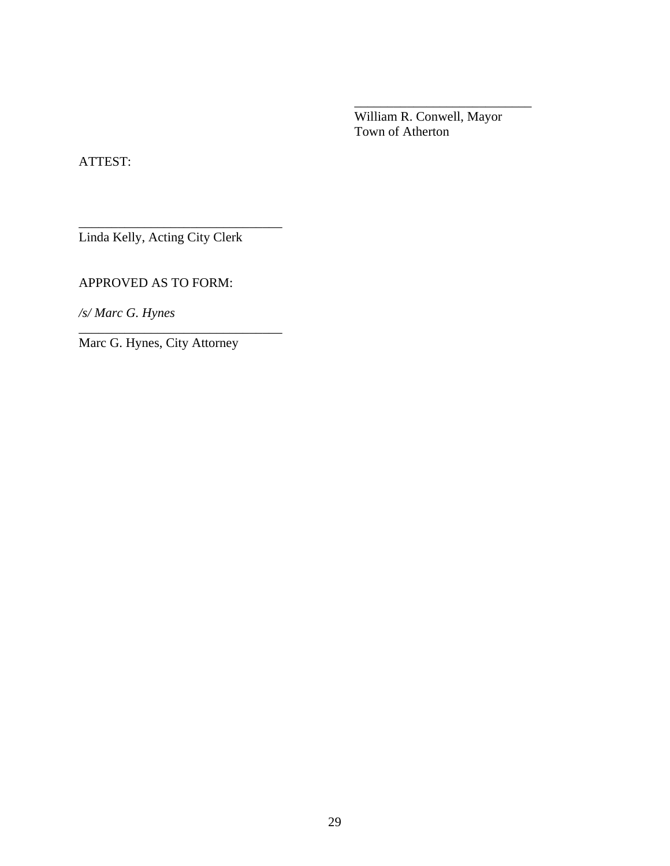William R. Conwell, Mayor Town of Atherton

 $\overline{\phantom{a}}$  , which is a set of the set of the set of the set of the set of the set of the set of the set of the set of the set of the set of the set of the set of the set of the set of the set of the set of the set of th

ATTEST:

Linda Kelly, Acting City Clerk

\_\_\_\_\_\_\_\_\_\_\_\_\_\_\_\_\_\_\_\_\_\_\_\_\_\_\_\_\_\_\_

\_\_\_\_\_\_\_\_\_\_\_\_\_\_\_\_\_\_\_\_\_\_\_\_\_\_\_\_\_\_\_

APPROVED AS TO FORM:

*/s/ Marc G. Hynes* 

Marc G. Hynes, City Attorney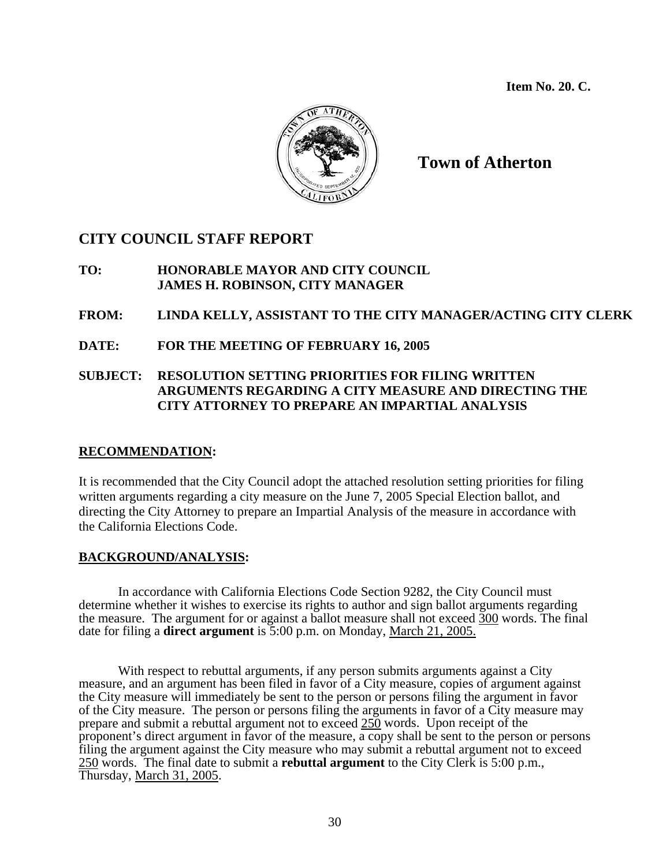**Item No. 20. C.** 



**Town of Atherton** 

### **CITY COUNCIL STAFF REPORT**

### **TO: HONORABLE MAYOR AND CITY COUNCIL JAMES H. ROBINSON, CITY MANAGER**

### **FROM: LINDA KELLY, ASSISTANT TO THE CITY MANAGER/ACTING CITY CLERK**

**DATE: FOR THE MEETING OF FEBRUARY 16, 2005** 

### **SUBJECT: RESOLUTION SETTING PRIORITIES FOR FILING WRITTEN ARGUMENTS REGARDING A CITY MEASURE AND DIRECTING THE CITY ATTORNEY TO PREPARE AN IMPARTIAL ANALYSIS**

### **RECOMMENDATION:**

It is recommended that the City Council adopt the attached resolution setting priorities for filing written arguments regarding a city measure on the June 7, 2005 Special Election ballot, and directing the City Attorney to prepare an Impartial Analysis of the measure in accordance with the California Elections Code.

### **BACKGROUND/ANALYSIS:**

In accordance with California Elections Code Section 9282, the City Council must determine whether it wishes to exercise its rights to author and sign ballot arguments regarding the measure. The argument for or against a ballot measure shall not exceed 300 words. The final date for filing a **direct argument** is 5:00 p.m. on Monday, March 21, 2005.

With respect to rebuttal arguments, if any person submits arguments against a City measure, and an argument has been filed in favor of a City measure, copies of argument against the City measure will immediately be sent to the person or persons filing the argument in favor of the City measure. The person or persons filing the arguments in favor of a City measure may prepare and submit a rebuttal argument not to exceed 250 words. Upon receipt of the proponent's direct argument in favor of the measure, a copy shall be sent to the person or persons filing the argument against the City measure who may submit a rebuttal argument not to exceed 250 words. The final date to submit a **rebuttal argument** to the City Clerk is 5:00 p.m., Thursday, March 31, 2005.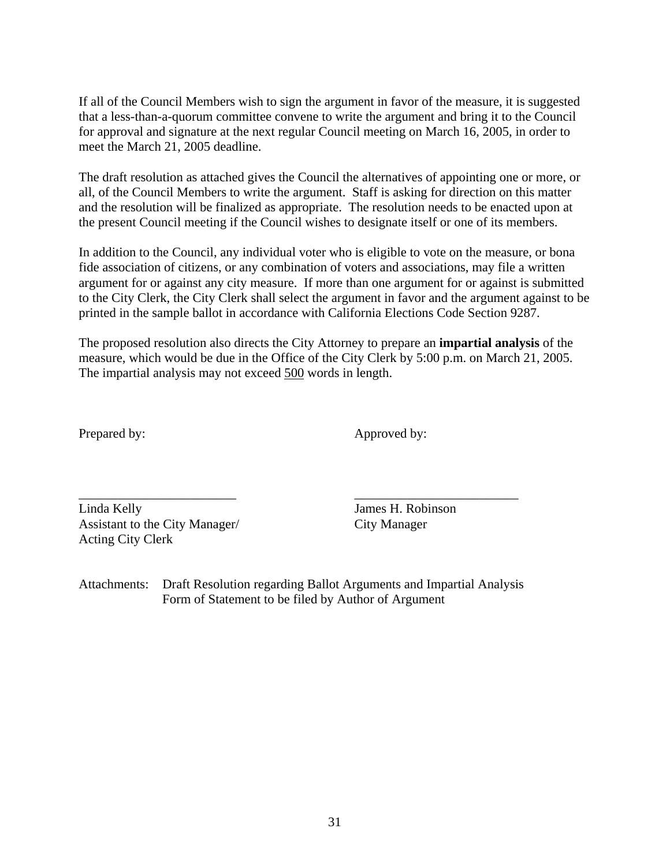If all of the Council Members wish to sign the argument in favor of the measure, it is suggested that a less-than-a-quorum committee convene to write the argument and bring it to the Council for approval and signature at the next regular Council meeting on March 16, 2005, in order to meet the March 21, 2005 deadline.

The draft resolution as attached gives the Council the alternatives of appointing one or more, or all, of the Council Members to write the argument. Staff is asking for direction on this matter and the resolution will be finalized as appropriate. The resolution needs to be enacted upon at the present Council meeting if the Council wishes to designate itself or one of its members.

In addition to the Council, any individual voter who is eligible to vote on the measure, or bona fide association of citizens, or any combination of voters and associations, may file a written argument for or against any city measure. If more than one argument for or against is submitted to the City Clerk, the City Clerk shall select the argument in favor and the argument against to be printed in the sample ballot in accordance with California Elections Code Section 9287.

The proposed resolution also directs the City Attorney to prepare an **impartial analysis** of the measure, which would be due in the Office of the City Clerk by 5:00 p.m. on March 21, 2005. The impartial analysis may not exceed 500 words in length.

Prepared by: Approved by:

\_\_\_\_\_\_\_\_\_\_\_\_\_\_\_\_\_\_\_\_\_\_\_\_ \_\_\_\_\_\_\_\_\_\_\_\_\_\_\_\_\_\_\_\_\_\_\_\_\_ Linda Kelly James H. Robinson Assistant to the City Manager/ City Manager Acting City Clerk

Attachments: Draft Resolution regarding Ballot Arguments and Impartial Analysis Form of Statement to be filed by Author of Argument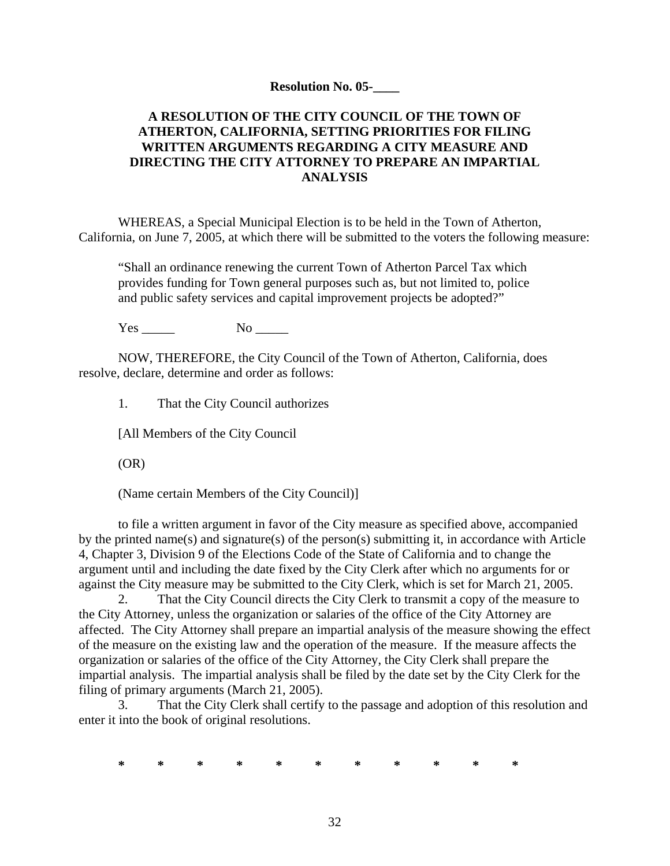#### **Resolution No. 05-\_\_\_\_**

### **A RESOLUTION OF THE CITY COUNCIL OF THE TOWN OF ATHERTON, CALIFORNIA, SETTING PRIORITIES FOR FILING WRITTEN ARGUMENTS REGARDING A CITY MEASURE AND DIRECTING THE CITY ATTORNEY TO PREPARE AN IMPARTIAL ANALYSIS**

WHEREAS, a Special Municipal Election is to be held in the Town of Atherton, California, on June 7, 2005, at which there will be submitted to the voters the following measure:

"Shall an ordinance renewing the current Town of Atherton Parcel Tax which provides funding for Town general purposes such as, but not limited to, police and public safety services and capital improvement projects be adopted?"

Yes No No

NOW, THEREFORE, the City Council of the Town of Atherton, California, does resolve, declare, determine and order as follows:

1. That the City Council authorizes

[All Members of the City Council

(OR)

(Name certain Members of the City Council)]

to file a written argument in favor of the City measure as specified above, accompanied by the printed name(s) and signature(s) of the person(s) submitting it, in accordance with Article 4, Chapter 3, Division 9 of the Elections Code of the State of California and to change the argument until and including the date fixed by the City Clerk after which no arguments for or against the City measure may be submitted to the City Clerk, which is set for March 21, 2005.

2. That the City Council directs the City Clerk to transmit a copy of the measure to the City Attorney, unless the organization or salaries of the office of the City Attorney are affected. The City Attorney shall prepare an impartial analysis of the measure showing the effect of the measure on the existing law and the operation of the measure. If the measure affects the organization or salaries of the office of the City Attorney, the City Clerk shall prepare the impartial analysis. The impartial analysis shall be filed by the date set by the City Clerk for the filing of primary arguments (March 21, 2005).

3. That the City Clerk shall certify to the passage and adoption of this resolution and enter it into the book of original resolutions.

**\* \* \* \* \* \* \* \* \* \* \***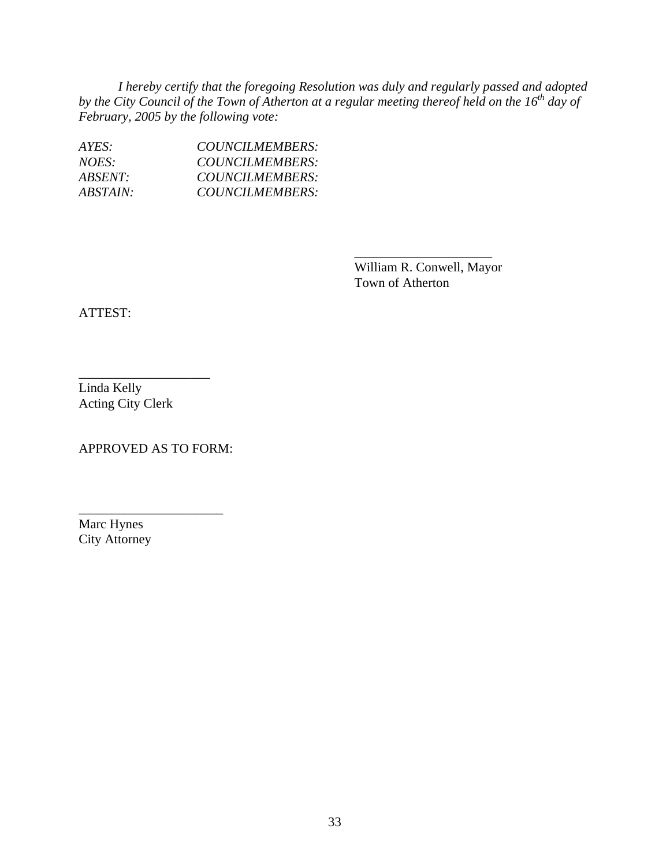*I hereby certify that the foregoing Resolution was duly and regularly passed and adopted*  by the City Council of the Town of Atherton at a regular meeting thereof held on the 16<sup>th</sup> day of *February, 2005 by the following vote:* 

 $\overline{\phantom{a}}$  , which is a set of the contract of the contract of the contract of the contract of the contract of the contract of the contract of the contract of the contract of the contract of the contract of the contract

| AYES:                  | COUNCILMEMBERS: |
|------------------------|-----------------|
| NOES:                  | COUNCILMEMBERS: |
| <i>ABSENT:</i>         | COUNCILMEMBERS: |
| <i><b>ABSTAIN:</b></i> | COUNCILMEMBERS: |

 William R. Conwell, Mayor Town of Atherton

ATTEST:

Linda Kelly Acting City Clerk

\_\_\_\_\_\_\_\_\_\_\_\_\_\_\_\_\_\_\_\_

APPROVED AS TO FORM:

\_\_\_\_\_\_\_\_\_\_\_\_\_\_\_\_\_\_\_\_\_\_

Marc Hynes City Attorney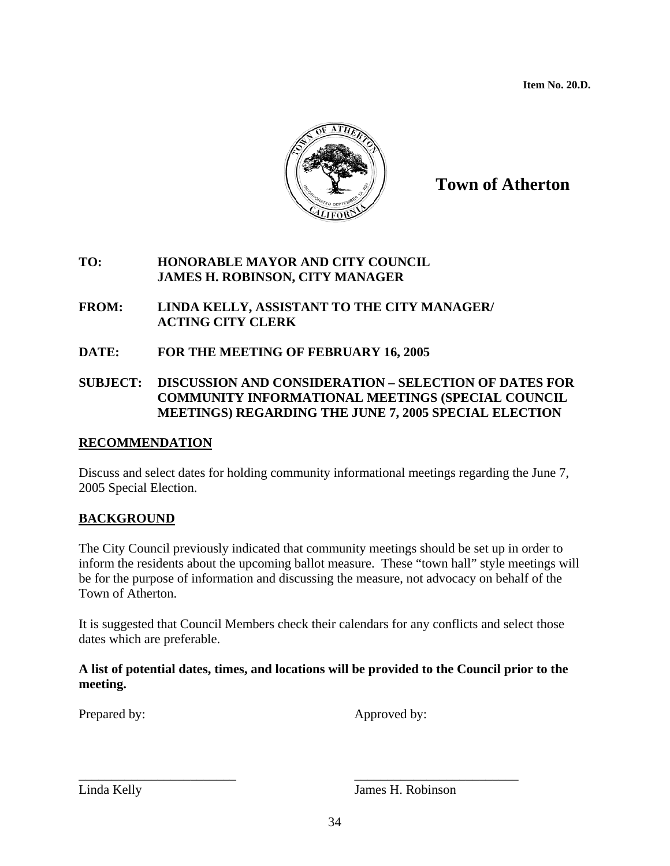**Item No. 20.D.** 



## **Town of Atherton**

### **TO: HONORABLE MAYOR AND CITY COUNCIL JAMES H. ROBINSON, CITY MANAGER**

- **FROM: LINDA KELLY, ASSISTANT TO THE CITY MANAGER/ ACTING CITY CLERK**
- **DATE: FOR THE MEETING OF FEBRUARY 16, 2005**

### **SUBJECT: DISCUSSION AND CONSIDERATION – SELECTION OF DATES FOR COMMUNITY INFORMATIONAL MEETINGS (SPECIAL COUNCIL MEETINGS) REGARDING THE JUNE 7, 2005 SPECIAL ELECTION**

### **RECOMMENDATION**

Discuss and select dates for holding community informational meetings regarding the June 7, 2005 Special Election.

### **BACKGROUND**

The City Council previously indicated that community meetings should be set up in order to inform the residents about the upcoming ballot measure. These "town hall" style meetings will be for the purpose of information and discussing the measure, not advocacy on behalf of the Town of Atherton.

It is suggested that Council Members check their calendars for any conflicts and select those dates which are preferable.

### **A list of potential dates, times, and locations will be provided to the Council prior to the meeting.**

Prepared by: Approved by:

Linda Kelly James H. Robinson

\_\_\_\_\_\_\_\_\_\_\_\_\_\_\_\_\_\_\_\_\_\_\_\_ \_\_\_\_\_\_\_\_\_\_\_\_\_\_\_\_\_\_\_\_\_\_\_\_\_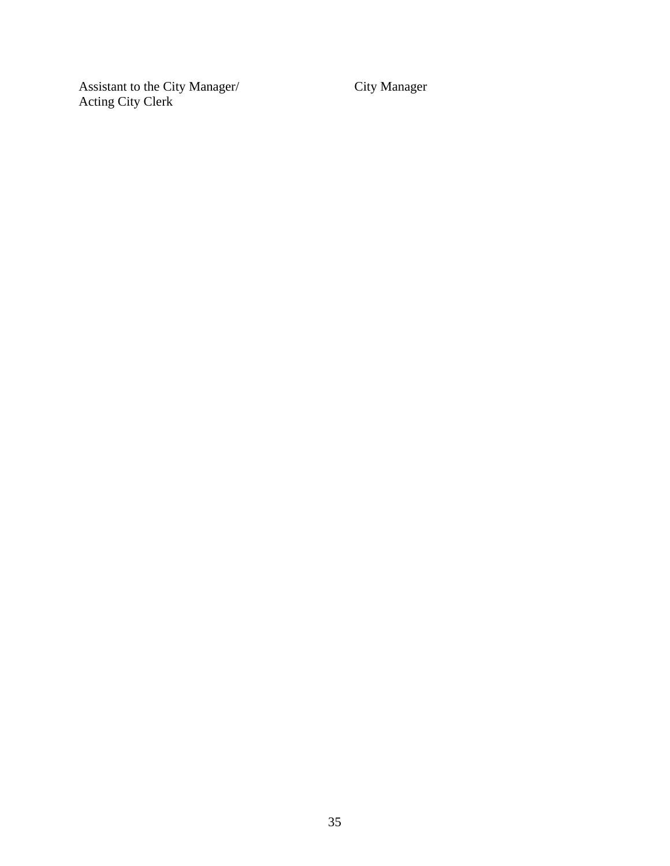Assistant to the City Manager/ City Manager Acting City Clerk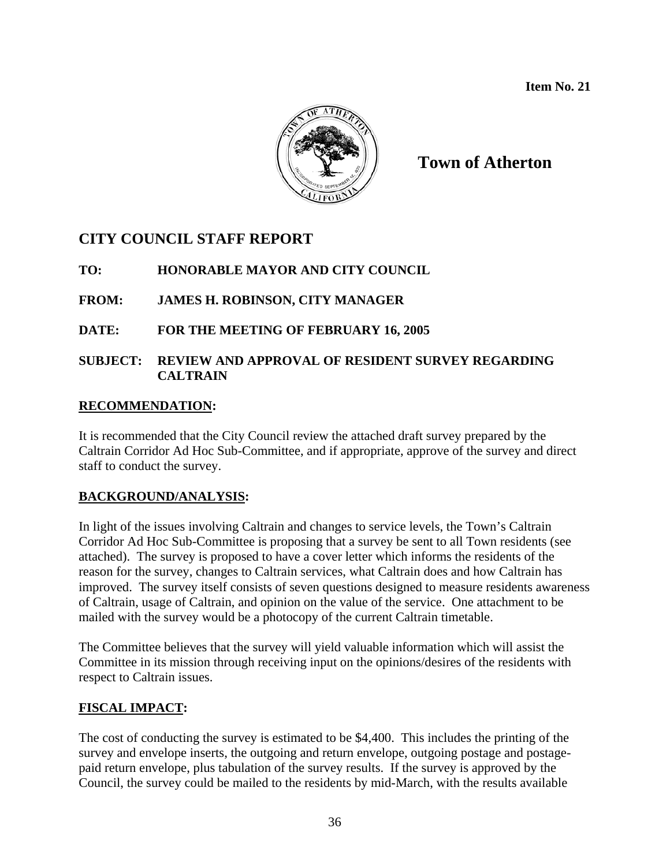

**Town of Atherton** 

## **CITY COUNCIL STAFF REPORT**

**TO: HONORABLE MAYOR AND CITY COUNCIL** 

**FROM: JAMES H. ROBINSON, CITY MANAGER**

**DATE: FOR THE MEETING OF FEBRUARY 16, 2005** 

### **SUBJECT: REVIEW AND APPROVAL OF RESIDENT SURVEY REGARDING CALTRAIN**

### **RECOMMENDATION:**

It is recommended that the City Council review the attached draft survey prepared by the Caltrain Corridor Ad Hoc Sub-Committee, and if appropriate, approve of the survey and direct staff to conduct the survey.

### **BACKGROUND/ANALYSIS:**

In light of the issues involving Caltrain and changes to service levels, the Town's Caltrain Corridor Ad Hoc Sub-Committee is proposing that a survey be sent to all Town residents (see attached). The survey is proposed to have a cover letter which informs the residents of the reason for the survey, changes to Caltrain services, what Caltrain does and how Caltrain has improved. The survey itself consists of seven questions designed to measure residents awareness of Caltrain, usage of Caltrain, and opinion on the value of the service. One attachment to be mailed with the survey would be a photocopy of the current Caltrain timetable.

The Committee believes that the survey will yield valuable information which will assist the Committee in its mission through receiving input on the opinions/desires of the residents with respect to Caltrain issues.

### **FISCAL IMPACT:**

The cost of conducting the survey is estimated to be \$4,400. This includes the printing of the survey and envelope inserts, the outgoing and return envelope, outgoing postage and postagepaid return envelope, plus tabulation of the survey results. If the survey is approved by the Council, the survey could be mailed to the residents by mid-March, with the results available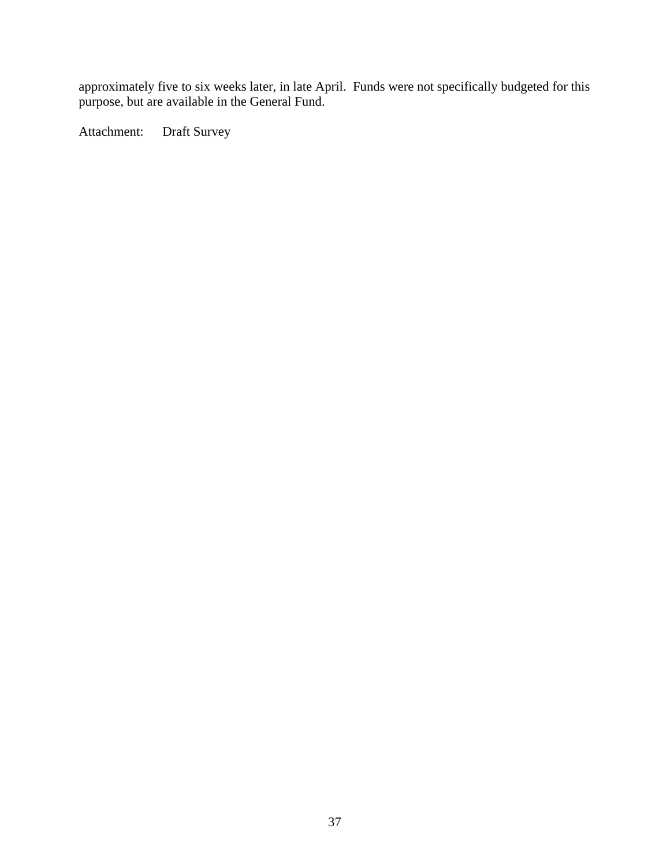approximately five to six weeks later, in late April. Funds were not specifically budgeted for this purpose, but are available in the General Fund.

Attachment: Draft Survey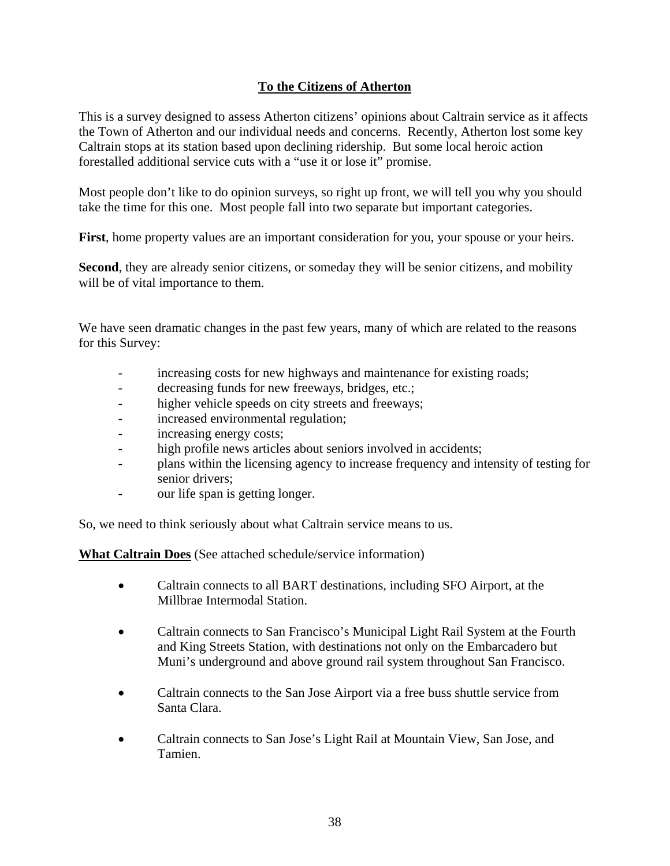### **To the Citizens of Atherton**

This is a survey designed to assess Atherton citizens' opinions about Caltrain service as it affects the Town of Atherton and our individual needs and concerns. Recently, Atherton lost some key Caltrain stops at its station based upon declining ridership. But some local heroic action forestalled additional service cuts with a "use it or lose it" promise.

Most people don't like to do opinion surveys, so right up front, we will tell you why you should take the time for this one. Most people fall into two separate but important categories.

**First**, home property values are an important consideration for you, your spouse or your heirs.

**Second**, they are already senior citizens, or someday they will be senior citizens, and mobility will be of vital importance to them.

We have seen dramatic changes in the past few years, many of which are related to the reasons for this Survey:

- increasing costs for new highways and maintenance for existing roads;
- decreasing funds for new freeways, bridges, etc.;
- higher vehicle speeds on city streets and freeways;
- increased environmental regulation;
- increasing energy costs;
- high profile news articles about seniors involved in accidents;
- plans within the licensing agency to increase frequency and intensity of testing for senior drivers;
- our life span is getting longer.

So, we need to think seriously about what Caltrain service means to us.

**What Caltrain Does** (See attached schedule/service information)

- Caltrain connects to all BART destinations, including SFO Airport, at the Millbrae Intermodal Station.
- Caltrain connects to San Francisco's Municipal Light Rail System at the Fourth and King Streets Station, with destinations not only on the Embarcadero but Muni's underground and above ground rail system throughout San Francisco.
- Caltrain connects to the San Jose Airport via a free buss shuttle service from Santa Clara.
- Caltrain connects to San Jose's Light Rail at Mountain View, San Jose, and Tamien.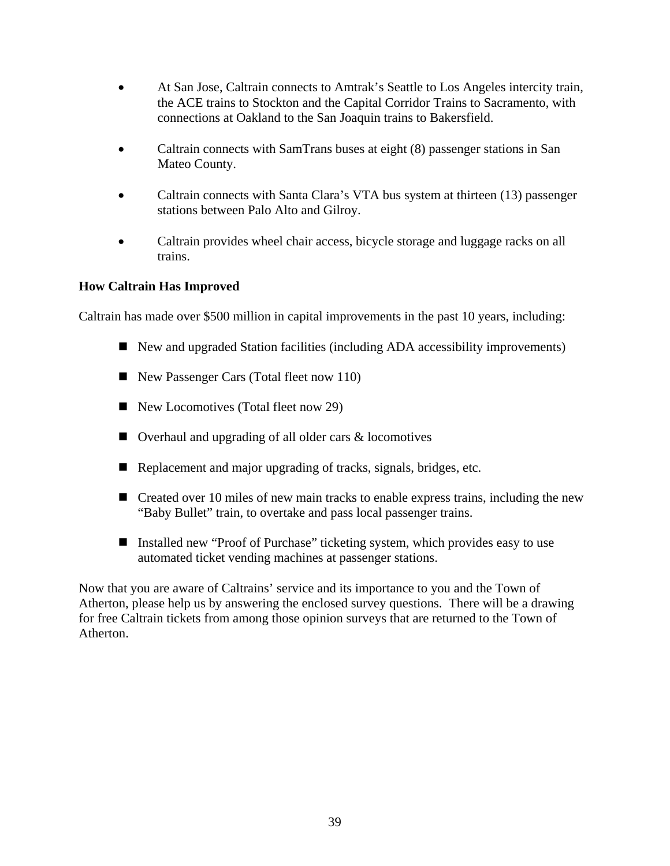- At San Jose, Caltrain connects to Amtrak's Seattle to Los Angeles intercity train, the ACE trains to Stockton and the Capital Corridor Trains to Sacramento, with connections at Oakland to the San Joaquin trains to Bakersfield.
- Caltrain connects with SamTrans buses at eight (8) passenger stations in San Mateo County.
- Caltrain connects with Santa Clara's VTA bus system at thirteen (13) passenger stations between Palo Alto and Gilroy.
- Caltrain provides wheel chair access, bicycle storage and luggage racks on all trains.

### **How Caltrain Has Improved**

Caltrain has made over \$500 million in capital improvements in the past 10 years, including:

- New and upgraded Station facilities (including ADA accessibility improvements)
- New Passenger Cars (Total fleet now 110)
- New Locomotives (Total fleet now 29)
- $\Box$  Overhaul and upgrading of all older cars  $\&$  locomotives
- Replacement and major upgrading of tracks, signals, bridges, etc.
- $\blacksquare$  Created over 10 miles of new main tracks to enable express trains, including the new "Baby Bullet" train, to overtake and pass local passenger trains.
- Installed new "Proof of Purchase" ticketing system, which provides easy to use automated ticket vending machines at passenger stations.

Now that you are aware of Caltrains' service and its importance to you and the Town of Atherton, please help us by answering the enclosed survey questions. There will be a drawing for free Caltrain tickets from among those opinion surveys that are returned to the Town of Atherton.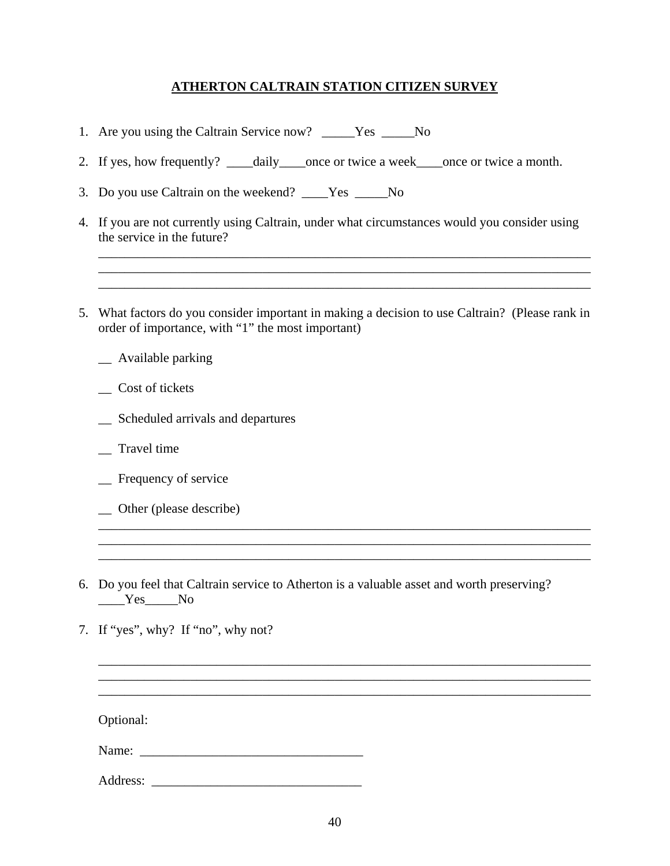### **ATHERTON CALTRAIN STATION CITIZEN SURVEY**

- 1. Are you using the Caltrain Service now? \_\_\_\_\_Yes \_\_\_\_\_No
- 2. If yes, how frequently? \_\_\_\_daily\_\_\_\_once or twice a week\_\_\_\_once or twice a month.
- 3. Do you use Caltrain on the weekend? \_\_\_\_Yes \_\_\_\_\_No
- 4. If you are not currently using Caltrain, under what circumstances would you consider using the service in the future?

\_\_\_\_\_\_\_\_\_\_\_\_\_\_\_\_\_\_\_\_\_\_\_\_\_\_\_\_\_\_\_\_\_\_\_\_\_\_\_\_\_\_\_\_\_\_\_\_\_\_\_\_\_\_\_\_\_\_\_\_\_\_\_\_\_\_\_\_\_\_\_\_\_\_\_ \_\_\_\_\_\_\_\_\_\_\_\_\_\_\_\_\_\_\_\_\_\_\_\_\_\_\_\_\_\_\_\_\_\_\_\_\_\_\_\_\_\_\_\_\_\_\_\_\_\_\_\_\_\_\_\_\_\_\_\_\_\_\_\_\_\_\_\_\_\_\_\_\_\_\_ \_\_\_\_\_\_\_\_\_\_\_\_\_\_\_\_\_\_\_\_\_\_\_\_\_\_\_\_\_\_\_\_\_\_\_\_\_\_\_\_\_\_\_\_\_\_\_\_\_\_\_\_\_\_\_\_\_\_\_\_\_\_\_\_\_\_\_\_\_\_\_\_\_\_\_

- 5. What factors do you consider important in making a decision to use Caltrain? (Please rank in order of importance, with "1" the most important)
	- \_\_ Available parking
	- \_\_ Cost of tickets
	- \_\_ Scheduled arrivals and departures
	- \_\_ Travel time
	- \_\_ Frequency of service
	- \_\_ Other (please describe)
- 6. Do you feel that Caltrain service to Atherton is a valuable asset and worth preserving? Yes No

\_\_\_\_\_\_\_\_\_\_\_\_\_\_\_\_\_\_\_\_\_\_\_\_\_\_\_\_\_\_\_\_\_\_\_\_\_\_\_\_\_\_\_\_\_\_\_\_\_\_\_\_\_\_\_\_\_\_\_\_\_\_\_\_\_\_\_\_\_\_\_\_\_\_\_ \_\_\_\_\_\_\_\_\_\_\_\_\_\_\_\_\_\_\_\_\_\_\_\_\_\_\_\_\_\_\_\_\_\_\_\_\_\_\_\_\_\_\_\_\_\_\_\_\_\_\_\_\_\_\_\_\_\_\_\_\_\_\_\_\_\_\_\_\_\_\_\_\_\_\_ \_\_\_\_\_\_\_\_\_\_\_\_\_\_\_\_\_\_\_\_\_\_\_\_\_\_\_\_\_\_\_\_\_\_\_\_\_\_\_\_\_\_\_\_\_\_\_\_\_\_\_\_\_\_\_\_\_\_\_\_\_\_\_\_\_\_\_\_\_\_\_\_\_\_\_

\_\_\_\_\_\_\_\_\_\_\_\_\_\_\_\_\_\_\_\_\_\_\_\_\_\_\_\_\_\_\_\_\_\_\_\_\_\_\_\_\_\_\_\_\_\_\_\_\_\_\_\_\_\_\_\_\_\_\_\_\_\_\_\_\_\_\_\_\_\_\_\_\_\_\_ \_\_\_\_\_\_\_\_\_\_\_\_\_\_\_\_\_\_\_\_\_\_\_\_\_\_\_\_\_\_\_\_\_\_\_\_\_\_\_\_\_\_\_\_\_\_\_\_\_\_\_\_\_\_\_\_\_\_\_\_\_\_\_\_\_\_\_\_\_\_\_\_\_\_\_ \_\_\_\_\_\_\_\_\_\_\_\_\_\_\_\_\_\_\_\_\_\_\_\_\_\_\_\_\_\_\_\_\_\_\_\_\_\_\_\_\_\_\_\_\_\_\_\_\_\_\_\_\_\_\_\_\_\_\_\_\_\_\_\_\_\_\_\_\_\_\_\_\_\_\_

7. If "yes", why? If "no", why not?

Optional:

Name: \_\_\_\_\_\_\_\_\_\_\_\_\_\_\_\_\_\_\_\_\_\_\_\_\_\_\_\_\_\_\_\_\_\_

Address: \_\_\_\_\_\_\_\_\_\_\_\_\_\_\_\_\_\_\_\_\_\_\_\_\_\_\_\_\_\_\_\_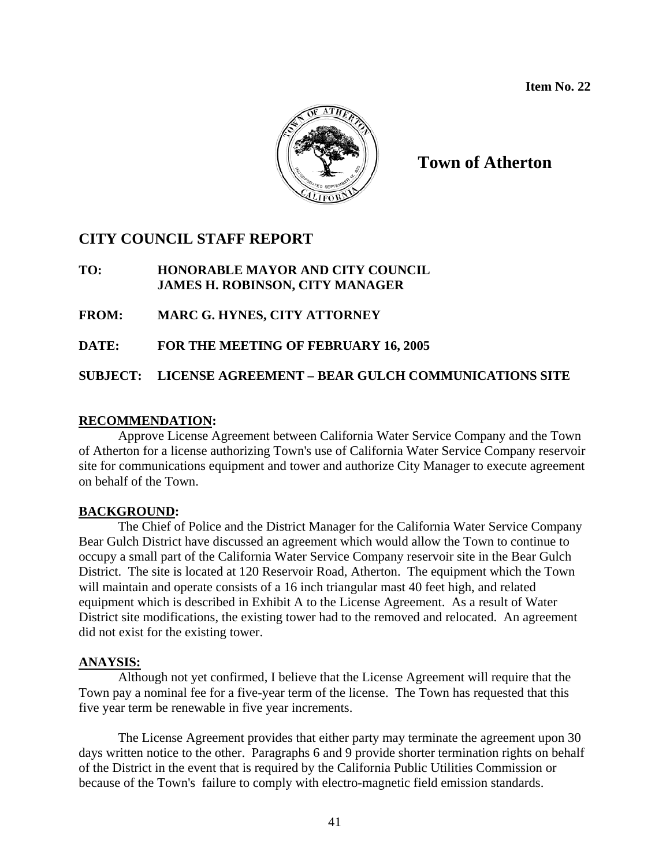

**Town of Atherton** 

### **CITY COUNCIL STAFF REPORT**

### **TO: HONORABLE MAYOR AND CITY COUNCIL JAMES H. ROBINSON, CITY MANAGER**

**FROM: MARC G. HYNES, CITY ATTORNEY** 

**DATE: FOR THE MEETING OF FEBRUARY 16, 2005** 

**SUBJECT: LICENSE AGREEMENT – BEAR GULCH COMMUNICATIONS SITE** 

### **RECOMMENDATION:**

Approve License Agreement between California Water Service Company and the Town of Atherton for a license authorizing Town's use of California Water Service Company reservoir site for communications equipment and tower and authorize City Manager to execute agreement on behalf of the Town.

### **BACKGROUND:**

The Chief of Police and the District Manager for the California Water Service Company Bear Gulch District have discussed an agreement which would allow the Town to continue to occupy a small part of the California Water Service Company reservoir site in the Bear Gulch District. The site is located at 120 Reservoir Road, Atherton. The equipment which the Town will maintain and operate consists of a 16 inch triangular mast 40 feet high, and related equipment which is described in Exhibit A to the License Agreement. As a result of Water District site modifications, the existing tower had to the removed and relocated. An agreement did not exist for the existing tower.

### **ANAYSIS:**

Although not yet confirmed, I believe that the License Agreement will require that the Town pay a nominal fee for a five-year term of the license. The Town has requested that this five year term be renewable in five year increments.

The License Agreement provides that either party may terminate the agreement upon 30 days written notice to the other. Paragraphs 6 and 9 provide shorter termination rights on behalf of the District in the event that is required by the California Public Utilities Commission or because of the Town's failure to comply with electro-magnetic field emission standards.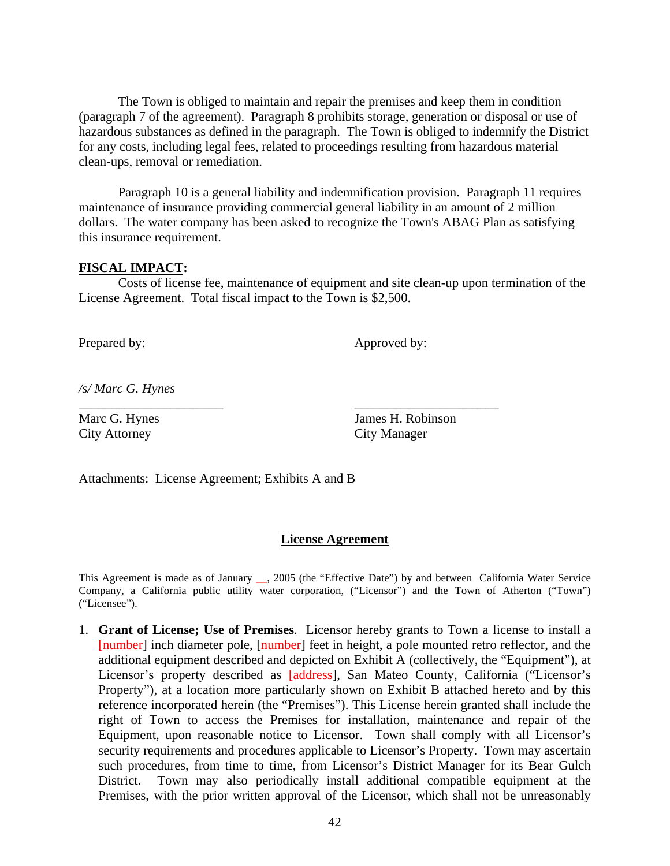The Town is obliged to maintain and repair the premises and keep them in condition (paragraph 7 of the agreement). Paragraph 8 prohibits storage, generation or disposal or use of hazardous substances as defined in the paragraph. The Town is obliged to indemnify the District for any costs, including legal fees, related to proceedings resulting from hazardous material clean-ups, removal or remediation.

Paragraph 10 is a general liability and indemnification provision. Paragraph 11 requires maintenance of insurance providing commercial general liability in an amount of 2 million dollars. The water company has been asked to recognize the Town's ABAG Plan as satisfying this insurance requirement.

#### **FISCAL IMPACT:**

Costs of license fee, maintenance of equipment and site clean-up upon termination of the License Agreement. Total fiscal impact to the Town is \$2,500.

\_\_\_\_\_\_\_\_\_\_\_\_\_\_\_\_\_\_\_\_\_\_ \_\_\_\_\_\_\_\_\_\_\_\_\_\_\_\_\_\_\_\_\_\_

Prepared by: Approved by:

*/s/ Marc G. Hynes* 

City Attorney City Manager

Marc G. Hynes James H. Robinson

Attachments: License Agreement; Exhibits A and B

#### **License Agreement**

This Agreement is made as of January \_\_, 2005 (the "Effective Date") by and between California Water Service Company, a California public utility water corporation, ("Licensor") and the Town of Atherton ("Town") ("Licensee").

1. **Grant of License; Use of Premises**. Licensor hereby grants to Town a license to install a [number] inch diameter pole, [number] feet in height, a pole mounted retro reflector, and the additional equipment described and depicted on Exhibit A (collectively, the "Equipment"), at Licensor's property described as [address], San Mateo County, California ("Licensor's Property"), at a location more particularly shown on Exhibit B attached hereto and by this reference incorporated herein (the "Premises"). This License herein granted shall include the right of Town to access the Premises for installation, maintenance and repair of the Equipment, upon reasonable notice to Licensor. Town shall comply with all Licensor's security requirements and procedures applicable to Licensor's Property. Town may ascertain such procedures, from time to time, from Licensor's District Manager for its Bear Gulch District. Town may also periodically install additional compatible equipment at the Premises, with the prior written approval of the Licensor, which shall not be unreasonably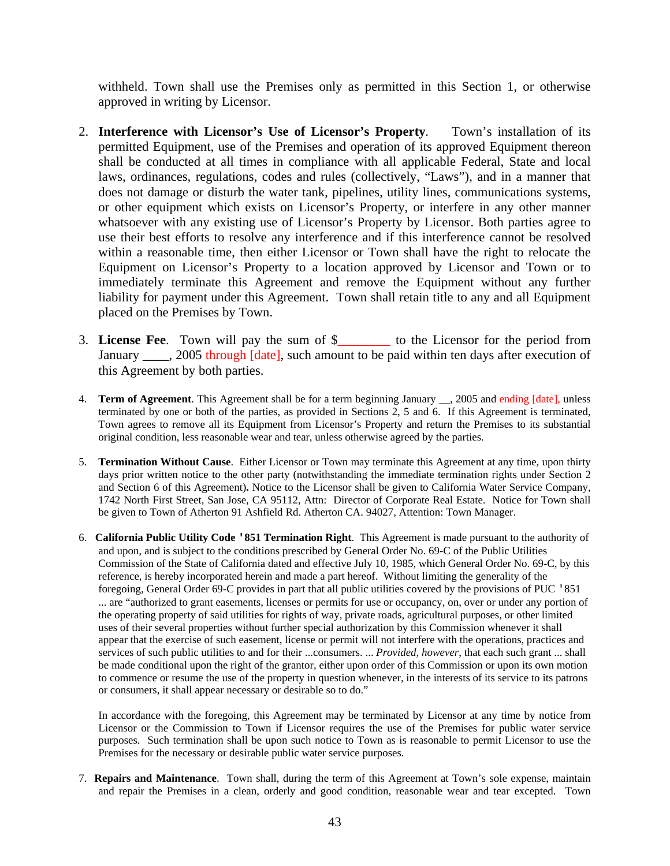withheld. Town shall use the Premises only as permitted in this Section 1, or otherwise approved in writing by Licensor.

- 2. **Interference with Licensor's Use of Licensor's Property**. Town's installation of its permitted Equipment, use of the Premises and operation of its approved Equipment thereon shall be conducted at all times in compliance with all applicable Federal, State and local laws, ordinances, regulations, codes and rules (collectively, "Laws"), and in a manner that does not damage or disturb the water tank, pipelines, utility lines, communications systems, or other equipment which exists on Licensor's Property, or interfere in any other manner whatsoever with any existing use of Licensor's Property by Licensor. Both parties agree to use their best efforts to resolve any interference and if this interference cannot be resolved within a reasonable time, then either Licensor or Town shall have the right to relocate the Equipment on Licensor's Property to a location approved by Licensor and Town or to immediately terminate this Agreement and remove the Equipment without any further liability for payment under this Agreement. Town shall retain title to any and all Equipment placed on the Premises by Town.
- 3. **License Fee**. Town will pay the sum of \$\_\_\_\_\_\_\_\_ to the Licensor for the period from January \_\_\_\_, 2005 through [date], such amount to be paid within ten days after execution of this Agreement by both parties.
- 4. **Term of Agreement**. This Agreement shall be for a term beginning January \_\_, 2005 and ending [date], unless terminated by one or both of the parties, as provided in Sections 2, 5 and 6. If this Agreement is terminated, Town agrees to remove all its Equipment from Licensor's Property and return the Premises to its substantial original condition, less reasonable wear and tear, unless otherwise agreed by the parties.
- 5. **Termination Without Cause**. Either Licensor or Town may terminate this Agreement at any time, upon thirty days prior written notice to the other party (notwithstanding the immediate termination rights under Section 2 and Section 6 of this Agreement)**.** Notice to the Licensor shall be given to California Water Service Company, 1742 North First Street, San Jose, CA 95112, Attn: Director of Corporate Real Estate. Notice for Town shall be given to Town of Atherton 91 Ashfield Rd. Atherton CA. 94027, Attention: Town Manager.
- 6. **California Public Utility Code '851 Termination Right**. This Agreement is made pursuant to the authority of and upon, and is subject to the conditions prescribed by General Order No. 69-C of the Public Utilities Commission of the State of California dated and effective July 10, 1985, which General Order No. 69-C, by this reference, is hereby incorporated herein and made a part hereof. Without limiting the generality of the foregoing, General Order 69-C provides in part that all public utilities covered by the provisions of PUC '851 ... are "authorized to grant easements, licenses or permits for use or occupancy, on, over or under any portion of the operating property of said utilities for rights of way, private roads, agricultural purposes, or other limited uses of their several properties without further special authorization by this Commission whenever it shall appear that the exercise of such easement, license or permit will not interfere with the operations, practices and services of such public utilities to and for their ...consumers. ... *Provided, however*, that each such grant ... shall be made conditional upon the right of the grantor, either upon order of this Commission or upon its own motion to commence or resume the use of the property in question whenever, in the interests of its service to its patrons or consumers, it shall appear necessary or desirable so to do."

In accordance with the foregoing, this Agreement may be terminated by Licensor at any time by notice from Licensor or the Commission to Town if Licensor requires the use of the Premises for public water service purposes. Such termination shall be upon such notice to Town as is reasonable to permit Licensor to use the Premises for the necessary or desirable public water service purposes.

7. **Repairs and Maintenance**. Town shall, during the term of this Agreement at Town's sole expense, maintain and repair the Premises in a clean, orderly and good condition, reasonable wear and tear excepted. Town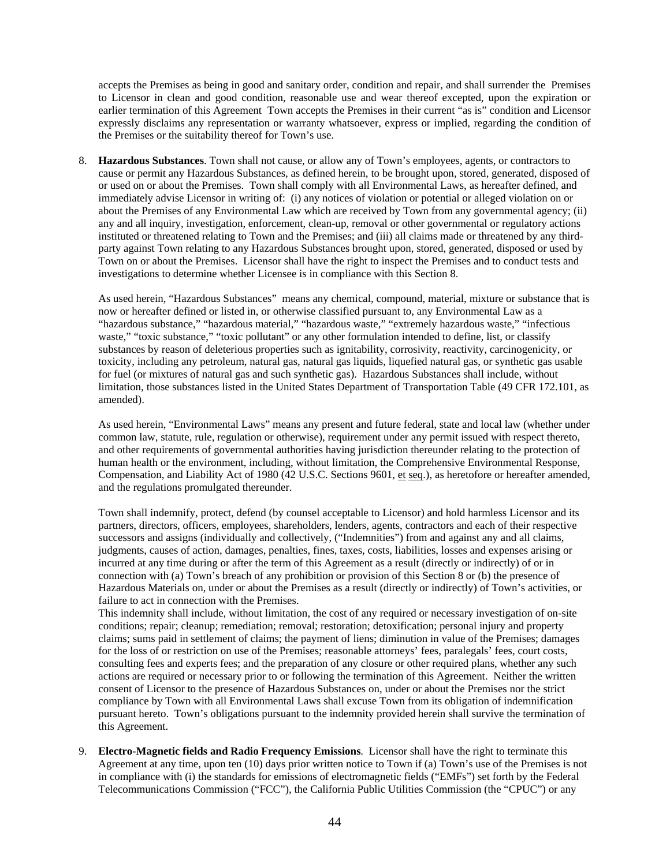accepts the Premises as being in good and sanitary order, condition and repair, and shall surrender the Premises to Licensor in clean and good condition, reasonable use and wear thereof excepted, upon the expiration or earlier termination of this Agreement Town accepts the Premises in their current "as is" condition and Licensor expressly disclaims any representation or warranty whatsoever, express or implied, regarding the condition of the Premises or the suitability thereof for Town's use.

8. **Hazardous Substances**. Town shall not cause, or allow any of Town's employees, agents, or contractors to cause or permit any Hazardous Substances, as defined herein, to be brought upon, stored, generated, disposed of or used on or about the Premises. Town shall comply with all Environmental Laws, as hereafter defined, and immediately advise Licensor in writing of: (i) any notices of violation or potential or alleged violation on or about the Premises of any Environmental Law which are received by Town from any governmental agency; (ii) any and all inquiry, investigation, enforcement, clean-up, removal or other governmental or regulatory actions instituted or threatened relating to Town and the Premises; and (iii) all claims made or threatened by any thirdparty against Town relating to any Hazardous Substances brought upon, stored, generated, disposed or used by Town on or about the Premises. Licensor shall have the right to inspect the Premises and to conduct tests and investigations to determine whether Licensee is in compliance with this Section 8.

As used herein, "Hazardous Substances" means any chemical, compound, material, mixture or substance that is now or hereafter defined or listed in, or otherwise classified pursuant to, any Environmental Law as a "hazardous substance," "hazardous material," "hazardous waste," "extremely hazardous waste," "infectious waste," "toxic substance," "toxic pollutant" or any other formulation intended to define, list, or classify substances by reason of deleterious properties such as ignitability, corrosivity, reactivity, carcinogenicity, or toxicity, including any petroleum, natural gas, natural gas liquids, liquefied natural gas, or synthetic gas usable for fuel (or mixtures of natural gas and such synthetic gas). Hazardous Substances shall include, without limitation, those substances listed in the United States Department of Transportation Table (49 CFR 172.101, as amended).

As used herein, "Environmental Laws" means any present and future federal, state and local law (whether under common law, statute, rule, regulation or otherwise), requirement under any permit issued with respect thereto, and other requirements of governmental authorities having jurisdiction thereunder relating to the protection of human health or the environment, including, without limitation, the Comprehensive Environmental Response, Compensation, and Liability Act of 1980 (42 U.S.C. Sections 9601, et seq.), as heretofore or hereafter amended, and the regulations promulgated thereunder.

Town shall indemnify, protect, defend (by counsel acceptable to Licensor) and hold harmless Licensor and its partners, directors, officers, employees, shareholders, lenders, agents, contractors and each of their respective successors and assigns (individually and collectively, ("Indemnities") from and against any and all claims, judgments, causes of action, damages, penalties, fines, taxes, costs, liabilities, losses and expenses arising or incurred at any time during or after the term of this Agreement as a result (directly or indirectly) of or in connection with (a) Town's breach of any prohibition or provision of this Section 8 or (b) the presence of Hazardous Materials on, under or about the Premises as a result (directly or indirectly) of Town's activities, or failure to act in connection with the Premises.

This indemnity shall include, without limitation, the cost of any required or necessary investigation of on-site conditions; repair; cleanup; remediation; removal; restoration; detoxification; personal injury and property claims; sums paid in settlement of claims; the payment of liens; diminution in value of the Premises; damages for the loss of or restriction on use of the Premises; reasonable attorneys' fees, paralegals' fees, court costs, consulting fees and experts fees; and the preparation of any closure or other required plans, whether any such actions are required or necessary prior to or following the termination of this Agreement. Neither the written consent of Licensor to the presence of Hazardous Substances on, under or about the Premises nor the strict compliance by Town with all Environmental Laws shall excuse Town from its obligation of indemnification pursuant hereto. Town's obligations pursuant to the indemnity provided herein shall survive the termination of this Agreement.

9. **Electro-Magnetic fields and Radio Frequency Emissions**. Licensor shall have the right to terminate this Agreement at any time, upon ten (10) days prior written notice to Town if (a) Town's use of the Premises is not in compliance with (i) the standards for emissions of electromagnetic fields ("EMFs") set forth by the Federal Telecommunications Commission ("FCC"), the California Public Utilities Commission (the "CPUC") or any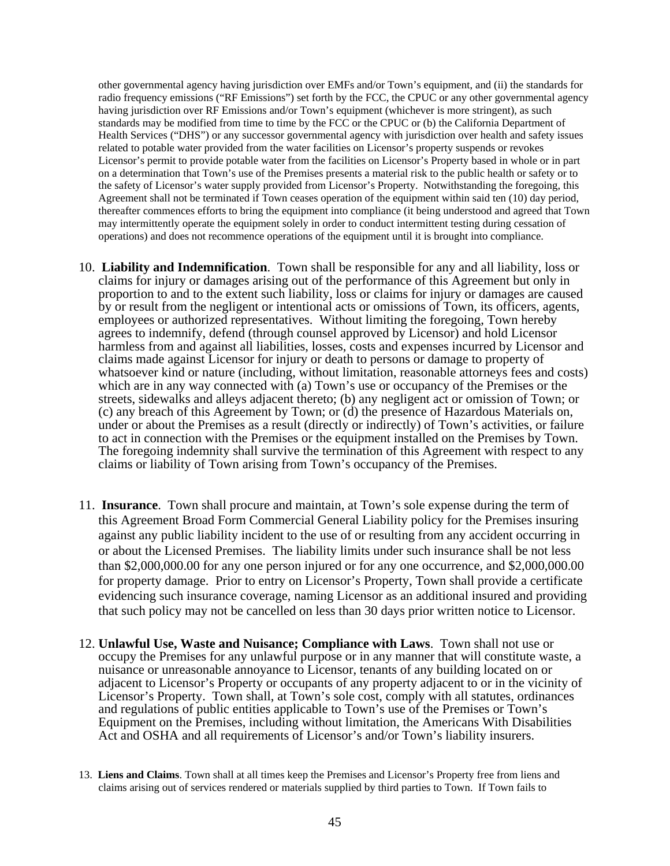other governmental agency having jurisdiction over EMFs and/or Town's equipment, and (ii) the standards for radio frequency emissions ("RF Emissions") set forth by the FCC, the CPUC or any other governmental agency having jurisdiction over RF Emissions and/or Town's equipment (whichever is more stringent), as such standards may be modified from time to time by the FCC or the CPUC or (b) the California Department of Health Services ("DHS") or any successor governmental agency with jurisdiction over health and safety issues related to potable water provided from the water facilities on Licensor's property suspends or revokes Licensor's permit to provide potable water from the facilities on Licensor's Property based in whole or in part on a determination that Town's use of the Premises presents a material risk to the public health or safety or to the safety of Licensor's water supply provided from Licensor's Property. Notwithstanding the foregoing, this Agreement shall not be terminated if Town ceases operation of the equipment within said ten (10) day period, thereafter commences efforts to bring the equipment into compliance (it being understood and agreed that Town may intermittently operate the equipment solely in order to conduct intermittent testing during cessation of operations) and does not recommence operations of the equipment until it is brought into compliance.

- 10. **Liability and Indemnification**. Town shall be responsible for any and all liability, loss or claims for injury or damages arising out of the performance of this Agreement but only in proportion to and to the extent such liability, loss or claims for injury or damages are caused by or result from the negligent or intentional acts or omissions of Town, its officers, agents, employees or authorized representatives. Without limiting the foregoing, Town hereby agrees to indemnify, defend (through counsel approved by Licensor) and hold Licensor harmless from and against all liabilities, losses, costs and expenses incurred by Licensor and claims made against Licensor for injury or death to persons or damage to property of whatsoever kind or nature (including, without limitation, reasonable attorneys fees and costs) which are in any way connected with (a) Town's use or occupancy of the Premises or the streets, sidewalks and alleys adjacent thereto; (b) any negligent act or omission of Town; or (c) any breach of this Agreement by Town; or (d) the presence of Hazardous Materials on, under or about the Premises as a result (directly or indirectly) of Town's activities, or failure to act in connection with the Premises or the equipment installed on the Premises by Town. The foregoing indemnity shall survive the termination of this Agreement with respect to any claims or liability of Town arising from Town's occupancy of the Premises.
- 11. **Insurance**. Town shall procure and maintain, at Town's sole expense during the term of this Agreement Broad Form Commercial General Liability policy for the Premises insuring against any public liability incident to the use of or resulting from any accident occurring in or about the Licensed Premises. The liability limits under such insurance shall be not less than \$2,000,000.00 for any one person injured or for any one occurrence, and \$2,000,000.00 for property damage. Prior to entry on Licensor's Property, Town shall provide a certificate evidencing such insurance coverage, naming Licensor as an additional insured and providing that such policy may not be cancelled on less than 30 days prior written notice to Licensor.
- 12. **Unlawful Use, Waste and Nuisance; Compliance with Laws**. Town shall not use or occupy the Premises for any unlawful purpose or in any manner that will constitute waste, a nuisance or unreasonable annoyance to Licensor, tenants of any building located on or adjacent to Licensor's Property or occupants of any property adjacent to or in the vicinity of Licensor's Property. Town shall, at Town's sole cost, comply with all statutes, ordinances and regulations of public entities applicable to Town's use of the Premises or Town's Equipment on the Premises, including without limitation, the Americans With Disabilities Act and OSHA and all requirements of Licensor's and/or Town's liability insurers.
- 13. **Liens and Claims**. Town shall at all times keep the Premises and Licensor's Property free from liens and claims arising out of services rendered or materials supplied by third parties to Town. If Town fails to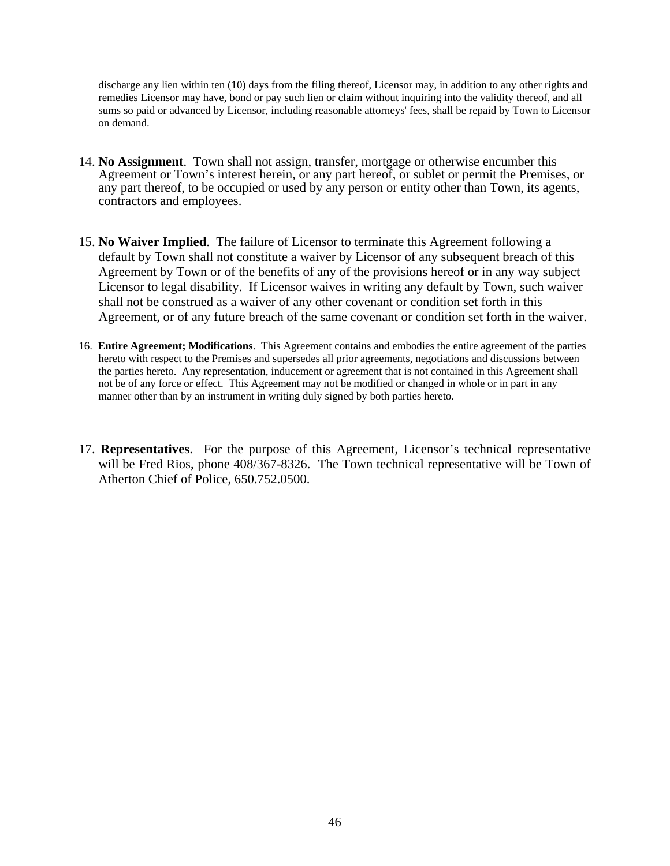discharge any lien within ten (10) days from the filing thereof, Licensor may, in addition to any other rights and remedies Licensor may have, bond or pay such lien or claim without inquiring into the validity thereof, and all sums so paid or advanced by Licensor, including reasonable attorneys' fees, shall be repaid by Town to Licensor on demand.

- 14. **No Assignment**. Town shall not assign, transfer, mortgage or otherwise encumber this Agreement or Town's interest herein, or any part hereof, or sublet or permit the Premises, or any part thereof, to be occupied or used by any person or entity other than Town, its agents, contractors and employees.
- 15. **No Waiver Implied**. The failure of Licensor to terminate this Agreement following a default by Town shall not constitute a waiver by Licensor of any subsequent breach of this Agreement by Town or of the benefits of any of the provisions hereof or in any way subject Licensor to legal disability. If Licensor waives in writing any default by Town, such waiver shall not be construed as a waiver of any other covenant or condition set forth in this Agreement, or of any future breach of the same covenant or condition set forth in the waiver.
- 16. **Entire Agreement; Modifications**. This Agreement contains and embodies the entire agreement of the parties hereto with respect to the Premises and supersedes all prior agreements, negotiations and discussions between the parties hereto. Any representation, inducement or agreement that is not contained in this Agreement shall not be of any force or effect. This Agreement may not be modified or changed in whole or in part in any manner other than by an instrument in writing duly signed by both parties hereto.
- 17. **Representatives**. For the purpose of this Agreement, Licensor's technical representative will be Fred Rios, phone 408/367-8326. The Town technical representative will be Town of Atherton Chief of Police, 650.752.0500.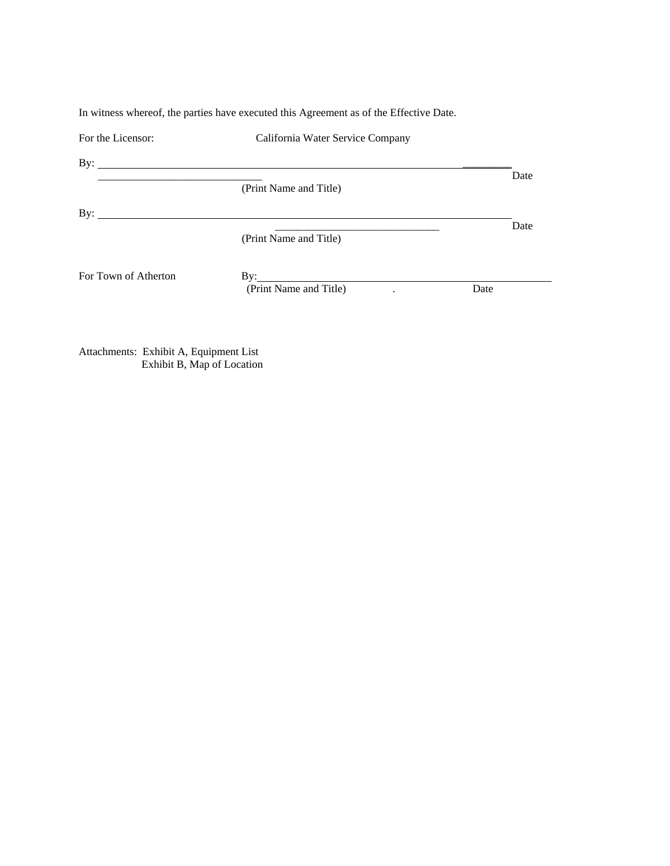In witness whereof, the parties have executed this Agreement as of the Effective Date.

| For the Licensor:            | California Water Service Company |      |  |
|------------------------------|----------------------------------|------|--|
| By: $\qquad \qquad$          |                                  |      |  |
|                              | (Print Name and Title)           | Date |  |
| By: $\overline{\phantom{a}}$ |                                  |      |  |
|                              | (Print Name and Title)           | Date |  |
| For Town of Atherton         |                                  |      |  |
|                              | (Print Name and Title)           | Date |  |
|                              |                                  |      |  |

Attachments: Exhibit A, Equipment List Exhibit B, Map of Location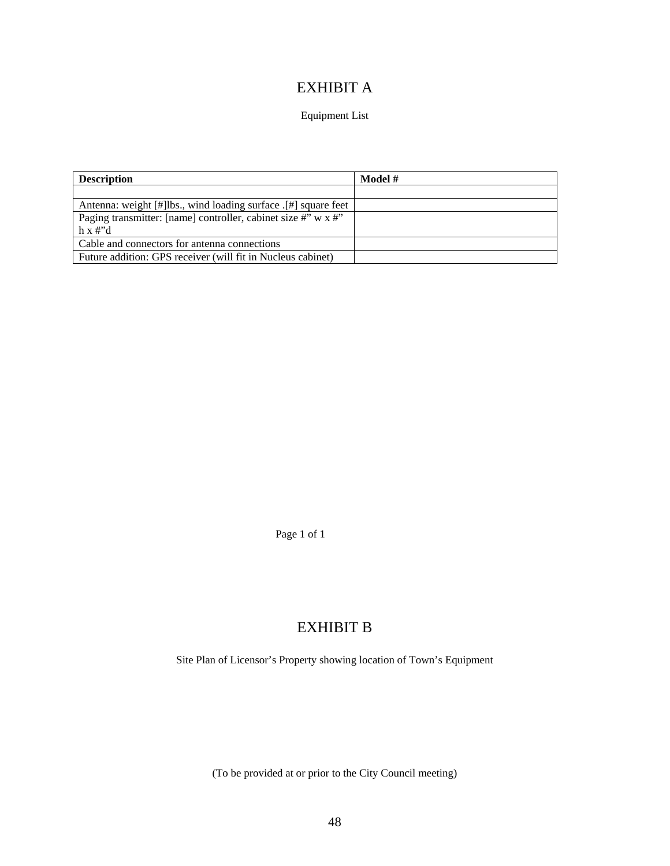## EXHIBIT A

### Equipment List

| <b>Description</b>                                                    | Model # |
|-----------------------------------------------------------------------|---------|
|                                                                       |         |
| Antenna: weight [#] lbs., wind loading surface [#] square feet        |         |
| Paging transmitter: [name] controller, cabinet size #" $w \times 4$ " |         |
| $h \times \#^{\prime}d$                                               |         |
| Cable and connectors for antenna connections                          |         |
| Future addition: GPS receiver (will fit in Nucleus cabinet)           |         |

Page 1 of 1

## EXHIBIT B

Site Plan of Licensor's Property showing location of Town's Equipment

(To be provided at or prior to the City Council meeting)